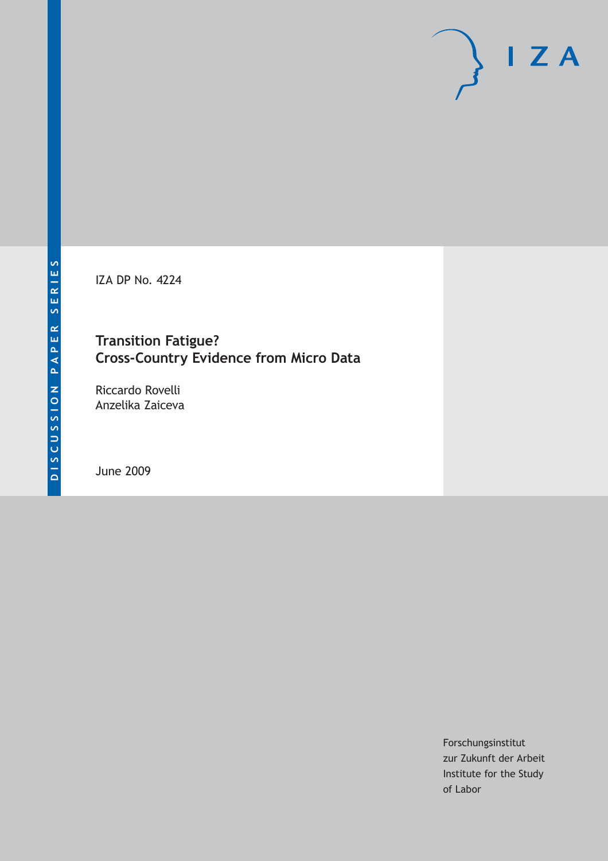IZA DP No. 4224

## **Transition Fatigue? Cross-Country Evidence from Micro Data**

Riccardo Rovelli Anzelika Zaiceva

June 2009

Forschungsinstitut zur Zukunft der Arbeit Institute for the Study of Labor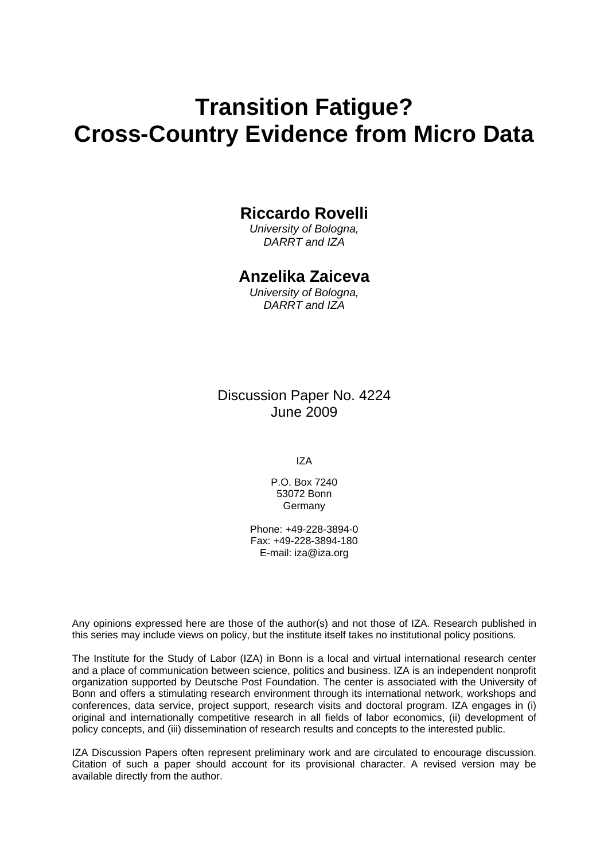# **Transition Fatigue? Cross-Country Evidence from Micro Data**

### **Riccardo Rovelli**

*University of Bologna, DARRT and IZA* 

### **Anzelika Zaiceva**

*University of Bologna, DARRT and IZA* 

Discussion Paper No. 4224 June 2009

IZA

P.O. Box 7240 53072 Bonn Germany

Phone: +49-228-3894-0 Fax: +49-228-3894-180 E-mail: [iza@iza.org](mailto:iza@iza.org)

Any opinions expressed here are those of the author(s) and not those of IZA. Research published in this series may include views on policy, but the institute itself takes no institutional policy positions.

The Institute for the Study of Labor (IZA) in Bonn is a local and virtual international research center and a place of communication between science, politics and business. IZA is an independent nonprofit organization supported by Deutsche Post Foundation. The center is associated with the University of Bonn and offers a stimulating research environment through its international network, workshops and conferences, data service, project support, research visits and doctoral program. IZA engages in (i) original and internationally competitive research in all fields of labor economics, (ii) development of policy concepts, and (iii) dissemination of research results and concepts to the interested public.

IZA Discussion Papers often represent preliminary work and are circulated to encourage discussion. Citation of such a paper should account for its provisional character. A revised version may be available directly from the author.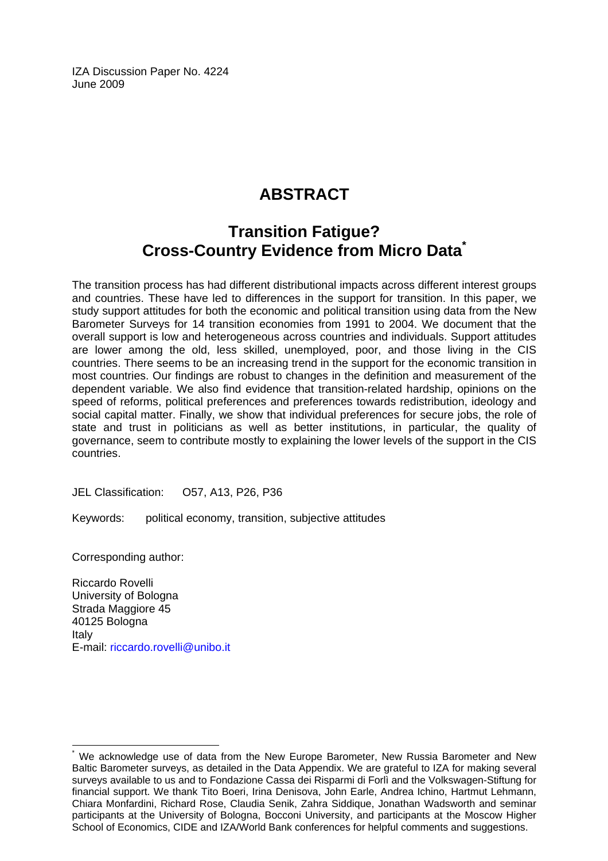IZA Discussion Paper No. 4224 June 2009

## **ABSTRACT**

## **Transition Fatigue? Cross-Country Evidence from Micro Dat[a\\*](#page-2-0)**

The transition process has had different distributional impacts across different interest groups and countries. These have led to differences in the support for transition. In this paper, we study support attitudes for both the economic and political transition using data from the New Barometer Surveys for 14 transition economies from 1991 to 2004. We document that the overall support is low and heterogeneous across countries and individuals. Support attitudes are lower among the old, less skilled, unemployed, poor, and those living in the CIS countries. There seems to be an increasing trend in the support for the economic transition in most countries. Our findings are robust to changes in the definition and measurement of the dependent variable. We also find evidence that transition-related hardship, opinions on the speed of reforms, political preferences and preferences towards redistribution, ideology and social capital matter. Finally, we show that individual preferences for secure jobs, the role of state and trust in politicians as well as better institutions, in particular, the quality of governance, seem to contribute mostly to explaining the lower levels of the support in the CIS countries.

JEL Classification: O57, A13, P26, P36

Keywords: political economy, transition, subjective attitudes

Corresponding author:

 $\overline{a}$ 

Riccardo Rovelli University of Bologna Strada Maggiore 45 40125 Bologna Italy E-mail: [riccardo.rovelli@unibo.it](mailto:riccardo.rovelli@unibo.it)

<span id="page-2-0"></span><sup>\*</sup> We acknowledge use of data from the New Europe Barometer, New Russia Barometer and New Baltic Barometer surveys, as detailed in the Data Appendix. We are grateful to IZA for making several surveys available to us and to Fondazione Cassa dei Risparmi di Forlì and the Volkswagen-Stiftung for financial support. We thank Tito Boeri, Irina Denisova, John Earle, Andrea Ichino, Hartmut Lehmann, Chiara Monfardini, Richard Rose, Claudia Senik, Zahra Siddique, Jonathan Wadsworth and seminar participants at the University of Bologna, Bocconi University, and participants at the Moscow Higher School of Economics, CIDE and IZA/World Bank conferences for helpful comments and suggestions.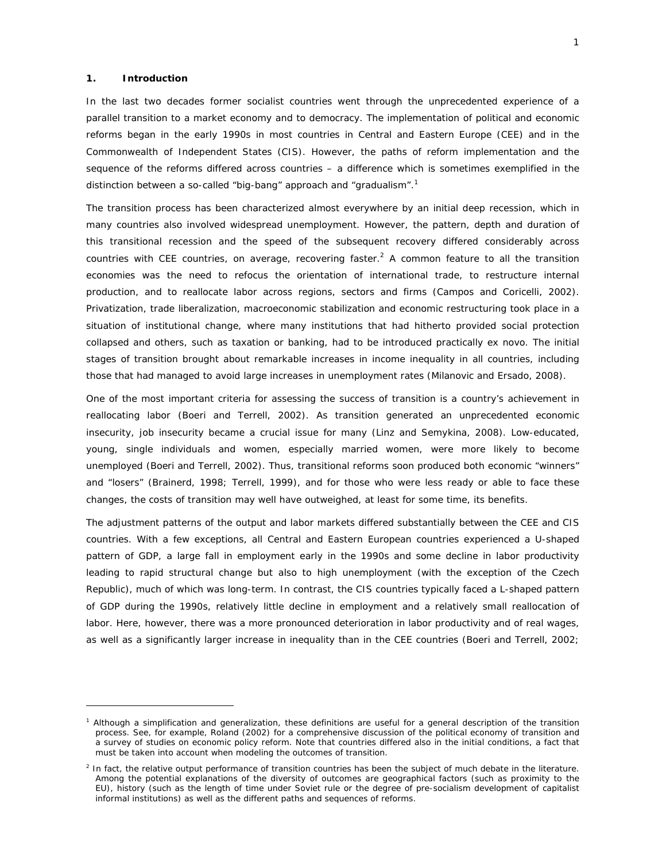#### **1. Introduction**

 $\overline{a}$ 

In the last two decades former socialist countries went through the unprecedented experience of a parallel transition to a market economy and to democracy. The implementation of political and economic reforms began in the early 1990s in most countries in Central and Eastern Europe (CEE) and in the Commonwealth of Independent States (CIS). However, the paths of reform implementation and the sequence of the reforms differed across countries – a difference which is sometimes exemplified in the distinction between a so-called "big-bang" approach and "gradualism".<sup>1</sup>

The transition process has been characterized almost everywhere by an initial deep recession, which in many countries also involved widespread unemployment. However, the pattern, depth and duration of this transitional recession and the speed of the subsequent recovery differed considerably across countries with CEE countries, on average, recovering faster.<sup>2</sup> A common feature to all the transition economies was the need to refocus the orientation of international trade, to restructure internal production, and to reallocate labor across regions, sectors and firms (Campos and Coricelli, 2002). Privatization, trade liberalization, macroeconomic stabilization and economic restructuring took place in a situation of institutional change, where many institutions that had hitherto provided social protection collapsed and others, such as taxation or banking, had to be introduced practically ex novo. The initial stages of transition brought about remarkable increases in income inequality in all countries, including those that had managed to avoid large increases in unemployment rates (Milanovic and Ersado, 2008).

One of the most important criteria for assessing the success of transition is a country's achievement in reallocating labor (Boeri and Terrell, 2002). As transition generated an unprecedented economic insecurity, job insecurity became a crucial issue for many (Linz and Semykina, 2008). Low-educated, young, single individuals and women, especially married women, were more likely to become unemployed (Boeri and Terrell, 2002). Thus, transitional reforms soon produced both economic "winners" and "losers" (Brainerd, 1998; Terrell, 1999), and for those who were less ready or able to face these changes, the costs of transition may well have outweighed, at least for some time, its benefits.

The adjustment patterns of the output and labor markets differed substantially between the CEE and CIS countries. With a few exceptions, all Central and Eastern European countries experienced a U-shaped pattern of GDP, a large fall in employment early in the 1990s and some decline in labor productivity leading to rapid structural change but also to high unemployment (with the exception of the Czech Republic), much of which was long-term. In contrast, the CIS countries typically faced a L-shaped pattern of GDP during the 1990s, relatively little decline in employment and a relatively small reallocation of labor. Here, however, there was a more pronounced deterioration in labor productivity and of real wages, as well as a significantly larger increase in inequality than in the CEE countries (Boeri and Terrell, 2002;

<sup>&</sup>lt;sup>1</sup> Although a simplification and generalization, these definitions are useful for a general description of the transition process. See, for example, Roland (2002) for a comprehensive discussion of the political economy of transition and a survey of studies on economic policy reform. Note that countries differed also in the initial conditions, a fact that must be taken into account when modeling the outcomes of transition.

<sup>&</sup>lt;sup>2</sup> In fact, the relative output performance of transition countries has been the subject of much debate in the literature. Among the potential explanations of the diversity of outcomes are geographical factors (such as proximity to the EU), history (such as the length of time under Soviet rule or the degree of pre-socialism development of capitalist informal institutions) as well as the different paths and sequences of reforms.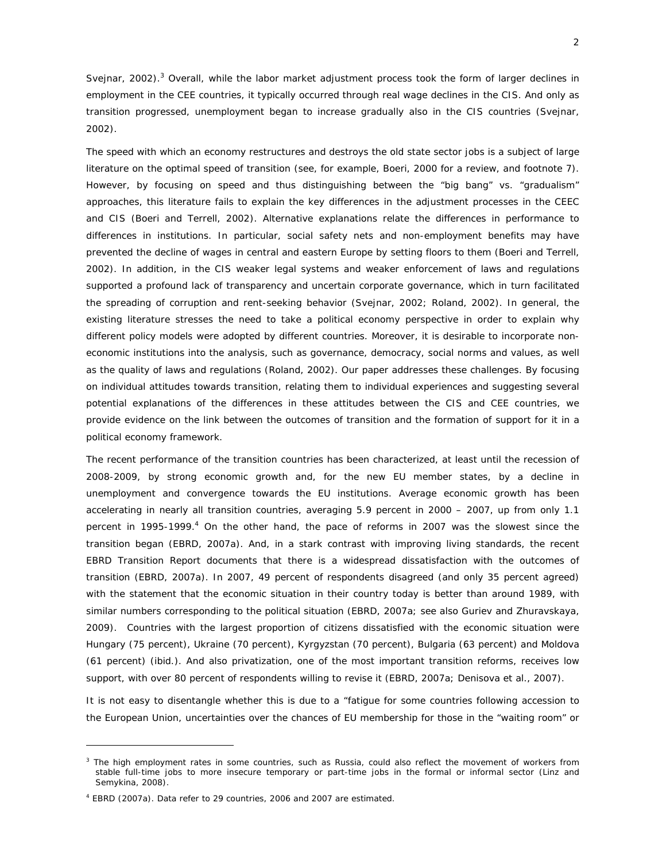Svejnar, 2002).<sup>3</sup> Overall, while the labor market adjustment process took the form of larger declines in employment in the CEE countries, it typically occurred through real wage declines in the CIS. And only as transition progressed, unemployment began to increase gradually also in the CIS countries (Svejnar, 2002).

The speed with which an economy restructures and destroys the old state sector jobs is a subject of large literature on the optimal speed of transition (see, for example, Boeri, 2000 for a review, and footnote 7). However, by focusing on speed and thus distinguishing between the "big bang" vs. "gradualism" approaches, this literature fails to explain the key differences in the adjustment processes in the CEEC and CIS (Boeri and Terrell, 2002). Alternative explanations relate the differences in performance to differences in institutions. In particular, social safety nets and non-employment benefits may have prevented the decline of wages in central and eastern Europe by setting floors to them (Boeri and Terrell, 2002). In addition, in the CIS weaker legal systems and weaker enforcement of laws and regulations supported a profound lack of transparency and uncertain corporate governance, which in turn facilitated the spreading of corruption and rent-seeking behavior (Svejnar, 2002; Roland, 2002). In general, the existing literature stresses the need to take a political economy perspective in order to explain why different policy models were adopted by different countries. Moreover, it is desirable to incorporate noneconomic institutions into the analysis, such as governance, democracy, social norms and values, as well as the quality of laws and regulations (Roland, 2002). Our paper addresses these challenges. By focusing on individual attitudes towards transition, relating them to individual experiences and suggesting several potential explanations of the differences in these attitudes between the CIS and CEE countries, we provide evidence on the link between the outcomes of transition and the formation of support for it in a political economy framework.

The recent performance of the transition countries has been characterized, at least until the recession of 2008-2009, by strong economic growth and, for the new EU member states, by a decline in unemployment and convergence towards the EU institutions. Average economic growth has been accelerating in nearly all transition countries, averaging 5.9 percent in 2000 – 2007, up from only 1.1 percent in 1995-1999.<sup>4</sup> On the other hand, the pace of reforms in 2007 was the slowest since the transition began (EBRD, 2007a). And, in a stark contrast with improving living standards, the recent EBRD Transition Report documents that there is a widespread dissatisfaction with the outcomes of transition (EBRD, 2007a). In 2007, 49 percent of respondents disagreed (and only 35 percent agreed) with the statement that the economic situation in their country today is better than around 1989, with similar numbers corresponding to the political situation (EBRD, 2007a; see also Guriev and Zhuravskaya, 2009). Countries with the largest proportion of citizens dissatisfied with the economic situation were Hungary (75 percent), Ukraine (70 percent), Kyrgyzstan (70 percent), Bulgaria (63 percent) and Moldova (61 percent) (*ibid.*). And also privatization, one of the most important transition reforms, receives low support, with over 80 percent of respondents willing to revise it (EBRD, 2007a; Denisova et al., 2007).

It is not easy to disentangle whether this is due to a "fatigue for some countries following accession to the European Union, uncertainties over the chances of EU membership for those in the "waiting room" or

<sup>&</sup>lt;sup>3</sup> The high employment rates in some countries, such as Russia, could also reflect the movement of workers from stable full-time jobs to more insecure temporary or part-time jobs in the formal or informal sector (Linz and Semykina, 2008).

<sup>4</sup> EBRD (2007a). Data refer to 29 countries, 2006 and 2007 are estimated.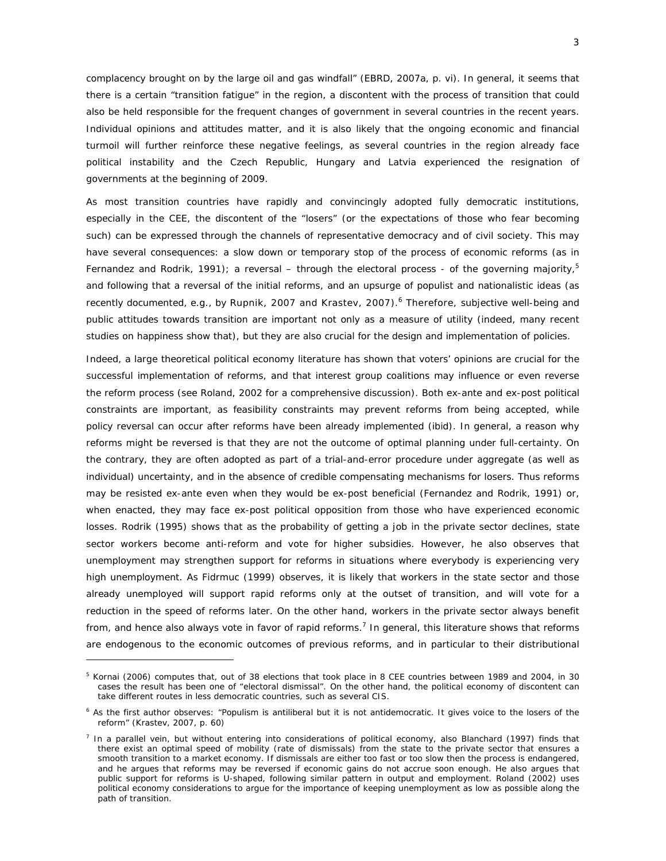complacency brought on by the large oil and gas windfall" (EBRD, 2007a, p. vi). In general, it seems that there is a certain "transition fatigue" in the region, a discontent with the process of transition that could also be held responsible for the frequent changes of government in several countries in the recent years. Individual opinions and attitudes matter, and it is also likely that the ongoing economic and financial turmoil will further reinforce these negative feelings, as several countries in the region already face political instability and the Czech Republic, Hungary and Latvia experienced the resignation of governments at the beginning of 2009.

As most transition countries have rapidly and convincingly adopted fully democratic institutions, especially in the CEE, the discontent of the "losers" (or the expectations of those who fear becoming such) can be expressed through the channels of representative democracy and of civil society. This may have several consequences: a slow down or temporary stop of the process of economic reforms (as in Fernandez and Rodrik, 1991); a reversal – through the electoral process - of the governing majority,<sup>5</sup> and following that a reversal of the initial reforms, and an upsurge of populist and nationalistic ideas (as recently documented, e.g., by Rupnik, 2007 and Krastev, 2007).<sup>6</sup> Therefore, subjective well-being and public attitudes towards transition are important not only as a measure of utility (indeed, many recent studies on happiness show that), but they are also crucial for the design and implementation of policies.

Indeed, a large theoretical political economy literature has shown that voters' opinions are crucial for the successful implementation of reforms, and that interest group coalitions may influence or even reverse the reform process (see Roland, 2002 for a comprehensive discussion). Both ex-ante and ex-post political constraints are important, as feasibility constraints may prevent reforms from being accepted, while policy reversal can occur after reforms have been already implemented *(ibid*). In general, a reason why reforms might be reversed is that they are not the outcome of optimal planning under full-certainty. On the contrary, they are often adopted as part of a trial-and-error procedure under aggregate (as well as individual) uncertainty, and in the absence of credible compensating mechanisms for losers. Thus reforms may be resisted ex-ante even when they would be ex-post beneficial (Fernandez and Rodrik, 1991) or, when enacted, they may face ex-post political opposition from those who have experienced economic losses. Rodrik (1995) shows that as the probability of getting a job in the private sector declines, state sector workers become anti-reform and vote for higher subsidies. However, he also observes that unemployment may strengthen support for reforms in situations where everybody is experiencing very high unemployment. As Fidrmuc (1999) observes, it is likely that workers in the state sector and those already unemployed will support rapid reforms only at the outset of transition, and will vote for a reduction in the speed of reforms later. On the other hand, workers in the private sector always benefit from, and hence also always vote in favor of rapid reforms.<sup>7</sup> In general, this literature shows that reforms are endogenous to the economic outcomes of previous reforms, and in particular to their distributional

<sup>&</sup>lt;sup>5</sup> Kornai (2006) computes that, out of 38 elections that took place in 8 CEE countries between 1989 and 2004, in 30 cases the result has been one of "electoral dismissal". On the other hand, the political economy of discontent can take different routes in less democratic countries, such as several CIS.

<sup>&</sup>lt;sup>6</sup> As the first author observes: "Populism is antiliberal but it is not antidemocratic. It gives voice to the losers of the reform" (Krastev, 2007, p. 60)

 $^7$  In a parallel vein, but without entering into considerations of political economy, also Blanchard (1997) finds that there exist an optimal speed of mobility (rate of dismissals) from the state to the private sector that ensures a smooth transition to a market economy. If dismissals are either too fast or too slow then the process is endangered, and he argues that reforms may be reversed if economic gains do not accrue soon enough. He also argues that public support for reforms is U-shaped, following similar pattern in output and employment. Roland (2002) uses political economy considerations to argue for the importance of keeping unemployment as low as possible along the path of transition.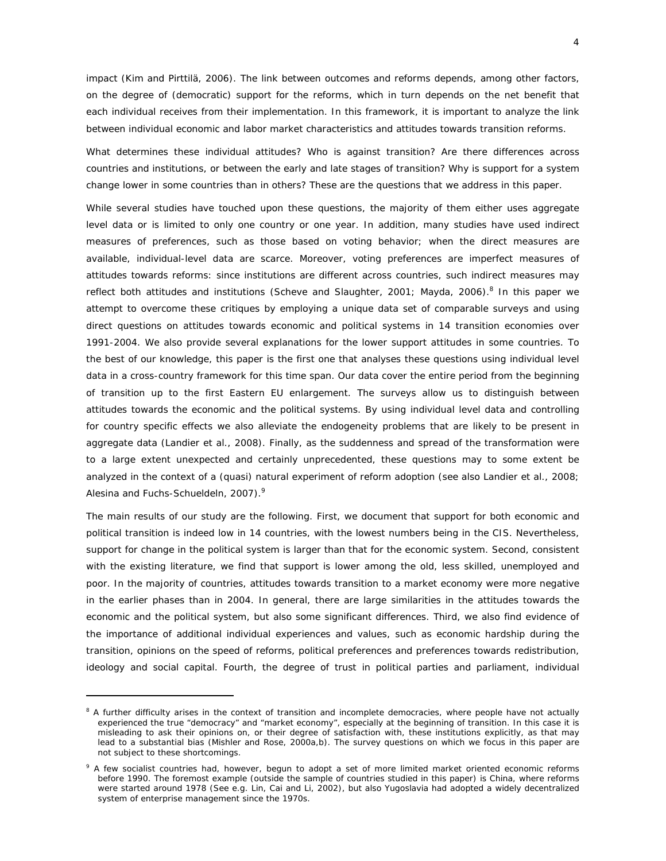impact (Kim and Pirttilä, 2006). The link between outcomes and reforms depends, among other factors, on the degree of (democratic) support for the reforms, which in turn depends on the net benefit that each individual receives from their implementation. In this framework, it is important to analyze the link between individual economic and labor market characteristics and attitudes towards transition reforms.

What determines these individual attitudes? Who is against transition? Are there differences across countries and institutions, or between the early and late stages of transition? Why is support for a system change lower in some countries than in others? These are the questions that we address in this paper.

While several studies have touched upon these questions, the majority of them either uses aggregate level data or is limited to only one country or one year. In addition, many studies have used indirect measures of preferences, such as those based on voting behavior; when the direct measures are available, individual-level data are scarce. Moreover, voting preferences are imperfect measures of attitudes towards reforms: since institutions are different across countries, such indirect measures may reflect both attitudes *and* institutions (Scheve and Slaughter, 2001; Mayda, 2006).<sup>8</sup> In this paper we attempt to overcome these critiques by employing a unique data set of comparable surveys and using direct questions on attitudes towards economic and political systems in 14 transition economies over 1991-2004. We also provide several explanations for the lower support attitudes in some countries. To the best of our knowledge, this paper is the first one that analyses these questions using individual level data in a cross-country framework for this time span. Our data cover the entire period from the beginning of transition up to the first Eastern EU enlargement. The surveys allow us to distinguish between attitudes towards the economic and the political systems. By using individual level data and controlling for country specific effects we also alleviate the endogeneity problems that are likely to be present in aggregate data (Landier et al., 2008). Finally, as the suddenness and spread of the transformation were to a large extent unexpected and certainly unprecedented, these questions may to some extent be analyzed in the context of a (quasi) natural experiment of reform adoption (see also Landier et al., 2008; Alesina and Fuchs-Schueldeln, 2007).<sup>9</sup>

The main results of our study are the following. First, we document that support for both economic and political transition is indeed low in 14 countries, with the lowest numbers being in the CIS. Nevertheless, support for change in the political system is larger than that for the economic system. Second, consistent with the existing literature, we find that support is lower among the old, less skilled, unemployed and poor. In the majority of countries, attitudes towards transition to a market economy were more negative in the earlier phases than in 2004. In general, there are large similarities in the attitudes towards the economic and the political system, but also some significant differences. Third, we also find evidence of the importance of additional individual experiences and values, such as economic hardship during the transition, opinions on the speed of reforms, political preferences and preferences towards redistribution, ideology and social capital. Fourth, the degree of trust in political parties and parliament, individual

<sup>&</sup>lt;sup>8</sup> A further difficulty arises in the context of transition and incomplete democracies, where people have not actually experienced the true "democracy" and "market economy", especially at the beginning of transition. In this case it is misleading to ask their opinions on, or their degree of satisfaction with, these institutions explicitly, as that may lead to a substantial bias (Mishler and Rose, 2000a,b). The survey questions on which we focus in this paper are not subject to these shortcomings.

<sup>&</sup>lt;sup>9</sup> A few socialist countries had, however, begun to adopt a set of more limited market oriented economic reforms before 1990. The foremost example (outside the sample of countries studied in this paper) is China, where reforms were started around 1978 (See e.g. Lin, Cai and Li, 2002), but also Yugoslavia had adopted a widely decentralized system of enterprise management since the 1970s.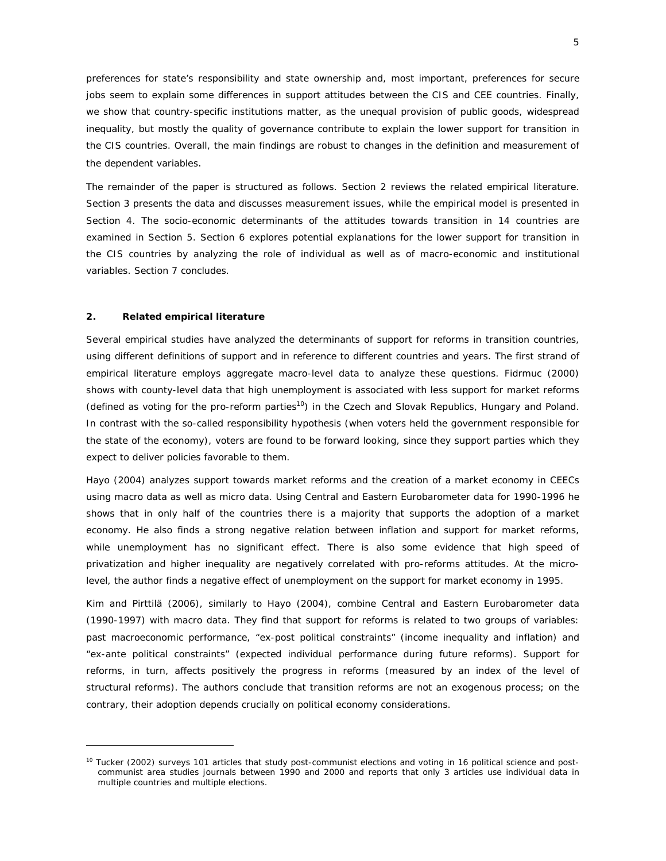preferences for state's responsibility and state ownership and, most important, preferences for secure jobs seem to explain some differences in support attitudes between the CIS and CEE countries. Finally, we show that country-specific institutions matter, as the unequal provision of public goods, widespread inequality, but mostly the quality of governance contribute to explain the lower support for transition in the CIS countries. Overall, the main findings are robust to changes in the definition and measurement of the dependent variables.

The remainder of the paper is structured as follows. Section 2 reviews the related empirical literature. Section 3 presents the data and discusses measurement issues, while the empirical model is presented in Section 4. The socio-economic determinants of the attitudes towards transition in 14 countries are examined in Section 5. Section 6 explores potential explanations for the lower support for transition in the CIS countries by analyzing the role of individual as well as of macro-economic and institutional variables. Section 7 concludes.

#### **2. Related empirical literature**

 $\overline{a}$ 

Several empirical studies have analyzed the determinants of support for reforms in transition countries, using different definitions of support and in reference to different countries and years. The first strand of empirical literature employs aggregate macro-level data to analyze these questions. Fidrmuc (2000) shows with county-level data that high unemployment is associated with less support for market reforms (defined as voting for the pro-reform parties<sup>10</sup>) in the Czech and Slovak Republics, Hungary and Poland. In contrast with the so-called responsibility hypothesis (when voters held the government responsible for the state of the economy), voters are found to be forward looking, since they support parties which they expect to deliver policies favorable to them.

Hayo (2004) analyzes support towards market reforms and the creation of a market economy in CEECs using macro data as well as micro data. Using Central and Eastern Eurobarometer data for 1990-1996 he shows that in only half of the countries there is a majority that supports the adoption of a market economy. He also finds a strong negative relation between inflation and support for market reforms, while unemployment has no significant effect. There is also some evidence that high speed of privatization and higher inequality are negatively correlated with pro-reforms attitudes. At the microlevel, the author finds a negative effect of unemployment on the support for market economy in 1995.

Kim and Pirttilä (2006), similarly to Hayo (2004), combine Central and Eastern Eurobarometer data (1990-1997) with macro data. They find that support for reforms is related to two groups of variables: past macroeconomic performance, "ex-post political constraints" (income inequality and inflation) and "ex-ante political constraints" (expected individual performance during future reforms). Support for reforms, in turn, affects positively the progress in reforms (measured by an index of the level of structural reforms). The authors conclude that transition reforms are not an exogenous process; on the contrary, their adoption depends crucially on political economy considerations.

<sup>&</sup>lt;sup>10</sup> Tucker (2002) surveys 101 articles that study post-communist elections and voting in 16 political science and postcommunist area studies journals between 1990 and 2000 and reports that only 3 articles use individual data in multiple countries and multiple elections.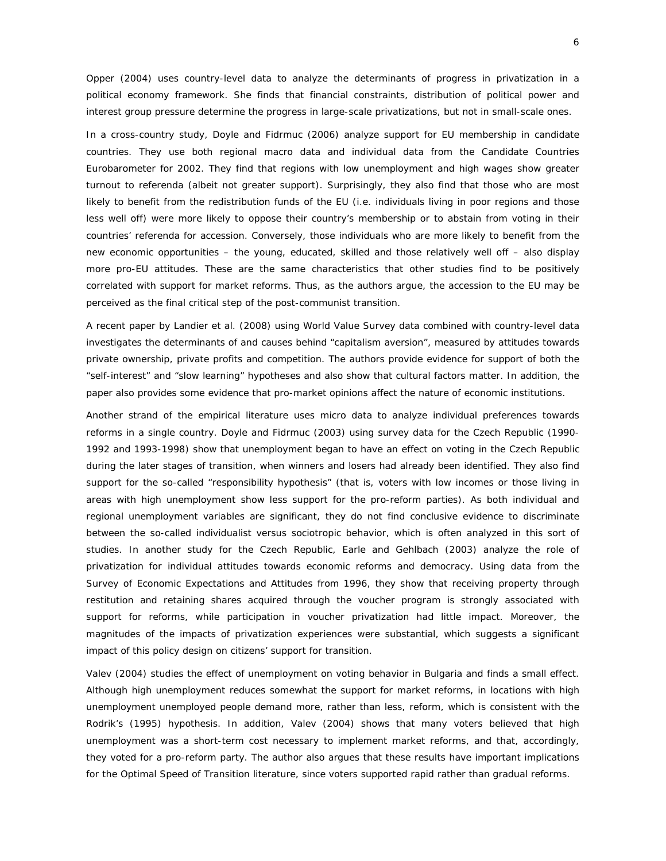Opper (2004) uses country-level data to analyze the determinants of progress in privatization in a political economy framework. She finds that financial constraints, distribution of political power and interest group pressure determine the progress in large-scale privatizations, but not in small-scale ones.

In a cross-country study, Doyle and Fidrmuc (2006) analyze support for EU membership in candidate countries. They use both regional macro data and individual data from the Candidate Countries Eurobarometer for 2002. They find that regions with low unemployment and high wages show greater turnout to referenda (albeit not greater support). Surprisingly, they also find that those who are most likely to benefit from the redistribution funds of the EU (i.e. individuals living in poor regions and those less well off) were more likely to oppose their country's membership or to abstain from voting in their countries' referenda for accession. Conversely, those individuals who are more likely to benefit from the new economic opportunities – the young, educated, skilled and those relatively well off – also display more pro-EU attitudes. These are the same characteristics that other studies find to be positively correlated with support for market reforms. Thus, as the authors argue, the accession to the EU may be perceived as the final critical step of the post-communist transition.

A recent paper by Landier et al. (2008) using World Value Survey data combined with country-level data investigates the determinants of and causes behind "capitalism aversion", measured by attitudes towards private ownership, private profits and competition. The authors provide evidence for support of both the "self-interest" and "slow learning" hypotheses and also show that cultural factors matter. In addition, the paper also provides some evidence that pro-market opinions affect the nature of economic institutions.

Another strand of the empirical literature uses micro data to analyze individual preferences towards reforms in a single country. Doyle and Fidrmuc (2003) using survey data for the Czech Republic (1990- 1992 and 1993-1998) show that unemployment began to have an effect on voting in the Czech Republic during the later stages of transition, when winners and losers had already been identified. They also find support for the so-called "responsibility hypothesis" (that is, voters with low incomes or those living in areas with high unemployment show less support for the pro-reform parties). As both individual and regional unemployment variables are significant, they do not find conclusive evidence to discriminate between the so-called individualist versus sociotropic behavior, which is often analyzed in this sort of studies. In another study for the Czech Republic, Earle and Gehlbach (2003) analyze the role of privatization for individual attitudes towards economic reforms and democracy. Using data from the Survey of Economic Expectations and Attitudes from 1996, they show that receiving property through restitution and retaining shares acquired through the voucher program is strongly associated with support for reforms, while participation in voucher privatization had little impact. Moreover, the magnitudes of the impacts of privatization experiences were substantial, which suggests a significant impact of this policy design on citizens' support for transition.

Valev (2004) studies the effect of unemployment on voting behavior in Bulgaria and finds a small effect. Although high unemployment reduces somewhat the support for market reforms, in locations with high unemployment unemployed people demand more, rather than less, reform, which is consistent with the Rodrik's (1995) hypothesis. In addition, Valev (2004) shows that many voters believed that high unemployment was a short-term cost necessary to implement market reforms, and that, accordingly, they voted for a pro-reform party. The author also argues that these results have important implications for the Optimal Speed of Transition literature, since voters supported rapid rather than gradual reforms.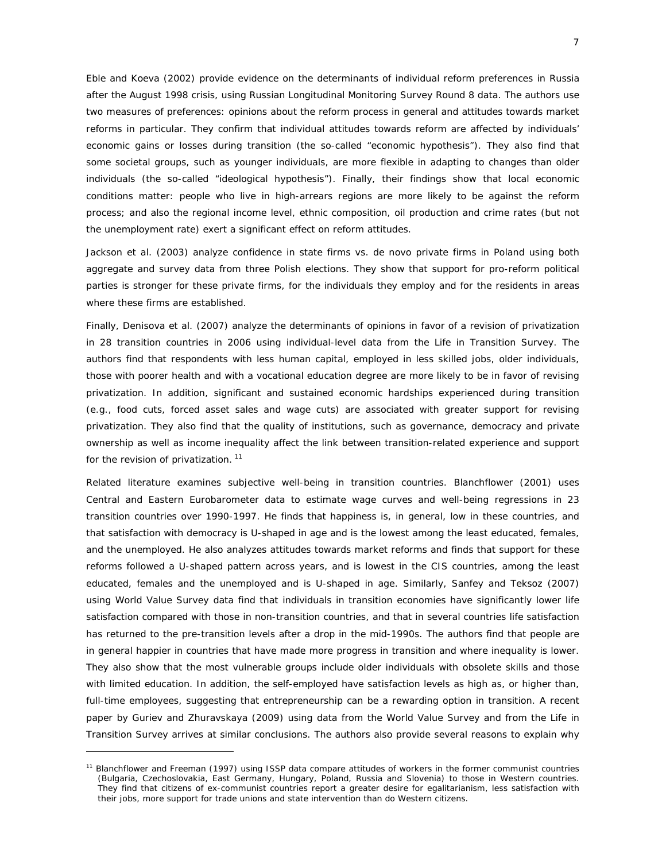Eble and Koeva (2002) provide evidence on the determinants of individual reform preferences in Russia after the August 1998 crisis, using Russian Longitudinal Monitoring Survey Round 8 data. The authors use two measures of preferences: opinions about the reform process in general and attitudes towards market reforms in particular. They confirm that individual attitudes towards reform are affected by individuals' economic gains or losses during transition (the so-called "economic hypothesis"). They also find that some societal groups, such as younger individuals, are more flexible in adapting to changes than older individuals (the so-called "ideological hypothesis"). Finally, their findings show that local economic conditions matter: people who live in high-arrears regions are more likely to be against the reform process; and also the regional income level, ethnic composition, oil production and crime rates (but not the unemployment rate) exert a significant effect on reform attitudes.

Jackson et al. (2003) analyze confidence in state firms vs. *de novo* private firms in Poland using both aggregate and survey data from three Polish elections. They show that support for pro-reform political parties is stronger for these private firms, for the individuals they employ and for the residents in areas where these firms are established.

Finally, Denisova et al. (2007) analyze the determinants of opinions in favor of a revision of privatization in 28 transition countries in 2006 using individual-level data from the Life in Transition Survey. The authors find that respondents with less human capital, employed in less skilled jobs, older individuals, those with poorer health and with a vocational education degree are more likely to be in favor of revising privatization. In addition, significant and sustained economic hardships experienced during transition (e.g., food cuts, forced asset sales and wage cuts) are associated with greater support for revising privatization. They also find that the quality of institutions, such as governance, democracy and private ownership as well as income inequality affect the link between transition-related experience and support for the revision of privatization.<sup>11</sup>

Related literature examines subjective well-being in transition countries. Blanchflower (2001) uses Central and Eastern Eurobarometer data to estimate wage curves and well-being regressions in 23 transition countries over 1990-1997. He finds that happiness is, in general, low in these countries, and that satisfaction with democracy is U-shaped in age and is the lowest among the least educated, females, and the unemployed. He also analyzes attitudes towards market reforms and finds that support for these reforms followed a U-shaped pattern across years, and is lowest in the CIS countries, among the least educated, females and the unemployed and is U-shaped in age. Similarly, Sanfey and Teksoz (2007) using World Value Survey data find that individuals in transition economies have significantly lower life satisfaction compared with those in non-transition countries, and that in several countries life satisfaction has returned to the pre-transition levels after a drop in the mid-1990s. The authors find that people are in general happier in countries that have made more progress in transition and where inequality is lower. They also show that the most vulnerable groups include older individuals with obsolete skills and those with limited education. In addition, the self-employed have satisfaction levels as high as, or higher than, full-time employees, suggesting that entrepreneurship can be a rewarding option in transition. A recent paper by Guriev and Zhuravskaya (2009) using data from the World Value Survey and from the Life in Transition Survey arrives at similar conclusions. The authors also provide several reasons to explain why

<sup>&</sup>lt;sup>11</sup> Blanchflower and Freeman (1997) using ISSP data compare attitudes of workers in the former communist countries (Bulgaria, Czechoslovakia, East Germany, Hungary, Poland, Russia and Slovenia) to those in Western countries. They find that citizens of ex-communist countries report a greater desire for egalitarianism, less satisfaction with their jobs, more support for trade unions and state intervention than do Western citizens.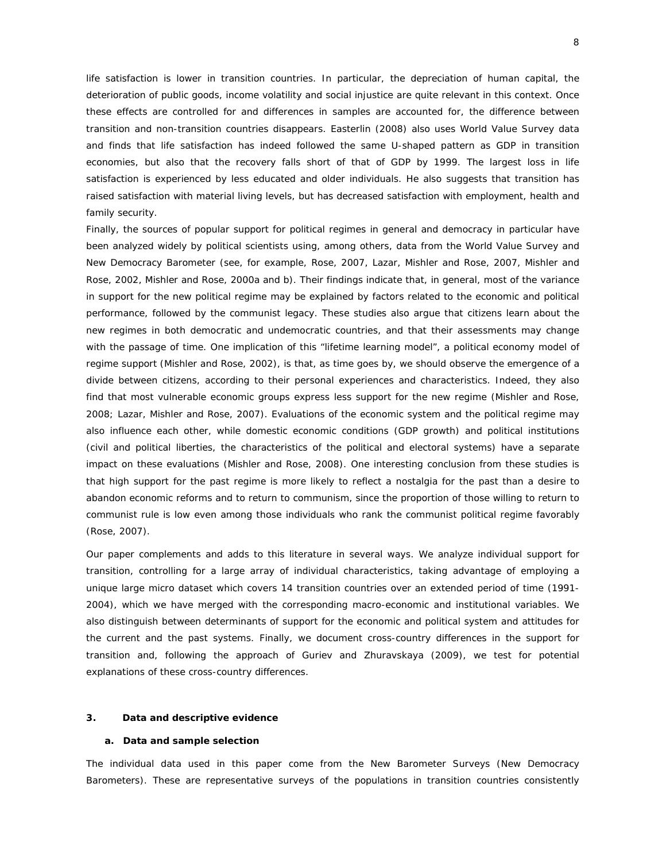life satisfaction is lower in transition countries. In particular, the depreciation of human capital, the deterioration of public goods, income volatility and social injustice are quite relevant in this context. Once these effects are controlled for and differences in samples are accounted for, the difference between transition and non-transition countries disappears. Easterlin (2008) also uses World Value Survey data and finds that life satisfaction has indeed followed the same U-shaped pattern as GDP in transition economies, but also that the recovery falls short of that of GDP by 1999. The largest loss in life satisfaction is experienced by less educated and older individuals. He also suggests that transition has raised satisfaction with material living levels, but has decreased satisfaction with employment, health and family security.

Finally, the sources of popular support for political regimes in general and democracy in particular have been analyzed widely by political scientists using, among others, data from the World Value Survey and New Democracy Barometer (see, for example, Rose, 2007, Lazar, Mishler and Rose, 2007, Mishler and Rose, 2002, Mishler and Rose, 2000a and b). Their findings indicate that, in general, most of the variance in support for the new political regime may be explained by factors related to the economic and political performance, followed by the communist legacy. These studies also argue that citizens learn about the new regimes in both democratic and undemocratic countries, and that their assessments may change with the passage of time. One implication of this "lifetime learning model", a political economy model of regime support (Mishler and Rose, 2002), is that, as time goes by, we should observe the emergence of a divide between citizens, according to their personal experiences and characteristics. Indeed, they also find that most vulnerable economic groups express less support for the new regime (Mishler and Rose, 2008; Lazar, Mishler and Rose, 2007). Evaluations of the economic system and the political regime may also influence each other, while domestic economic conditions (GDP growth) and political institutions (civil and political liberties, the characteristics of the political and electoral systems) have a separate impact on these evaluations (Mishler and Rose, 2008). One interesting conclusion from these studies is that high support for the past regime is more likely to reflect a nostalgia for the past than a desire to abandon economic reforms and to return to communism, since the proportion of those willing to return to communist rule is low even among those individuals who rank the communist political regime favorably (Rose, 2007).

Our paper complements and adds to this literature in several ways. We analyze individual support for transition, controlling for a large array of individual characteristics, taking advantage of employing a unique large micro dataset which covers 14 transition countries over an extended period of time (1991- 2004), which we have merged with the corresponding macro-economic and institutional variables. We also distinguish between determinants of support for the economic and political system and attitudes for the current and the past systems. Finally, we document cross-country differences in the support for transition and, following the approach of Guriev and Zhuravskaya (2009), we test for potential explanations of these cross-country differences.

#### **3. Data and descriptive evidence**

#### **a. Data and sample selection**

The individual data used in this paper come from the New Barometer Surveys (New Democracy Barometers). These are representative surveys of the populations in transition countries consistently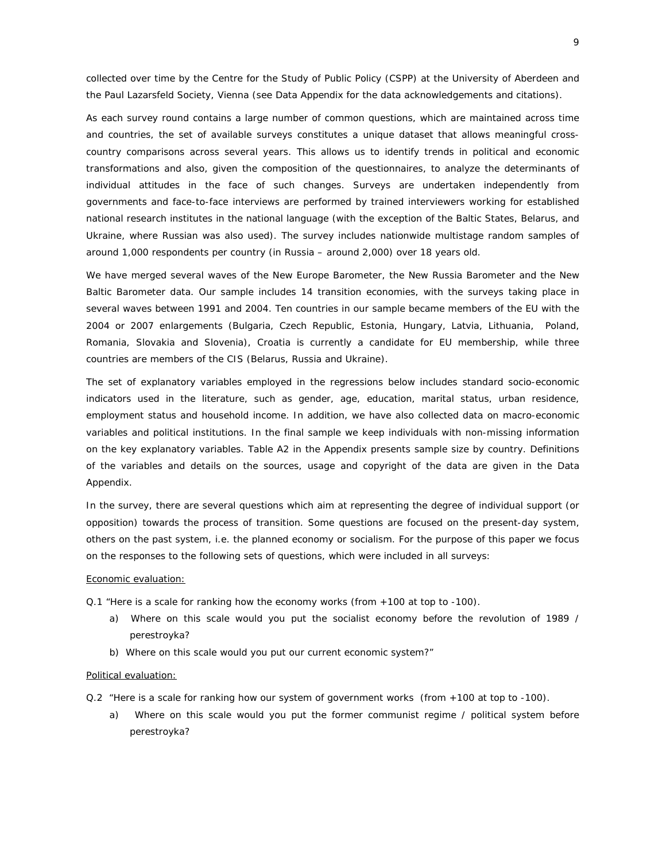collected over time by the Centre for the Study of Public Policy (CSPP) at the University of Aberdeen and the Paul Lazarsfeld Society, Vienna (see Data Appendix for the data acknowledgements and citations).

As each survey round contains a large number of common questions, which are maintained across time and countries, the set of available surveys constitutes a unique dataset that allows meaningful crosscountry comparisons across several years. This allows us to identify trends in political and economic transformations and also, given the composition of the questionnaires, to analyze the determinants of individual attitudes in the face of such changes. Surveys are undertaken independently from governments and face-to-face interviews are performed by trained interviewers working for established national research institutes in the national language (with the exception of the Baltic States, Belarus, and Ukraine, where Russian was also used). The survey includes nationwide multistage random samples of around 1,000 respondents per country (in Russia – around 2,000) over 18 years old.

We have merged several waves of the New Europe Barometer, the New Russia Barometer and the New Baltic Barometer data. Our sample includes 14 transition economies, with the surveys taking place in several waves between 1991 and 2004. Ten countries in our sample became members of the EU with the 2004 or 2007 enlargements (Bulgaria, Czech Republic, Estonia, Hungary, Latvia, Lithuania, Poland, Romania, Slovakia and Slovenia), Croatia is currently a candidate for EU membership, while three countries are members of the CIS (Belarus, Russia and Ukraine).

The set of explanatory variables employed in the regressions below includes standard socio-economic indicators used in the literature, such as gender, age, education, marital status, urban residence, employment status and household income. In addition, we have also collected data on macro-economic variables and political institutions. In the final sample we keep individuals with non-missing information on the key explanatory variables. Table A2 in the Appendix presents sample size by country. Definitions of the variables and details on the sources, usage and copyright of the data are given in the Data Appendix*.* 

In the survey, there are several questions which aim at representing the degree of individual support (or opposition) towards the process of transition. Some questions are focused on the present-day system, others on the past system, i.e. the planned economy or socialism. For the purpose of this paper we focus on the responses to the following sets of questions, which were included in all surveys:

#### Economic evaluation:

- Q.1 "Here is a scale for ranking how the economy works (*from +100 at top to -100).*
	- a) Where on this scale would you put the socialist economy before the revolution of 1989 / perestroyka?
	- b) Where on this scale would you put our current economic system?"

#### Political evaluation:

- Q.2 "Here is a scale for ranking how our system of government works *(from +100 at top to -100)*.
	- a) Where on this scale would you put the former communist regime / political system before perestroyka?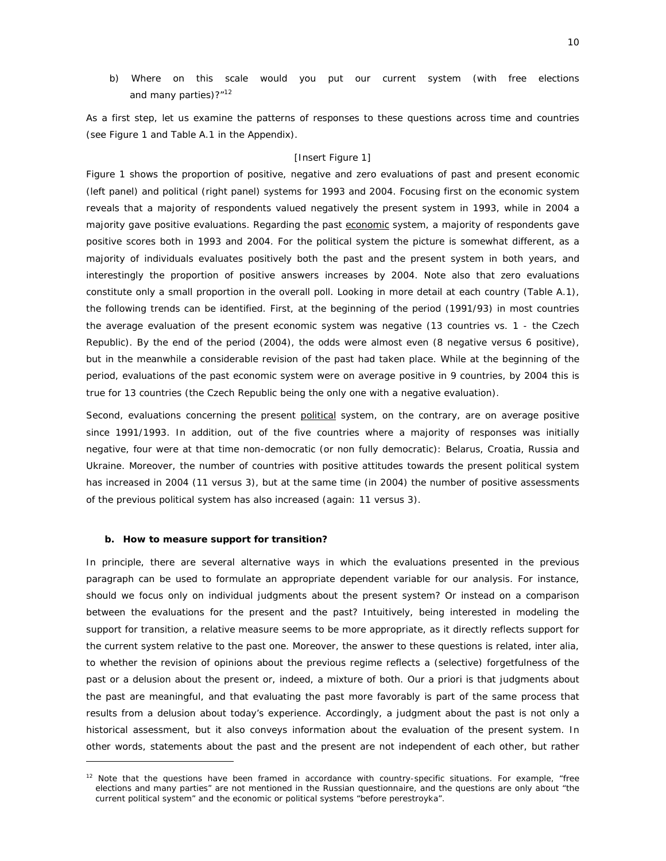b) Where on this scale would you put our current system (with free elections and many parties)?"<sup>12</sup>

As a first step, let us examine the patterns of responses to these questions across time and countries (see Figure 1 and Table A.1 in the Appendix).

#### [Insert Figure 1]

Figure 1 shows the proportion of positive, negative and zero evaluations of past and present economic (left panel) and political (right panel) systems for 1993 and 2004. Focusing first on the economic system reveals that a majority of respondents valued negatively the present system in 1993, while in 2004 a majority gave positive evaluations. Regarding the past economic system, a majority of respondents gave positive scores both in 1993 and 2004. For the political system the picture is somewhat different, as a majority of individuals evaluates positively both the past and the present system in both years, and interestingly the proportion of positive answers increases by 2004. Note also that zero evaluations constitute only a small proportion in the overall poll. Looking in more detail at each country (Table A.1), the following trends can be identified. First, at the beginning of the period (1991/93) in most countries the average evaluation of the *present* economic system was negative (13 countries vs. 1 - the Czech Republic). By the end of the period (2004), the odds were almost even (8 negative versus 6 positive), but in the meanwhile a considerable *revision* of the past had taken place. While at the beginning of the period, evaluations of the *past* economic system were on average positive in 9 countries, by 2004 this is true for 13 countries (the Czech Republic being the only one with a negative evaluation).

Second, evaluations concerning the present political system, on the contrary, are on average positive since 1991/1993. In addition, out of the five countries where a majority of responses was initially negative, four were at that time non-democratic (or non fully democratic): Belarus, Croatia, Russia and Ukraine. Moreover, the number of countries with positive attitudes towards the *present* political system has increased in 2004 (11 versus 3), but at the same time (in 2004) the number of positive assessments of the *previous* political system has also increased (again: 11 versus 3).

#### **b. How to measure support for transition?**

 $\overline{a}$ 

In principle, there are several alternative ways in which the evaluations presented in the previous paragraph can be used to formulate an appropriate dependent variable for our analysis. For instance, should we focus only on individual judgments about the present system? Or instead on a comparison between the evaluations for the present and the past? Intuitively, being interested in modeling the support for transition, a relative measure seems to be more appropriate, as it directly reflects support for the current system relative to the past one. Moreover, the answer to these questions is related, *inter alia*, to whether the revision of opinions about the previous regime reflects a (selective) forgetfulness of the past or a delusion about the present or, indeed, a mixture of both. Our a priori is that judgments about the past are meaningful, and that evaluating the past more favorably is part of the same process that results from a delusion about today's experience. Accordingly, a judgment about the past is not only a historical assessment, but it also conveys information about the evaluation of the present system. In other words, statements about the past and the present are not independent of each other, but rather

<sup>&</sup>lt;sup>12</sup> Note that the questions have been framed in accordance with country-specific situations. For example, "free elections and many parties" are not mentioned in the Russian questionnaire, and the questions are only about "the current political system" and the economic or political systems "before perestroyka".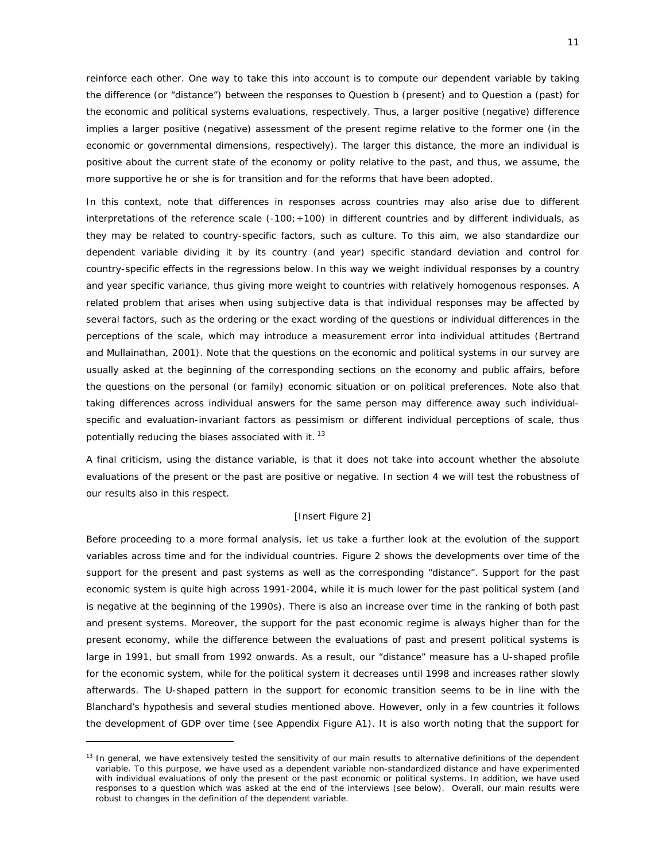reinforce each other. One way to take this into account is to compute our dependent variable by taking the difference (or "distance") between the responses to Question b (present) and to Question a (past) for the economic and political systems evaluations, respectively. Thus, a larger positive (negative) difference implies a larger positive (negative) assessment of the present regime *relative* to the former one (in the economic or governmental dimensions, respectively). The larger this distance, the more an individual is positive about the current state of the economy or polity relative to the past, and thus, we assume, the more supportive he or she is for transition and for the reforms that have been adopted.

In this context, note that differences in responses across countries may also arise due to different interpretations of the reference scale (-100; +100) in different countries and by different individuals, as they may be related to country-specific factors, such as culture. To this aim, we also standardize our dependent variable dividing it by its country (and year) specific standard deviation and control for country-specific effects in the regressions below. In this way we weight individual responses by a country and year specific variance, thus giving more weight to countries with relatively homogenous responses. A related problem that arises when using subjective data is that individual responses may be affected by several factors, such as the ordering or the exact wording of the questions or individual differences in the perceptions of the scale, which may introduce a measurement error into individual attitudes (Bertrand and Mullainathan, 2001). Note that the questions on the economic and political systems in our survey are usually asked at the beginning of the corresponding sections on the economy and public affairs, before the questions on the personal (or family) economic situation or on political preferences. Note also that taking differences across individual answers for the same person may difference away such individualspecific and evaluation-invariant factors as pessimism or different individual perceptions of scale, thus potentially reducing the biases associated with it.  $^{13}$ 

A final criticism, using the distance variable, is that it does not take into account whether the *absolute*  evaluations of the present or the past are positive or negative. In section 4 we will test the robustness of our results also in this respect.

#### [Insert Figure 2]

Before proceeding to a more formal analysis, let us take a further look at the evolution of the support variables across time and for the individual countries. Figure 2 shows the developments over time of the support for the present and past systems as well as the corresponding "distance". Support for the past economic system is quite high across 1991-2004, while it is much lower for the past political system (and is negative at the beginning of the 1990s). There is also an increase over time in the ranking of both past and present systems. Moreover, the support for the past economic regime is always higher than for the present economy, while the difference between the evaluations of past and present political systems is large in 1991, but small from 1992 onwards. As a result, our "distance" measure has a U-shaped profile for the economic system, while for the political system it decreases until 1998 and increases rather slowly afterwards. The U-shaped pattern in the support for economic transition seems to be in line with the Blanchard's hypothesis and several studies mentioned above. However, only in a few countries it follows the development of GDP over time (see Appendix Figure A1). It is also worth noting that the support for

<sup>&</sup>lt;sup>13</sup> In general, we have extensively tested the sensitivity of our main results to alternative definitions of the dependent variable. To this purpose, we have used as a dependent variable non-standardized distance and have experimented with individual evaluations of only the present or the past economic or political systems. In addition, we have used responses to a question which was asked at the end of the interviews (see below). Overall, our main results were robust to changes in the definition of the dependent variable.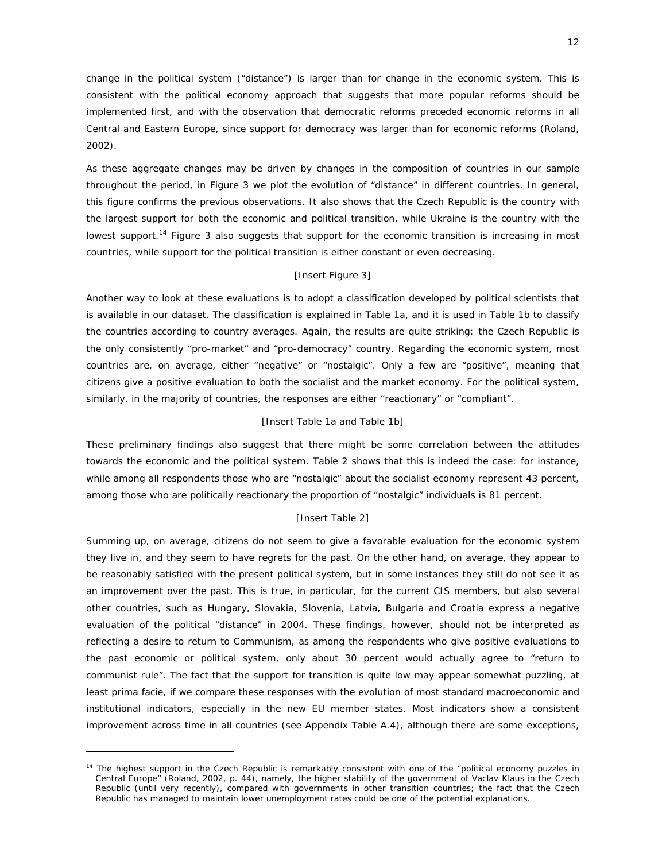change in the political system ("distance") is larger than for change in the economic system. This is consistent with the political economy approach that suggests that more popular reforms should be implemented first, and with the observation that democratic reforms preceded economic reforms in all Central and Eastern Europe, since support for democracy was larger than for economic reforms (Roland, 2002).

As these aggregate changes may be driven by changes in the composition of countries in our sample throughout the period, in Figure 3 we plot the evolution of "distance" in different countries. In general, this figure confirms the previous observations. It also shows that the Czech Republic is the country with the largest support for both the economic and political transition, while Ukraine is the country with the lowest support.<sup>14</sup> Figure 3 also suggests that support for the economic transition is increasing in most countries, while support for the political transition is either constant or even decreasing.

#### [Insert Figure 3]

Another way to look at these evaluations is to adopt a classification developed by political scientists that is available in our dataset. The classification is explained in Table 1a, and it is used in Table 1b to classify the countries according to country averages. Again, the results are quite striking: the Czech Republic is the only consistently "pro-market" and "pro-democracy" country. Regarding the economic system, most countries are, on average, either "negative" or "nostalgic". Only a few are "positive", meaning that citizens give a positive evaluation to both the socialist and the market economy. For the political system, similarly, in the majority of countries, the responses are either "reactionary" or "compliant".

#### [Insert Table 1a and Table 1b]

These preliminary findings also suggest that there might be some correlation between the attitudes towards the economic and the political system. Table 2 shows that this is indeed the case: for instance, while among all respondents those who are "nostalgic" about the socialist economy represent 43 percent, among those who are politically reactionary the proportion of "nostalgic" individuals is 81 percent.

#### [Insert Table 2]

Summing up, on average, citizens do not seem to give a favorable evaluation for the economic system they live in, and they seem to have regrets for the past. On the other hand, on average, they appear to be reasonably satisfied with the present political system, but in some instances they still do not see it as an improvement over the past. This is true, in particular, for the current CIS members, but also several other countries, such as Hungary, Slovakia, Slovenia, Latvia, Bulgaria and Croatia express a negative evaluation of the political "distance" in 2004. These findings, however, should not be interpreted as reflecting a desire to return to Communism, as among the respondents who give positive evaluations to the past economic or political system, only about 30 percent would actually agree to "return to communist rule". The fact that the support for transition is quite low may appear somewhat puzzling, at least *prima facie*, if we compare these responses with the evolution of most standard macroeconomic and institutional indicators, especially in the new EU member states. Most indicators show a consistent improvement across time in all countries (see Appendix Table A.4), although there are some exceptions,

<sup>&</sup>lt;sup>14</sup> The highest support in the Czech Republic is remarkably consistent with one of the "political economy puzzles in Central Europe" (Roland, 2002, p. 44), namely, the higher stability of the government of Vaclav Klaus in the Czech Republic (until very recently), compared with governments in other transition countries; the fact that the Czech Republic has managed to maintain lower unemployment rates could be one of the potential explanations.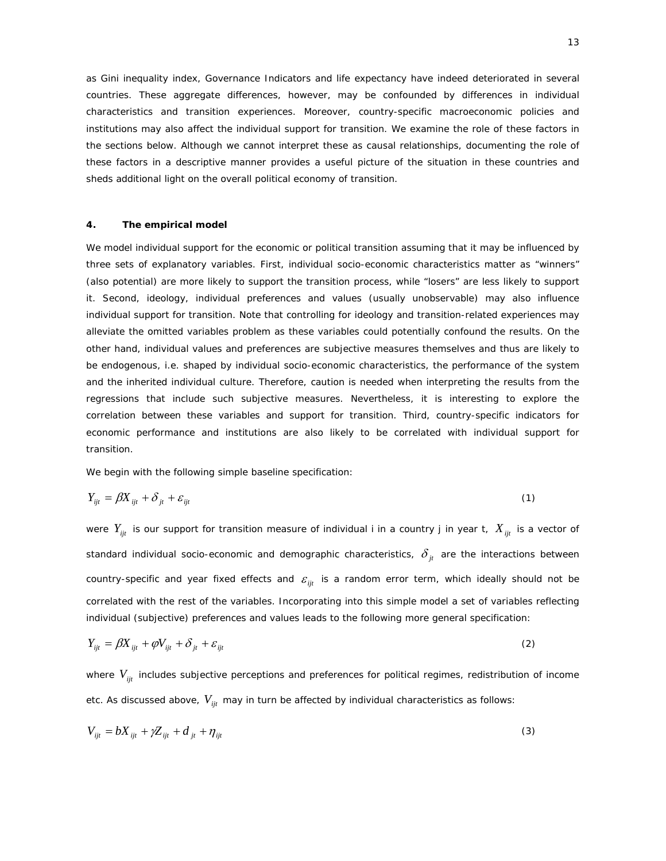as Gini inequality index, Governance Indicators and life expectancy have indeed deteriorated in several countries. These aggregate differences, however, may be confounded by differences in individual characteristics and transition experiences. Moreover, country-specific macroeconomic policies and institutions may also affect the individual support for transition. We examine the role of these factors in the sections below. Although we cannot interpret these as causal relationships, documenting the role of these factors in a descriptive manner provides a useful picture of the situation in these countries and sheds additional light on the overall political economy of transition.

#### **4. The empirical model**

We model individual support for the economic or political transition assuming that it may be influenced by three sets of explanatory variables. First, individual socio-economic characteristics matter as "winners" (also potential) are more likely to support the transition process, while "losers" are less likely to support it. Second, ideology, individual preferences and values (usually unobservable) may also influence individual support for transition. Note that controlling for ideology and transition-related experiences may alleviate the omitted variables problem as these variables could potentially confound the results. On the other hand, individual values and preferences are subjective measures themselves and thus are likely to be endogenous, i.e. shaped by individual socio-economic characteristics, the performance of the system and the inherited individual culture. Therefore, caution is needed when interpreting the results from the regressions that include such subjective measures. Nevertheless, it is interesting to explore the correlation between these variables and support for transition. Third, country-specific indicators for economic performance and institutions are also likely to be correlated with individual support for transition.

We begin with the following simple baseline specification:

$$
Y_{ijt} = \beta X_{ijt} + \delta_{jt} + \varepsilon_{ijt}
$$
 (1)

were  $Y_{ijt}$  is our support for transition measure of individual *i* in a country *j* in year *t*,  $X_{ijt}$  is a vector of standard individual socio-economic and demographic characteristics,  $\delta_{j_t}$  are the interactions between country-specific and year fixed effects and  $\varepsilon_{ii}$  is a random error term, which ideally should not be correlated with the rest of the variables. Incorporating into this simple model a set of variables reflecting individual (subjective) preferences and values leads to the following more general specification:

$$
Y_{ijt} = \beta X_{ijt} + \varphi V_{ijt} + \delta_{jt} + \varepsilon_{ijt}
$$
 (2)

where  $V_{ii}$  includes subjective perceptions and preferences for political regimes, redistribution of income etc. As discussed above,  $V_{ijt}$  may in turn be affected by individual characteristics as follows:

$$
V_{ijt} = bX_{ijt} + \gamma Z_{ijt} + d_{jt} + \eta_{ijt}
$$
\n(3)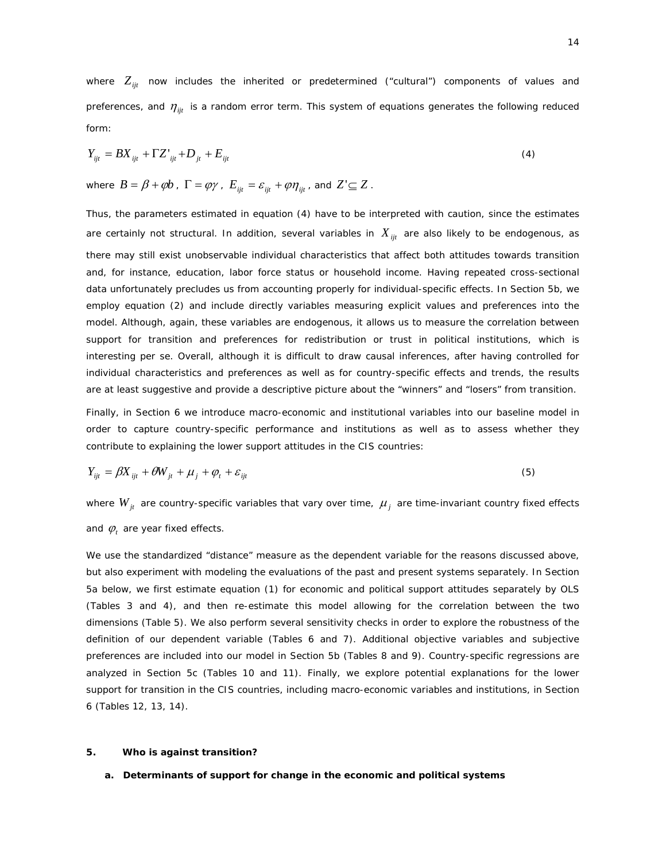where  $Z_{ijt}$  now includes the inherited or predetermined ("cultural") components of values and preferences, and  $\eta_{ijt}$  is a random error term. This system of equations generates the following reduced form:

$$
Y_{ijt} = BX_{ijt} + \Gamma Z'_{ijt} + D_{jt} + E_{ijt}
$$
\n(4)

where  $B = \beta + \varphi b$ ,  $\Gamma = \varphi \gamma$ ,  $E_{\text{int}} = \varepsilon_{\text{int}} + \varphi \eta_{\text{int}}$ , and  $Z' \subseteq Z$ .

Thus, the parameters estimated in equation (4) have to be interpreted with caution, since the estimates are certainly not structural. In addition, several variables in  $X_{ijt}$  are also likely to be endogenous, as there may still exist unobservable individual characteristics that affect both attitudes towards transition and, for instance, education, labor force status or household income. Having repeated cross-sectional data unfortunately precludes us from accounting properly for individual-specific effects. In Section 5b, we employ equation (2) and include directly variables measuring explicit values and preferences into the model. Although, again, these variables are endogenous, it allows us to measure the correlation between support for transition and preferences for redistribution or trust in political institutions, which is interesting *per se*. Overall, although it is difficult to draw causal inferences, after having controlled for individual characteristics and preferences as well as for country-specific effects and trends, the results are at least suggestive and provide a descriptive picture about the "winners" and "losers" from transition.

Finally, in Section 6 we introduce macro-economic and institutional variables into our baseline model in order to capture country-specific performance and institutions as well as to assess whether they contribute to explaining the lower support attitudes in the CIS countries:

$$
Y_{ijt} = \beta X_{ijt} + \theta W_{jt} + \mu_j + \varphi_t + \varepsilon_{ijt}
$$
\n<sup>(5)</sup>

where  $W_{ji}$  are country-specific variables that vary over time,  $\mu_{j}$  are time-invariant country fixed effects and  $\varphi$ , are year fixed effects.

We use the standardized "distance" measure as the dependent variable for the reasons discussed above, but also experiment with modeling the evaluations of the past and present systems separately. In Section 5a below, we first estimate equation (1) for economic and political support attitudes separately by OLS (Tables 3 and 4), and then re-estimate this model allowing for the correlation between the two dimensions (Table 5). We also perform several sensitivity checks in order to explore the robustness of the definition of our dependent variable (Tables 6 and 7). Additional objective variables and subjective preferences are included into our model in Section 5b (Tables 8 and 9). Country-specific regressions are analyzed in Section 5c (Tables 10 and 11). Finally, we explore potential explanations for the lower support for transition in the CIS countries, including macro-economic variables and institutions, in Section 6 (Tables 12, 13, 14).

#### **5. Who is against transition?**

#### **a. Determinants of support for change in the economic and political systems**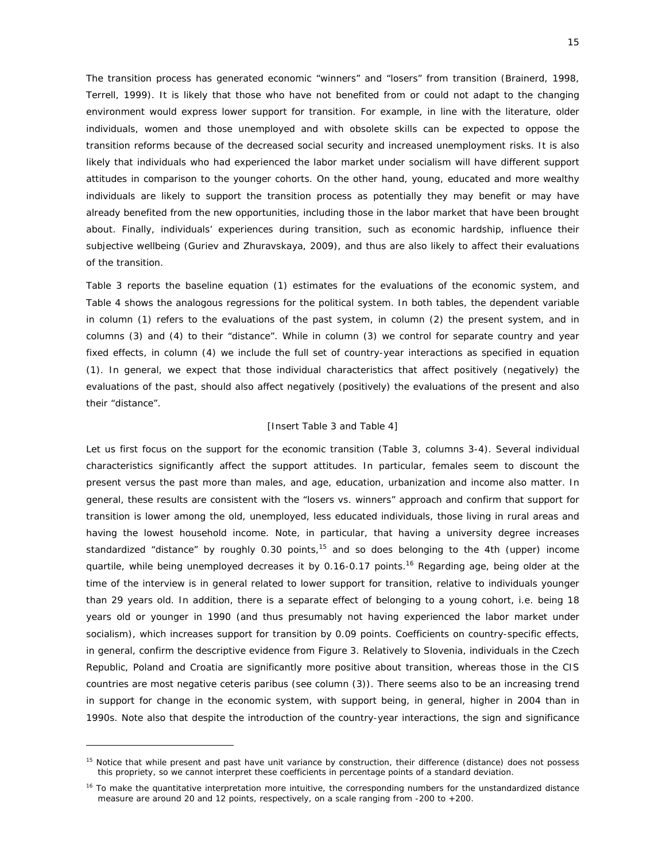The transition process has generated economic "winners" and "losers" from transition (Brainerd, 1998, Terrell, 1999). It is likely that those who have not benefited from or could not adapt to the changing environment would express lower support for transition. For example, in line with the literature, older individuals, women and those unemployed and with obsolete skills can be expected to oppose the transition reforms because of the decreased social security and increased unemployment risks. It is also likely that individuals who had experienced the labor market under socialism will have different support attitudes in comparison to the younger cohorts. On the other hand, young, educated and more wealthy individuals are likely to support the transition process as potentially they may benefit or may have already benefited from the new opportunities, including those in the labor market that have been brought about. Finally, individuals' experiences during transition, such as economic hardship, influence their subjective wellbeing (Guriev and Zhuravskaya, 2009), and thus are also likely to affect their evaluations of the transition.

Table 3 reports the baseline equation (1) estimates for the evaluations of the economic system, and Table 4 shows the analogous regressions for the political system. In both tables, the dependent variable in column (1) refers to the evaluations of the *past* system, in column (2) the *present* system, and in columns (3) and (4) to their "*distance"*. While in column (3) we control for separate country and year fixed effects, in column (4) we include the full set of country-year interactions as specified in equation (1). In general, we expect that those individual characteristics that affect positively (negatively) the evaluations of the past, should also affect negatively (positively) the evaluations of the present and also their "distance".

#### [Insert Table 3 and Table 4]

Let us first focus on the support for the economic transition (Table 3, columns 3-4). Several individual characteristics significantly affect the support attitudes. In particular, females seem to discount the present versus the past more than males, and age, education, urbanization and income also matter. In general, these results are consistent with the "losers vs. winners" approach and confirm that support for transition is lower among the old, unemployed, less educated individuals, those living in rural areas and having the lowest household income. Note, in particular, that having a university degree increases standardized "distance" by roughly 0.30 points,<sup>15</sup> and so does belonging to the 4th (upper) income quartile, while being unemployed decreases it by 0.16-0.17 points.<sup>16</sup> Regarding age, being older at the time of the interview is in general related to lower support for transition, relative to individuals younger than 29 years old. In addition, there is a separate effect of belonging to a young cohort, i.e. being 18 years old or younger in 1990 (and thus presumably not having experienced the labor market under socialism), which increases support for transition by 0.09 points. Coefficients on country-specific effects, in general, confirm the descriptive evidence from Figure 3. Relatively to Slovenia, individuals in the Czech Republic, Poland and Croatia are significantly more positive about transition, whereas those in the CIS countries are most negative *ceteris paribus* (see column (3)). There seems also to be an increasing trend in support for change in the economic system, with support being, in general, higher in 2004 than in 1990s. Note also that despite the introduction of the country-year interactions, the sign and significance

<sup>&</sup>lt;sup>15</sup> Notice that while present and past have unit variance by construction, their difference (distance) does not possess this propriety, so we cannot interpret these coefficients in percentage points of a standard deviation.

<sup>&</sup>lt;sup>16</sup> To make the quantitative interpretation more intuitive, the corresponding numbers for the unstandardized distance measure are around 20 and 12 points, respectively, on a scale ranging from -200 to +200.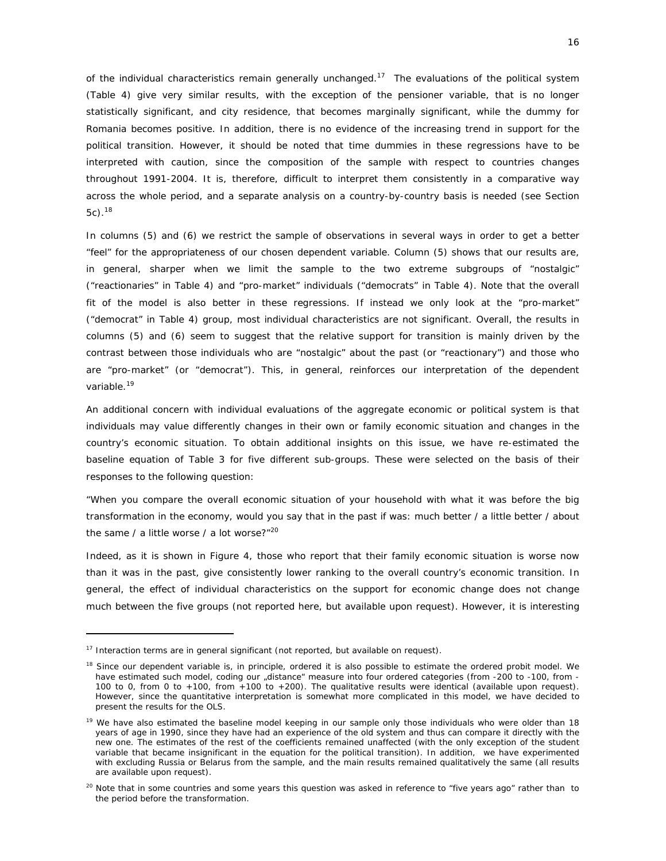of the individual characteristics remain generally unchanged.<sup>17</sup> The evaluations of the political system (Table 4) give very similar results, with the exception of the pensioner variable, that is no longer statistically significant, and city residence, that becomes marginally significant, while the dummy for Romania becomes positive. In addition, there is no evidence of the increasing trend in support for the political transition. However, it should be noted that time dummies in these regressions have to be interpreted with caution, since the composition of the sample with respect to countries changes throughout 1991-2004. It is, therefore, difficult to interpret them consistently in a comparative way across the whole period, and a separate analysis on a country-by-country basis is needed (see Section  $5c$ ).  $18$ 

In columns (5) and (6) we restrict the sample of observations in several ways in order to get a better "feel" for the appropriateness of our chosen dependent variable. Column (5) shows that our results are, in general, sharper when we limit the sample to the two extreme subgroups of "nostalgic" ("reactionaries" in Table 4) and "pro-market" individuals ("democrats" in Table 4). Note that the overall fit of the model is also better in these regressions. If instead we only look at the "pro-market" ("democrat" in Table 4) group, most individual characteristics are not significant. Overall, the results in columns (5) and (6) seem to suggest that the relative support for transition is mainly driven by the contrast between those individuals who are "nostalgic" about the past (or "reactionary") and those who are "pro-market" (or "democrat"). This, in general, reinforces our interpretation of the dependent variable.<sup>19</sup>

An additional concern with individual evaluations of the aggregate economic or political system is that individuals may value differently changes in their own or family economic situation and changes in the country's economic situation. To obtain additional insights on this issue, we have re-estimated the baseline equation of Table 3 for five different sub-groups. These were selected on the basis of their responses to the following question:

*"When you compare the overall economic situation of your household with what it was before the big transformation in the economy, would you say that in the past if was: much better / a little better / about the same / a little worse / a lot worse?"20*

Indeed, as it is shown in Figure 4, those who report that their family economic situation is worse now than it was in the past, give consistently lower ranking to the overall country's economic transition. In general, the effect of individual characteristics on the support for economic change does not change much between the five groups (not reported here, but available upon request). However, it is interesting

<sup>&</sup>lt;sup>17</sup> Interaction terms are in general significant (not reported, but available on request).

<sup>&</sup>lt;sup>18</sup> Since our dependent variable is, in principle, ordered it is also possible to estimate the ordered probit model. We have estimated such model, coding our "distance" measure into four ordered categories (from -200 to -100, from -100 to 0, from 0 to +100, from +100 to +200). The qualitative results were identical (available upon request). However, since the quantitative interpretation is somewhat more complicated in this model, we have decided to present the results for the OLS.

<sup>&</sup>lt;sup>19</sup> We have also estimated the baseline model keeping in our sample only those individuals who were older than 18 years of age in 1990, since they have had an experience of the old system and thus can compare it directly with the new one. The estimates of the rest of the coefficients remained unaffected (with the only exception of the student variable that became insignificant in the equation for the political transition). In addition, we have experimented with excluding Russia or Belarus from the sample, and the main results remained qualitatively the same (all results are available upon request).

<sup>20</sup> Note that in some countries and some years this question was asked in reference to *"*five years ago*"* rather than to the period before the transformation.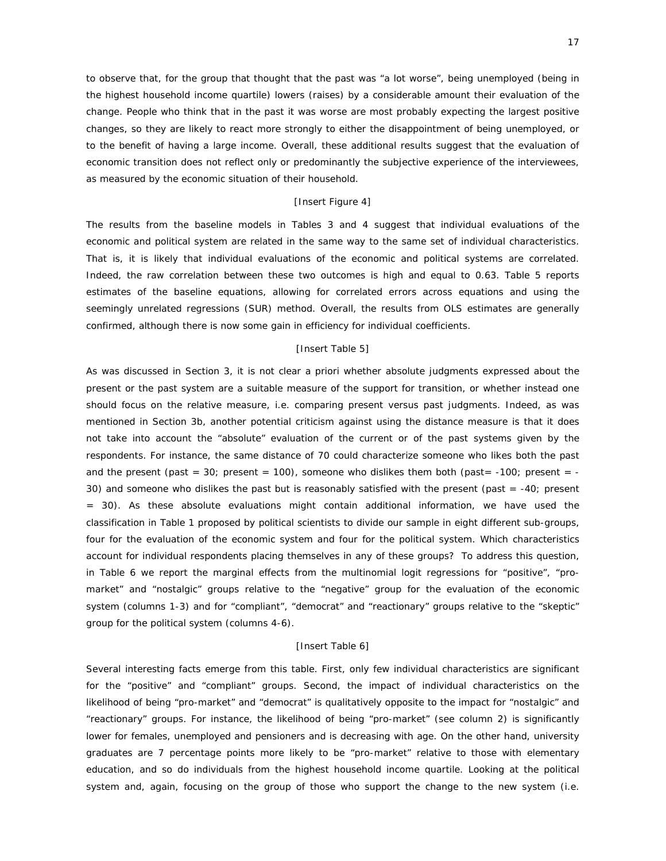to observe that, for the group that thought that the past was "a lot worse", being unemployed (being in the highest household income quartile) lowers (raises) by a considerable amount their evaluation of the change. People who think that in the past it was worse are most probably expecting the largest positive changes, so they are likely to react more strongly to either the disappointment of being unemployed, or to the benefit of having a large income. Overall, these additional results suggest that the evaluation of economic transition does not reflect only or predominantly the subjective experience of the interviewees, as measured by the economic situation of their household.

#### [Insert Figure 4]

The results from the baseline models in Tables 3 and 4 suggest that individual evaluations of the economic and political system are related in the same way to the same set of individual characteristics. That is, it is likely that individual evaluations of the economic and political systems are correlated. Indeed, the raw correlation between these two outcomes is high and equal to 0.63. Table 5 reports estimates of the baseline equations, allowing for correlated errors across equations and using the seemingly unrelated regressions (SUR) method. Overall, the results from OLS estimates are generally confirmed, although there is now some gain in efficiency for individual coefficients.

#### [Insert Table 5]

As was discussed in Section 3, it is not clear a priori whether absolute judgments expressed about the present or the past system are a suitable measure of the support for transition, or whether instead one should focus on the relative measure, i.e. comparing present versus past judgments. Indeed, as was mentioned in Section 3b, another potential criticism against using the distance measure is that it does not take into account the "absolute" evaluation of the current or of the past systems given by the respondents. For instance, the same distance of 70 could characterize someone who likes *both* the past and the present (past =  $30$ ; present =  $100$ ), someone who dislikes them both (past =  $-100$ ; present =  $-$ 30) and someone who dislikes the past but is reasonably satisfied with the present (past = -40; present = 30). As these absolute evaluations might contain additional information, we have used the classification in Table 1 proposed by political scientists to divide our sample in eight different sub-groups, four for the evaluation of the economic system and four for the political system. Which characteristics account for individual respondents placing themselves in any of these groups? To address this question, in Table 6 we report the marginal effects from the multinomial logit regressions for "positive", "promarket" and "nostalgic" groups relative to the "negative" group for the evaluation of the economic system (columns 1-3) and for "compliant", "democrat" and "reactionary" groups relative to the "skeptic" group for the political system (columns 4-6).

#### [Insert Table 6]

Several interesting facts emerge from this table. First, only few individual characteristics are significant for the "positive" and "compliant" groups. Second, the impact of individual characteristics on the likelihood of being "pro-market" and "democrat" is qualitatively opposite to the impact for "nostalgic" and "reactionary" groups. For instance, the likelihood of being "pro-market" (see column 2) is significantly lower for females, unemployed and pensioners and is decreasing with age. On the other hand, university graduates are 7 percentage points more likely to be "pro-market" relative to those with elementary education, and so do individuals from the highest household income quartile. Looking at the political system and, again, focusing on the group of those who support the change to the new system (i.e.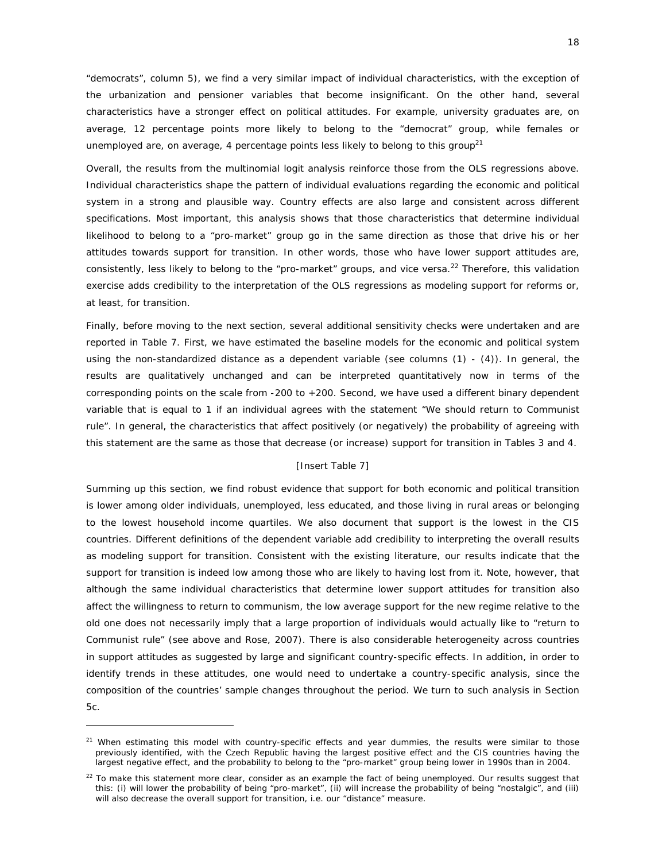"democrats", column 5), we find a very similar impact of individual characteristics, with the exception of the urbanization and pensioner variables that become insignificant. On the other hand, several characteristics have a stronger effect on political attitudes. For example, university graduates are, on average, 12 percentage points more likely to belong to the "democrat" group, while females or unemployed are, on average, 4 percentage points less likely to belong to this group<sup>21</sup>

Overall, the results from the multinomial logit analysis reinforce those from the OLS regressions above. Individual characteristics shape the pattern of individual evaluations regarding the economic and political system in a strong and plausible way. Country effects are also large and consistent across different specifications. Most important, this analysis shows that those characteristics that determine individual likelihood to belong to a "pro-market" group go in the same direction as those that drive his or her attitudes towards support for transition. In other words, those who have lower support attitudes are, consistently, less likely to belong to the "pro-market" groups, and vice versa.<sup>22</sup> Therefore, this validation exercise adds credibility to the interpretation of the OLS regressions as modeling support for reforms or, at least, for transition.

Finally, before moving to the next section, several additional sensitivity checks were undertaken and are reported in Table 7. First, we have estimated the baseline models for the economic and political system using the non-standardized distance as a dependent variable (see columns (1) - (4)). In general, the results are qualitatively unchanged and can be interpreted quantitatively now in terms of the corresponding points on the scale from -200 to +200. Second, we have used a different binary dependent variable that is equal to 1 if an individual agrees with the statement "We should return to Communist rule". In general, the characteristics that affect positively (or negatively) the probability of agreeing with this statement are the same as those that decrease (or increase) support for transition in Tables 3 and 4.

#### [Insert Table 7]

Summing up this section, we find robust evidence that support for both economic and political transition is lower among older individuals, unemployed, less educated, and those living in rural areas or belonging to the lowest household income quartiles. We also document that support is the lowest in the CIS countries. Different definitions of the dependent variable add credibility to interpreting the overall results as modeling support for transition. Consistent with the existing literature, our results indicate that the support for transition is indeed low among those who are likely to having lost from it. Note, however, that although the same individual characteristics that determine lower support attitudes for transition also affect the willingness to return to communism, the low average support for the new regime relative to the old one does not necessarily imply that a large proportion of individuals would actually like to "return to Communist rule" (see above and Rose, 2007). There is also considerable heterogeneity across countries in support attitudes as suggested by large and significant country-specific effects. In addition, in order to identify trends in these attitudes, one would need to undertake a country-specific analysis, since the composition of the countries' sample changes throughout the period. We turn to such analysis in Section 5c.

 $21$  When estimating this model with country-specific effects and year dummies, the results were similar to those previously identified, with the Czech Republic having the largest positive effect and the CIS countries having the largest negative effect, and the probability to belong to the "pro-market" group being lower in 1990s than in 2004.

 $22$  To make this statement more clear, consider as an example the fact of being unemployed. Our results suggest that this: (i) will lower the probability of being "pro-market", (ii) will increase the probability of being "nostalgic", and (iii) will also decrease the overall support for transition, i.e. our "distance" measure.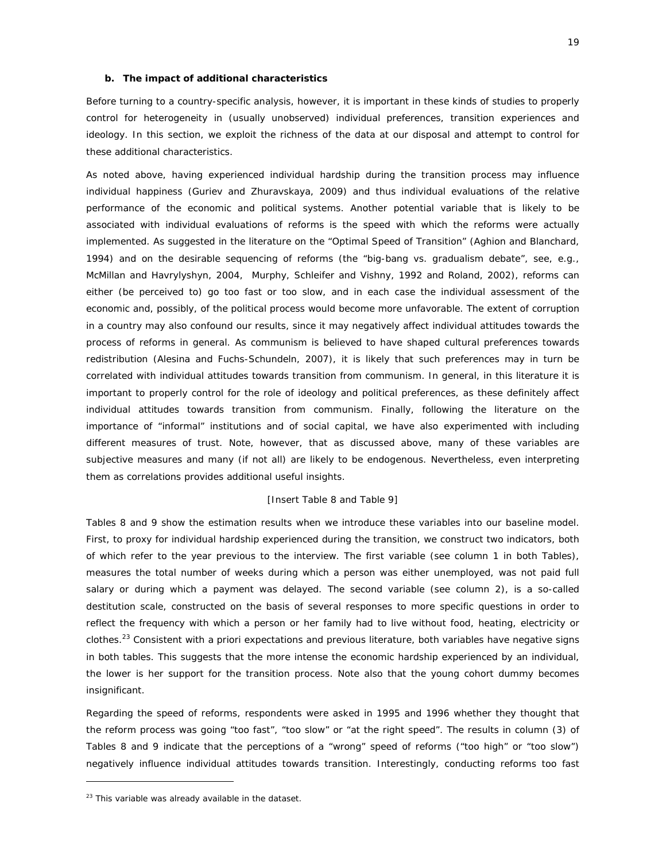#### **b. The impact of additional characteristics**

Before turning to a country-specific analysis, however, it is important in these kinds of studies to properly control for heterogeneity in (usually unobserved) individual preferences, transition experiences and ideology. In this section, we exploit the richness of the data at our disposal and attempt to control for these additional characteristics.

As noted above, having experienced individual hardship during the transition process may influence individual happiness (Guriev and Zhuravskaya, 2009) and thus individual evaluations of the relative performance of the economic and political systems. Another potential variable that is likely to be associated with individual evaluations of reforms is the speed with which the reforms were actually implemented. As suggested in the literature on the "Optimal Speed of Transition" (Aghion and Blanchard, 1994) and on the desirable sequencing of reforms (the "big-bang vs. gradualism debate", see, e.g., McMillan and Havrylyshyn, 2004, Murphy, Schleifer and Vishny, 1992 and Roland, 2002), reforms can either (be perceived to) go too fast or too slow, and in each case the individual assessment of the economic and, possibly, of the political process would become more unfavorable. The extent of corruption in a country may also confound our results, since it may negatively affect individual attitudes towards the process of reforms in general. As communism is believed to have shaped cultural preferences towards redistribution (Alesina and Fuchs-Schundeln, 2007), it is likely that such preferences may in turn be correlated with individual attitudes towards transition from communism. In general, in this literature it is important to properly control for the role of ideology and political preferences, as these definitely affect individual attitudes towards transition from communism. Finally, following the literature on the importance of "informal" institutions and of social capital, we have also experimented with including different measures of trust. Note, however, that as discussed above, many of these variables are subjective measures and many (if not all) are likely to be endogenous. Nevertheless, even interpreting them as correlations provides additional useful insights.

#### [Insert Table 8 and Table 9]

Tables 8 and 9 show the estimation results when we introduce these variables into our baseline model. First, to proxy for individual hardship experienced during the transition, we construct two indicators, both of which refer to the year previous to the interview. The first variable (see column 1 in both Tables), measures the total number of weeks during which a person was either unemployed, was not paid full salary or during which a payment was delayed. The second variable (see column 2), is a so-called destitution scale, constructed on the basis of several responses to more specific questions in order to reflect the frequency with which a person or her family had to live without food, heating, electricity or clothes.23 Consistent with *a priori* expectations and previous literature, both variables have negative signs in both tables. This suggests that the more intense the economic hardship experienced by an individual, the lower is her support for the transition process. Note also that the young cohort dummy becomes insignificant.

Regarding the speed of reforms, respondents were asked in 1995 and 1996 whether they thought that the reform process was going "too fast", "too slow" or "at the right speed". The results in column (3) of Tables 8 and 9 indicate that the perceptions of a "wrong" speed of reforms ("too high" or "too slow") negatively influence individual attitudes towards transition. Interestingly, conducting reforms too fast

 $23$  This variable was already available in the dataset.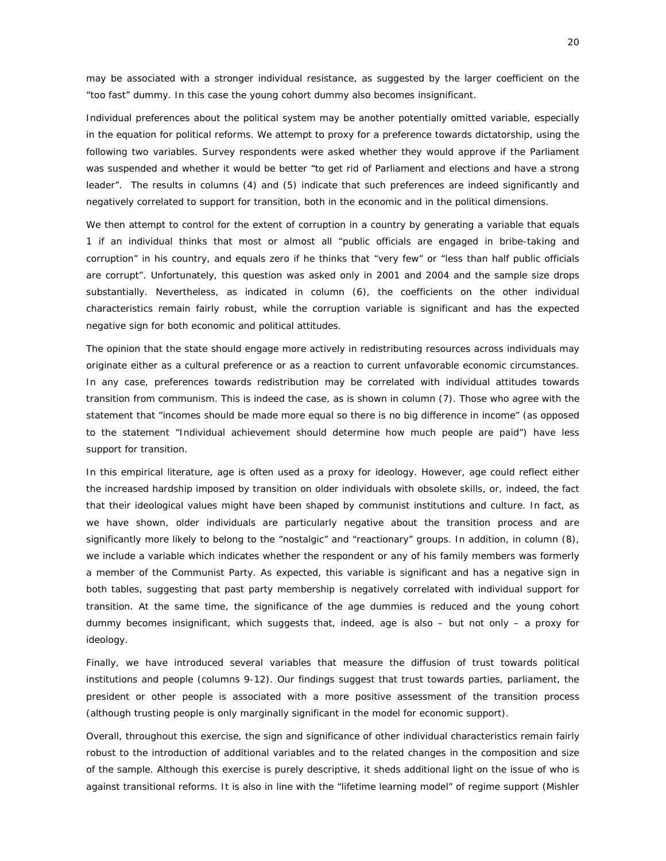may be associated with a stronger individual resistance, as suggested by the larger coefficient on the "too fast" dummy. In this case the young cohort dummy also becomes insignificant.

Individual preferences about the political system may be another potentially omitted variable, especially in the equation for political reforms. We attempt to proxy for a preference towards dictatorship, using the following two variables. Survey respondents were asked whether they would approve if the Parliament was suspended and whether it would be better "to get rid of Parliament and elections and have a strong leader". The results in columns (4) and (5) indicate that such preferences are indeed significantly and negatively correlated to support for transition, both in the economic and in the political dimensions.

We then attempt to control for the extent of corruption in a country by generating a variable that equals 1 if an individual thinks that most or almost all "public officials are engaged in bribe-taking and corruption" in his country, and equals zero if he thinks that "very few" or "less than half public officials are corrupt". Unfortunately, this question was asked only in 2001 and 2004 and the sample size drops substantially. Nevertheless, as indicated in column (6), the coefficients on the other individual characteristics remain fairly robust, while the corruption variable is significant and has the expected negative sign for both economic and political attitudes.

The opinion that the state should engage more actively in redistributing resources across individuals may originate either as a cultural preference or as a reaction to current unfavorable economic circumstances. In any case, preferences towards redistribution may be correlated with individual attitudes towards transition from communism. This is indeed the case, as is shown in column (7). Those who agree with the statement that "incomes should be made more equal so there is no big difference in income" (as opposed to the statement "Individual achievement should determine how much people are paid") have less support for transition.

In this empirical literature, age is often used as a proxy for ideology. However, age could reflect either the increased hardship imposed by transition on older individuals with obsolete skills, or, indeed, the fact that their ideological values might have been shaped by communist institutions and culture. In fact, as we have shown, older individuals are particularly negative about the transition process and are significantly more likely to belong to the "nostalgic" and "reactionary" groups. In addition, in column (8), we include a variable which indicates whether the respondent or any of his family members was formerly a member of the Communist Party. As expected, this variable is significant and has a negative sign in both tables, suggesting that past party membership is negatively correlated with individual support for transition. At the same time, the significance of the age dummies is reduced and the young cohort dummy becomes insignificant, which suggests that, indeed, age is also – but not only – a proxy for ideology.

Finally, we have introduced several variables that measure the diffusion of trust towards political institutions and people (columns 9-12). Our findings suggest that trust towards parties, parliament, the president or other people is associated with a more positive assessment of the transition process (although trusting people is only marginally significant in the model for economic support).

Overall, throughout this exercise, the sign and significance of other individual characteristics remain fairly robust to the introduction of additional variables and to the related changes in the composition and size of the sample. Although this exercise is purely descriptive, it sheds additional light on the issue of who is against transitional reforms. It is also in line with the "lifetime learning model" of regime support (Mishler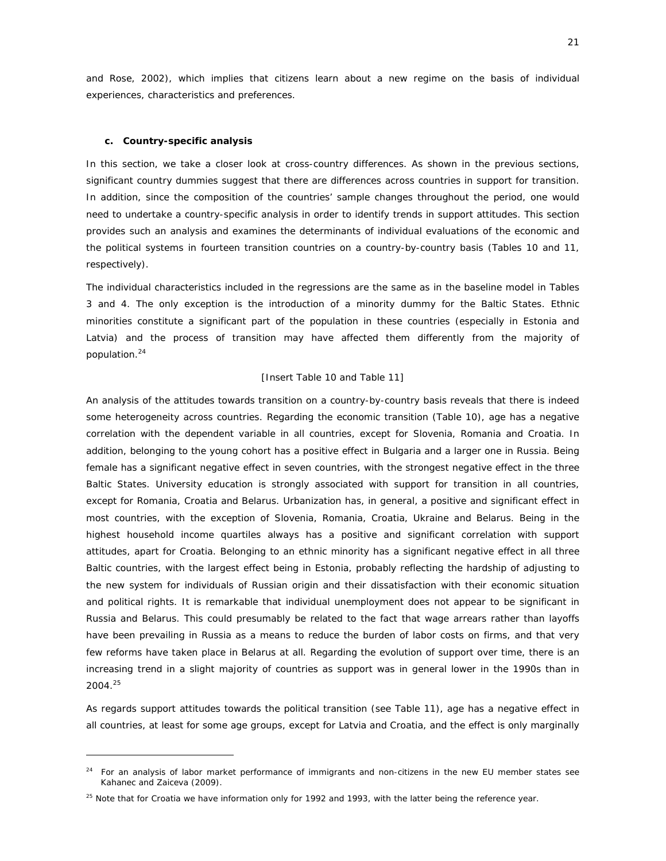and Rose, 2002), which implies that citizens learn about a new regime on the basis of individual experiences, characteristics and preferences.

#### **c. Country-specific analysis**

 $\overline{a}$ 

In this section, we take a closer look at cross-country differences. As shown in the previous sections, significant country dummies suggest that there are differences across countries in support for transition. In addition, since the composition of the countries' sample changes throughout the period, one would need to undertake a country-specific analysis in order to identify trends in support attitudes. This section provides such an analysis and examines the determinants of individual evaluations of the economic and the political systems in fourteen transition countries on a country-by-country basis (Tables 10 and 11, respectively).

The individual characteristics included in the regressions are the same as in the baseline model in Tables 3 and 4. The only exception is the introduction of a minority dummy for the Baltic States. Ethnic minorities constitute a significant part of the population in these countries (especially in Estonia and Latvia) and the process of transition may have affected them differently from the majority of population.<sup>24</sup>

#### [Insert Table 10 and Table 11]

An analysis of the attitudes towards transition on a country-by-country basis reveals that there is indeed some heterogeneity across countries. Regarding the economic transition (Table 10), age has a negative correlation with the dependent variable in all countries, except for Slovenia, Romania and Croatia. In addition, belonging to the young cohort has a positive effect in Bulgaria and a larger one in Russia. Being female has a significant negative effect in seven countries, with the strongest negative effect in the three Baltic States. University education is strongly associated with support for transition in all countries, except for Romania, Croatia and Belarus. Urbanization has, in general, a positive and significant effect in most countries, with the exception of Slovenia, Romania, Croatia, Ukraine and Belarus. Being in the highest household income quartiles always has a positive and significant correlation with support attitudes, apart for Croatia. Belonging to an ethnic minority has a significant negative effect in all three Baltic countries, with the largest effect being in Estonia, probably reflecting the hardship of adjusting to the new system for individuals of Russian origin and their dissatisfaction with their economic situation and political rights. It is remarkable that individual unemployment does not appear to be significant in Russia and Belarus. This could presumably be related to the fact that wage arrears rather than layoffs have been prevailing in Russia as a means to reduce the burden of labor costs on firms, and that very few reforms have taken place in Belarus at all. Regarding the evolution of support over time, there is an increasing trend in a slight majority of countries as support was in general lower in the 1990s than in 2004.25

As regards support attitudes towards the political transition (see Table 11), age has a negative effect in all countries, at least for some age groups, except for Latvia and Croatia, and the effect is only marginally

<sup>24</sup> For an analysis of labor market performance of immigrants and non-citizens in the new EU member states see Kahanec and Zaiceva (2009).

 $25$  Note that for Croatia we have information only for 1992 and 1993, with the latter being the reference year.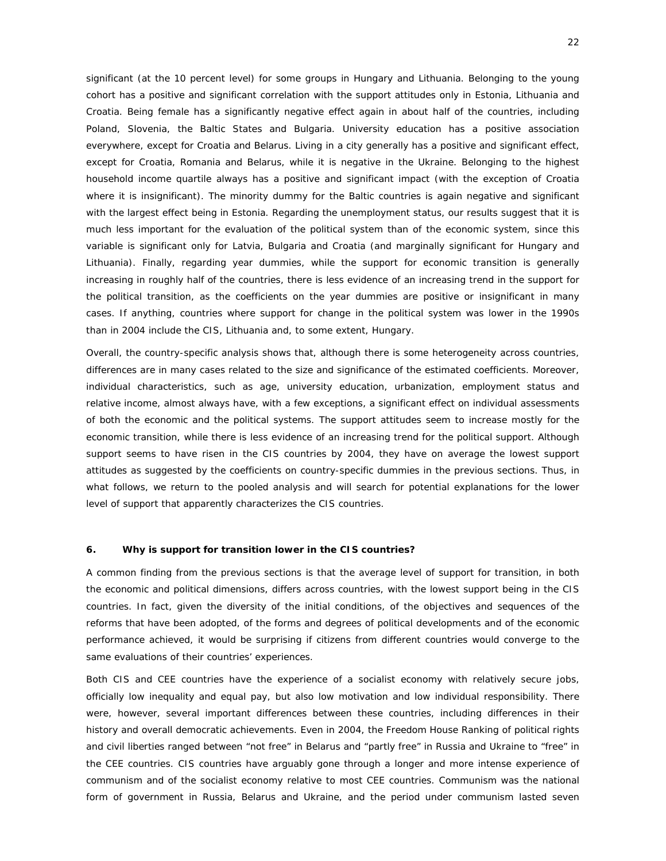significant (at the 10 percent level) for some groups in Hungary and Lithuania. Belonging to the young cohort has a positive and significant correlation with the support attitudes only in Estonia, Lithuania and Croatia. Being female has a significantly negative effect again in about half of the countries, including Poland, Slovenia, the Baltic States and Bulgaria. University education has a positive association everywhere, except for Croatia and Belarus. Living in a city generally has a positive and significant effect, except for Croatia, Romania and Belarus, while it is negative in the Ukraine. Belonging to the highest household income quartile always has a positive and significant impact (with the exception of Croatia where it is insignificant). The minority dummy for the Baltic countries is again negative and significant with the largest effect being in Estonia. Regarding the unemployment status, our results suggest that it is much less important for the evaluation of the political system than of the economic system, since this variable is significant only for Latvia, Bulgaria and Croatia (and marginally significant for Hungary and Lithuania). Finally, regarding year dummies, while the support for economic transition is generally increasing in roughly half of the countries*,* there is less evidence of an increasing trend in the support for the political transition, as the coefficients on the year dummies are positive or insignificant in many cases. If anything, countries where support for change in the political system was lower in the 1990s than in 2004 include the CIS, Lithuania and, to some extent, Hungary.

Overall, the country-specific analysis shows that, although there is some heterogeneity across countries, differences are in many cases related to the size and significance of the estimated coefficients. Moreover, individual characteristics, such as age, university education, urbanization, employment status and relative income, almost always have, with a few exceptions, a significant effect on individual assessments of both the economic and the political systems. The support attitudes seem to increase mostly for the economic transition, while there is less evidence of an increasing trend for the political support. Although support seems to have risen in the CIS countries by 2004, they have on average the lowest support attitudes as suggested by the coefficients on country-specific dummies in the previous sections. Thus, in what follows, we return to the pooled analysis and will search for potential explanations for the lower level of support that apparently characterizes the CIS countries.

#### **6. Why is support for transition lower in the CIS countries?**

A common finding from the previous sections is that the average level of support for transition, in both the economic and political dimensions, differs across countries, with the lowest support being in the CIS countries. In fact, given the diversity of the initial conditions, of the objectives and sequences of the reforms that have been adopted, of the forms and degrees of political developments and of the economic performance achieved, it would be surprising if citizens from different countries would converge to the same evaluations of their countries' experiences.

Both CIS and CEE countries have the experience of a socialist economy with relatively secure jobs, officially low inequality and equal pay, but also low motivation and low individual responsibility. There were, however, several important differences between these countries, including differences in their history and overall democratic achievements. Even in 2004, the Freedom House Ranking of political rights and civil liberties ranged between "not free" in Belarus and "partly free" in Russia and Ukraine to "free" in the CEE countries. CIS countries have arguably gone through a longer and more intense experience of communism and of the socialist economy relative to most CEE countries. Communism was the national form of government in Russia, Belarus and Ukraine, and the period under communism lasted seven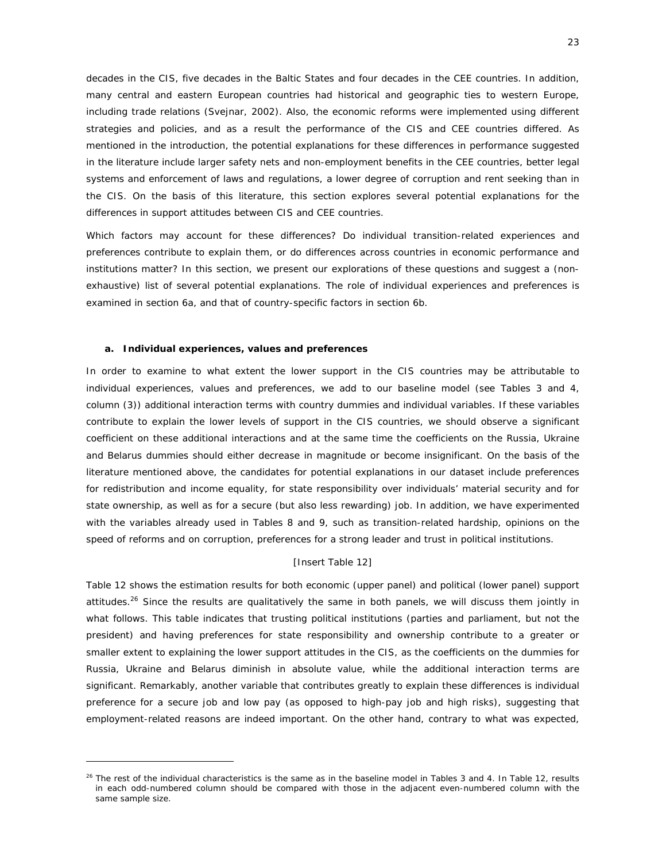decades in the CIS, five decades in the Baltic States and four decades in the CEE countries. In addition, many central and eastern European countries had historical and geographic ties to western Europe, including trade relations (Svejnar, 2002). Also, the economic reforms were implemented using different strategies and policies, and as a result the performance of the CIS and CEE countries differed. As mentioned in the introduction, the potential explanations for these differences in performance suggested in the literature include larger safety nets and non-employment benefits in the CEE countries, better legal systems and enforcement of laws and regulations, a lower degree of corruption and rent seeking than in the CIS. On the basis of this literature, this section explores several potential explanations for the differences in support attitudes between CIS and CEE countries.

Which factors may account for these differences? Do individual transition-related experiences and preferences contribute to explain them, or do differences across countries in economic performance and institutions matter? In this section, we present our explorations of these questions and suggest a (nonexhaustive) list of several potential explanations. The role of individual experiences and preferences is examined in section 6a, and that of country-specific factors in section 6b.

#### **a. Individual experiences, values and preferences**

 $\overline{a}$ 

In order to examine to what extent the lower support in the CIS countries may be attributable to individual experiences, values and preferences, we add to our baseline model (see Tables 3 and 4, column (3)) additional interaction terms with country dummies and individual variables. If these variables contribute to explain the lower levels of support in the CIS countries, we should observe a significant coefficient on these additional interactions and at the same time the coefficients on the Russia, Ukraine and Belarus dummies should either decrease in magnitude or become insignificant. On the basis of the literature mentioned above, the candidates for potential explanations in our dataset include preferences for redistribution and income equality, for state responsibility over individuals' material security and for state ownership, as well as for a secure (but also less rewarding) job. In addition, we have experimented with the variables already used in Tables 8 and 9, such as transition-related hardship, opinions on the speed of reforms and on corruption, preferences for a strong leader and trust in political institutions.

#### [Insert Table 12]

Table 12 shows the estimation results for both economic (upper panel) and political (lower panel) support attitudes.<sup>26</sup> Since the results are qualitatively the same in both panels, we will discuss them jointly in what follows. This table indicates that trusting political institutions (parties and parliament, but *not* the president) and having preferences for state responsibility and ownership contribute to a greater or smaller extent to explaining the lower support attitudes in the CIS, as the coefficients on the dummies for Russia, Ukraine and Belarus diminish in absolute value, while the additional interaction terms are significant. Remarkably, another variable that contributes greatly to explain these differences is individual preference for a secure job and low pay (as opposed to high-pay job and high risks), suggesting that employment-related reasons are indeed important. On the other hand, contrary to what was expected,

 $26$  The rest of the individual characteristics is the same as in the baseline model in Tables 3 and 4. In Table 12, results in each odd-numbered column should be compared with those in the adjacent even-numbered column with the same sample size.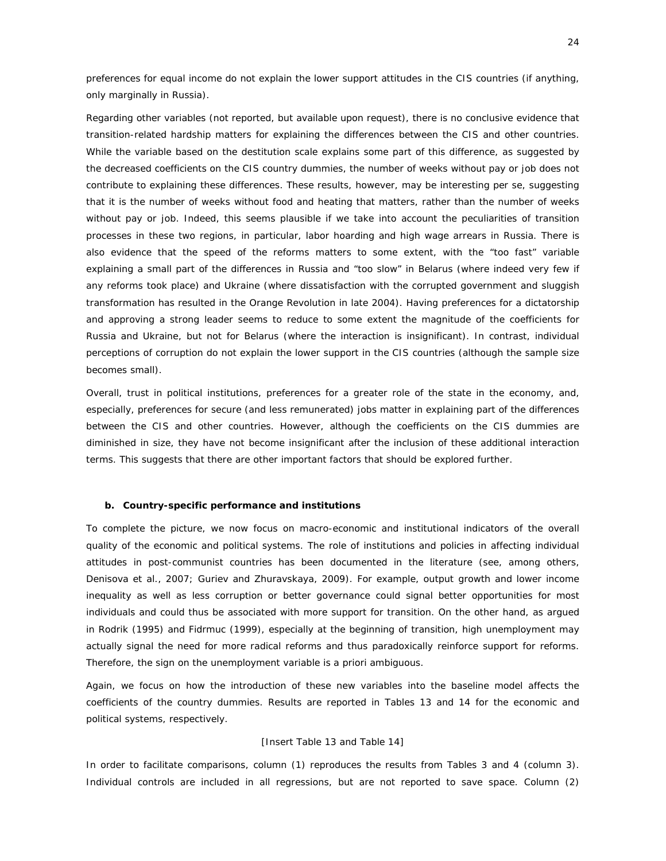preferences for equal income do not explain the lower support attitudes in the CIS countries (if anything, only marginally in Russia).

Regarding other variables (not reported, but available upon request), there is no conclusive evidence that transition-related hardship matters for explaining the differences between the CIS and other countries. While the variable based on the destitution scale explains some part of this difference, as suggested by the decreased coefficients on the CIS country dummies, the number of weeks without pay or job does not contribute to explaining these differences. These results, however, may be interesting *per se*, suggesting that it is the number of weeks without food and heating that matters, rather than the number of weeks without pay or job. Indeed, this seems plausible if we take into account the peculiarities of transition processes in these two regions, in particular, labor hoarding and high wage arrears in Russia. There is also evidence that the speed of the reforms matters to some extent, with the "too fast" variable explaining a small part of the differences in Russia and "too slow" in Belarus (where indeed very few if any reforms took place) and Ukraine (where dissatisfaction with the corrupted government and sluggish transformation has resulted in the Orange Revolution in late 2004). Having preferences for a dictatorship and approving a strong leader seems to reduce to some extent the magnitude of the coefficients for Russia and Ukraine, but not for Belarus (where the interaction is insignificant). In contrast, individual perceptions of corruption do not explain the lower support in the CIS countries (although the sample size becomes small).

Overall, trust in political institutions, preferences for a greater role of the state in the economy, and, especially, preferences for secure (and less remunerated) jobs matter in explaining part of the differences between the CIS and other countries. However, although the coefficients on the CIS dummies are diminished in size, they have not become insignificant after the inclusion of these additional interaction terms. This suggests that there are other important factors that should be explored further.

#### **b. Country-specific performance and institutions**

To complete the picture, we now focus on macro-economic and institutional indicators of the overall quality of the economic and political systems. The role of institutions and policies in affecting individual attitudes in post-communist countries has been documented in the literature (see, among others, Denisova et al., 2007; Guriev and Zhuravskaya, 2009). For example, output growth and lower income inequality as well as less corruption or better governance could signal better opportunities for most individuals and could thus be associated with more support for transition. On the other hand, as argued in Rodrik (1995) and Fidrmuc (1999), especially at the beginning of transition, high unemployment may actually signal the need for more radical reforms and thus paradoxically reinforce support for reforms. Therefore, the sign on the unemployment variable is *a priori* ambiguous.

Again, we focus on how the introduction of these new variables into the baseline model affects the coefficients of the country dummies. Results are reported in Tables 13 and 14 for the economic and political systems, respectively.

#### [Insert Table 13 and Table 14]

In order to facilitate comparisons, column (1) reproduces the results from Tables 3 and 4 (column 3). Individual controls are included in all regressions, but are not reported to save space. Column (2)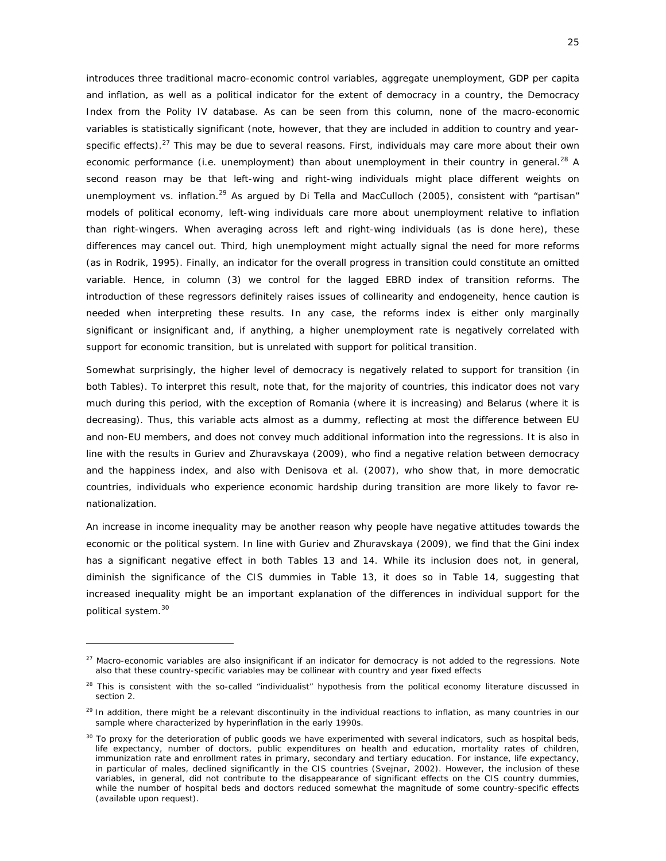introduces three traditional macro-economic control variables, aggregate unemployment, GDP per capita and inflation, as well as a political indicator for the extent of democracy in a country, the Democracy Index from the Polity IV database. As can be seen from this column, none of the macro-economic variables is statistically significant (note, however, that they are included *in addition* to country and yearspecific effects).<sup>27</sup> This may be due to several reasons. First, individuals may care more about their own economic performance (i.e. unemployment) than about unemployment in their country in general.<sup>28</sup> A second reason may be that left-wing and right-wing individuals might place different weights on unemployment vs. inflation.<sup>29</sup> As argued by Di Tella and MacCulloch (2005), consistent with "partisan" models of political economy, left-wing individuals care more about unemployment relative to inflation than right-wingers. When averaging across left and right-wing individuals (as is done here), these differences may cancel out. Third, high unemployment might actually signal the need for more reforms (as in Rodrik, 1995). Finally, an indicator for the overall progress in transition could constitute an omitted variable. Hence, in column (3) we control for the lagged EBRD index of transition reforms. The introduction of these regressors definitely raises issues of collinearity and endogeneity, hence caution is needed when interpreting these results. In any case, the reforms index is either only marginally significant or insignificant and, if anything, a higher unemployment rate is negatively correlated with support for economic transition, but is unrelated with support for political transition.

Somewhat surprisingly, the higher level of democracy is negatively related to support for transition (in both Tables). To interpret this result, note that, for the majority of countries, this indicator does not vary much during this period, with the exception of Romania (where it is increasing) and Belarus (where it is decreasing). Thus, this variable acts almost as a dummy, reflecting at most the difference between EU and non-EU members, and does not convey much additional information into the regressions. It is also in line with the results in Guriev and Zhuravskaya (2009), who find a negative relation between democracy and the happiness index, and also with Denisova et al. (2007), who show that, in more democratic countries, individuals who experience economic hardship during transition are more likely to favor renationalization.

An increase in income inequality may be another reason why people have negative attitudes towards the economic or the political system. In line with Guriev and Zhuravskaya (2009), we find that the Gini index has a significant negative effect in both Tables 13 and 14. While its inclusion does not, in general, diminish the significance of the CIS dummies in Table 13, it does so in Table 14, suggesting that increased inequality might be an important explanation of the differences in individual support for the political system.<sup>30</sup>

 $27$  Macro-economic variables are also insignificant if an indicator for democracy is not added to the regressions. Note also that these country-specific variables may be collinear with country and year fixed effects

<sup>&</sup>lt;sup>28</sup> This is consistent with the so-called "individualist" hypothesis from the political economy literature discussed in section 2.

<sup>&</sup>lt;sup>29</sup> In addition, there might be a relevant discontinuity in the individual reactions to inflation, as many countries in our sample where characterized by hyperinflation in the early 1990s.

 $30$  To proxy for the deterioration of public goods we have experimented with several indicators, such as hospital beds, life expectancy, number of doctors, public expenditures on health and education, mortality rates of children, immunization rate and enrollment rates in primary, secondary and tertiary education. For instance, life expectancy, in particular of males, declined significantly in the CIS countries (Svejnar, 2002). However, the inclusion of these variables, in general, did not contribute to the disappearance of significant effects on the CIS country dummies, while the number of hospital beds and doctors reduced somewhat the magnitude of some country-specific effects (available upon request).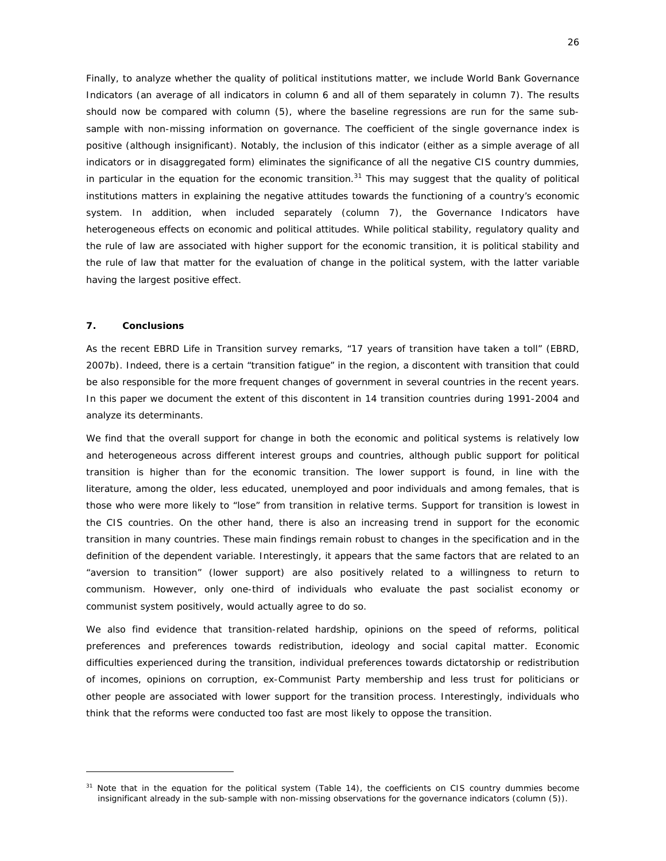Finally, to analyze whether the quality of political institutions matter, we include World Bank Governance Indicators (an average of all indicators in column 6 and all of them separately in column 7). The results should now be compared with column (5), where the baseline regressions are run for the same subsample with non-missing information on governance. The coefficient of the single governance index is positive (although insignificant). Notably, the inclusion of this indicator (either as a simple average of all indicators or in disaggregated form) eliminates the significance of *all* the negative CIS country dummies, in particular in the equation for the economic transition. $31$  This may suggest that the quality of political institutions matters in explaining the negative attitudes towards the functioning of a country's economic system. In addition, when included separately (column 7), the Governance Indicators have heterogeneous effects on economic and political attitudes. While political stability, regulatory quality and the rule of law are associated with higher support for the economic transition, it is political stability and the rule of law that matter for the evaluation of change in the political system, with the latter variable having the largest positive effect.

#### **7. Conclusions**

 $\overline{a}$ 

As the recent EBRD Life in Transition survey remarks, "17 years of transition have taken a toll" (EBRD, 2007b). Indeed, there is a certain "transition fatigue" in the region, a discontent with transition that could be also responsible for the more frequent changes of government in several countries in the recent years. In this paper we document the extent of this discontent in 14 transition countries during 1991-2004 and analyze its determinants.

We find that the overall support for change in both the economic and political systems is relatively low and heterogeneous across different interest groups and countries, although public support for political transition is higher than for the economic transition. The lower support is found, in line with the literature, among the older, less educated, unemployed and poor individuals and among females, that is those who were more likely to "lose" from transition in relative terms. Support for transition is lowest in the CIS countries. On the other hand, there is also an increasing trend in support for the economic transition in many countries. These main findings remain robust to changes in the specification and in the definition of the dependent variable. Interestingly, it appears that the same factors that are related to an "aversion to transition" (lower support) are also positively related to a willingness to return to communism. However, only one-third of individuals who evaluate the past socialist economy or communist system positively, would actually agree to do so.

We also find evidence that transition-related hardship, opinions on the speed of reforms, political preferences and preferences towards redistribution, ideology and social capital matter. Economic difficulties experienced during the transition, individual preferences towards dictatorship or redistribution of incomes, opinions on corruption, ex-Communist Party membership and less trust for politicians or other people are associated with lower support for the transition process. Interestingly, individuals who think that the reforms were conducted too fast are most likely to oppose the transition.

<sup>&</sup>lt;sup>31</sup> Note that in the equation for the political system (Table 14), the coefficients on CIS country dummies become insignificant already in the sub-sample with non-missing observations for the governance indicators (column (5)).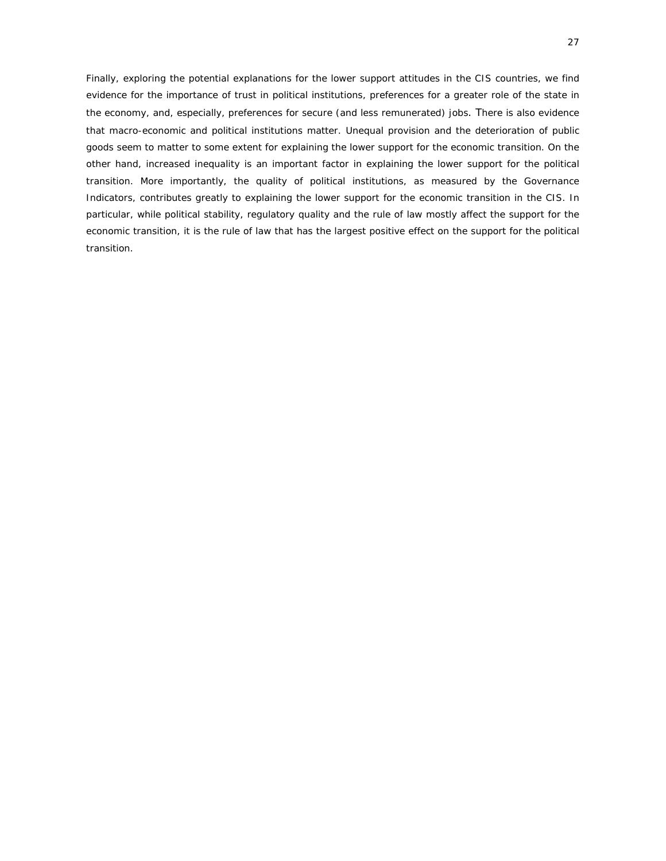Finally, exploring the potential explanations for the lower support attitudes in the CIS countries, we find evidence for the importance of trust in political institutions, preferences for a greater role of the state in the economy, and, especially, preferences for secure (and less remunerated) jobs. There is also evidence that macro-economic and political institutions matter. Unequal provision and the deterioration of public goods seem to matter to some extent for explaining the lower support for the economic transition. On the other hand, increased inequality is an important factor in explaining the lower support for the political transition. More importantly, the quality of political institutions, as measured by the Governance Indicators, contributes greatly to explaining the lower support for the economic transition in the CIS. In particular, while political stability, regulatory quality and the rule of law mostly affect the support for the economic transition, it is the rule of law that has the largest positive effect on the support for the political transition.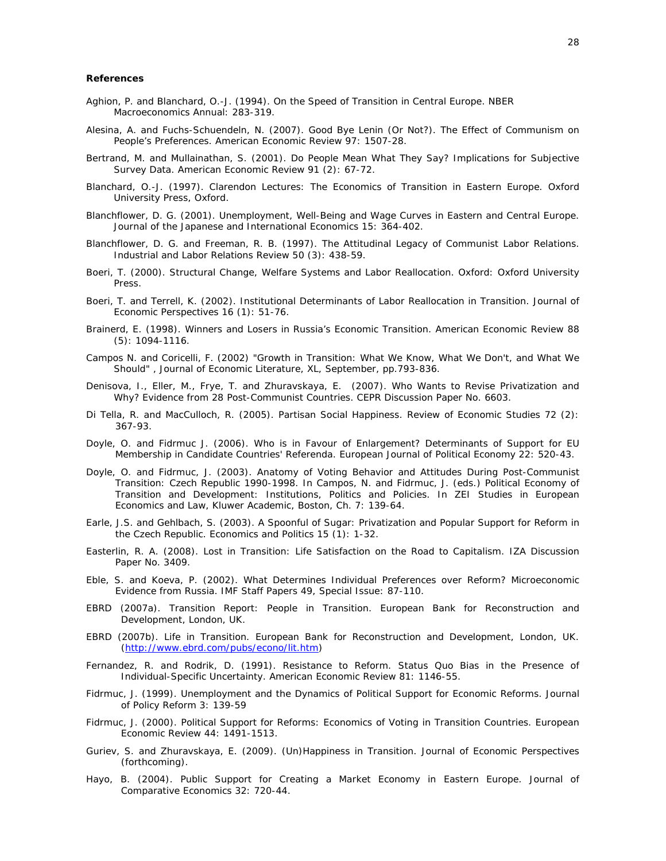#### **References**

- Aghion, P. and Blanchard, O.-J. (1994). On the Speed of Transition in Central Europe. NBER Macroeconomics Annual: 283-319.
- Alesina, A. and Fuchs-Schuendeln, N. (2007). Good Bye Lenin (Or Not?). The Effect of Communism on People's Preferences. American Economic Review 97: 1507-28.
- Bertrand, M. and Mullainathan, S. (2001). Do People Mean What They Say? Implications for Subjective Survey Data. American Economic Review 91 (2): 67-72.
- Blanchard, O.-J. (1997). Clarendon Lectures: The Economics of Transition in Eastern Europe. Oxford University Press, Oxford.
- Blanchflower, D. G. (2001). Unemployment, Well-Being and Wage Curves in Eastern and Central Europe. Journal of the Japanese and International Economics 15: 364-402.
- Blanchflower, D. G. and Freeman, R. B. (1997). The Attitudinal Legacy of Communist Labor Relations. Industrial and Labor Relations Review 50 (3): 438-59.
- Boeri, T. (2000). Structural Change, Welfare Systems and Labor Reallocation. Oxford: Oxford University Press.
- Boeri, T. and Terrell, K. (2002). Institutional Determinants of Labor Reallocation in Transition. Journal of Economic Perspectives 16 (1): 51-76.
- Brainerd, E. (1998). Winners and Losers in Russia's Economic Transition. American Economic Review 88 (5): 1094-1116.
- Campos N. and Coricelli, F. (2002) "Growth in Transition: What We Know, What We Don't, and What We Should" , Journal of Economic Literature, XL, September, pp.793-836.
- Denisova, I., Eller, M., Frye, T. and Zhuravskaya, E. (2007). Who Wants to Revise Privatization and Why? Evidence from 28 Post-Communist Countries. CEPR Discussion Paper No. 6603.
- Di Tella, R. and MacCulloch, R. (2005). Partisan Social Happiness. Review of Economic Studies 72 (2): 367-93.
- Doyle, O. and Fidrmuc J. (2006). Who is in Favour of Enlargement? Determinants of Support for EU Membership in Candidate Countries' Referenda. European Journal of Political Economy *22*: 520-43.
- Doyle, O. and Fidrmuc, J. (2003). Anatomy of Voting Behavior and Attitudes During Post-Communist Transition: Czech Republic 1990-1998. In Campos, N. and Fidrmuc, J. (eds.) Political Economy of Transition and Development: Institutions, Politics and Policies. In ZEI Studies in European Economics and Law, Kluwer Academic, Boston, Ch. 7: 139-64.
- Earle, J.S. and Gehlbach, S. (2003). A Spoonful of Sugar: Privatization and Popular Support for Reform in the Czech Republic. Economics and Politics 15 (1): 1-32.
- Easterlin, R. A. (2008). Lost in Transition: Life Satisfaction on the Road to Capitalism. IZA Discussion Paper No. 3409.
- Eble, S. and Koeva, P. (2002). What Determines Individual Preferences over Reform? Microeconomic Evidence from Russia. IMF Staff Papers 49, Special Issue: 87-110.
- EBRD (2007a). Transition Report: People in Transition. European Bank for Reconstruction and Development, London, UK.
- EBRD (2007b). Life in Transition. European Bank for Reconstruction and Development, London, UK. (http://www.ebrd.com/pubs/econo/lit.htm)
- Fernandez, R. and Rodrik, D. (1991). Resistance to Reform. Status Quo Bias in the Presence of Individual-Specific Uncertainty. American Economic Review 81: 1146-55.
- Fidrmuc, J. (1999). Unemployment and the Dynamics of Political Support for Economic Reforms. Journal of Policy Reform 3: 139-59
- Fidrmuc, J. (2000). Political Support for Reforms: Economics of Voting in Transition Countries. European Economic Review 44: 1491-1513.
- Guriev, S. and Zhuravskaya, E. (2009). (Un)Happiness in Transition. Journal of Economic Perspectives (forthcoming).
- Hayo, B. (2004). Public Support for Creating a Market Economy in Eastern Europe. Journal of Comparative Economics 32: 720-44.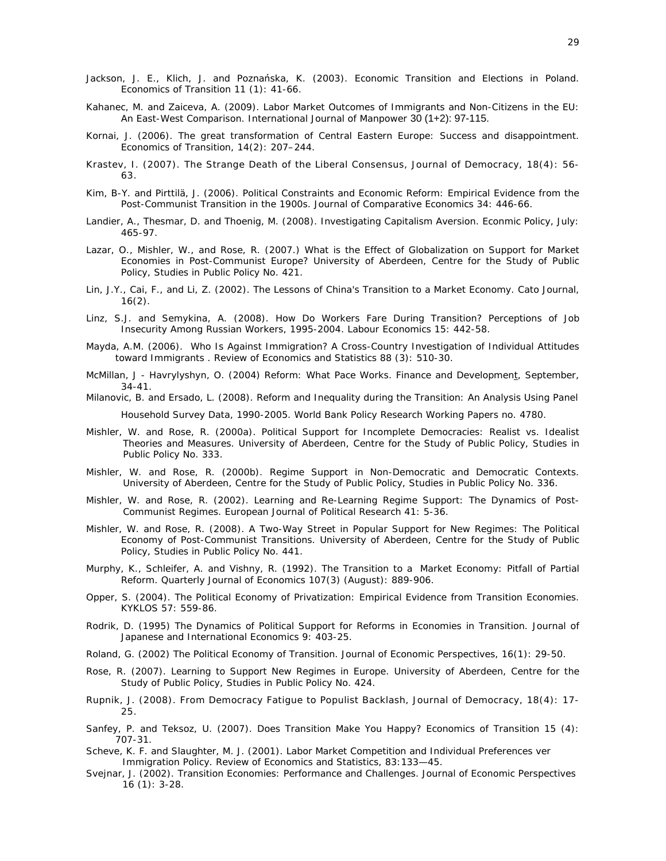- Jackson, J. E., Klich, J. and Poznańska, K. (2003). Economic Transition and Elections in Poland. Economics of Transition 11 (1): 41-66.
- Kahanec, M. and Zaiceva, A. (2009). Labor Market Outcomes of Immigrants and Non-Citizens in the EU: An East-West Comparison. International Journal of Manpower 30 (1+2): 97-115.
- Kornai, J. (2006). The great transformation of Central Eastern Europe: Success and disappointment. Economics of Transition, 14(2): 207–244.
- Krastev, I. (2007). The Strange Death of the Liberal Consensus, Journal of Democracy, 18(4): 56- 63.
- Kim, B-Y. and Pirttilä, J. (2006). Political Constraints and Economic Reform: Empirical Evidence from the Post-Communist Transition in the 1900s. Journal of Comparative Economics 34: 446-66.
- Landier, A., Thesmar, D. and Thoenig, M. (2008). Investigating Capitalism Aversion. Econmic Policy, July: 465-97.
- Lazar, O., Mishler, W., and Rose, R. (2007.) What is the Effect of Globalization on Support for Market Economies in Post-Communist Europe? University of Aberdeen, Centre for the Study of Public Policy, Studies in Public Policy No. 421.
- Lin, J.Y., Cai, F., and Li, Z. (2002). The Lessons of China's Transition to a Market Economy. Cato Journal, 16(2).
- Linz, S.J. and Semykina, A. (2008). How Do Workers Fare During Transition? Perceptions of Job Insecurity Among Russian Workers, 1995-2004. Labour Economics 15: 442-58.
- Mayda, A.M. (2006). Who Is Against Immigration? A Cross-Country Investigation of Individual Attitudes toward Immigrants . Review of Economics and Statistics 88 (3): 510-30.
- McMillan, J Havrylyshyn, O. (2004) Reform: What Pace Works. Finance and Development, September, 34-41.
- Milanovic, B. and Ersado, L. (2008). Reform and Inequality during the Transition: An Analysis Using Panel Household Survey Data, 1990-2005. World Bank Policy Research Working Papers no. 4780.
- Mishler, W. and Rose, R. (2000a). Political Support for Incomplete Democracies: Realist vs. Idealist Theories and Measures. University of Aberdeen, Centre for the Study of Public Policy, Studies in Public Policy No. 333.
- Mishler, W. and Rose, R. (2000b). Regime Support in Non-Democratic and Democratic Contexts. University of Aberdeen, Centre for the Study of Public Policy, Studies in Public Policy No. 336.
- Mishler, W. and Rose, R. (2002). Learning and Re-Learning Regime Support: The Dynamics of Post-Communist Regimes. European Journal of Political Research 41: 5-36.
- Mishler, W. and Rose, R. (2008). A Two-Way Street in Popular Support for New Regimes: The Political Economy of Post-Communist Transitions. University of Aberdeen, Centre for the Study of Public Policy, Studies in Public Policy No. 441.
- Murphy, K., Schleifer, A. and Vishny, R. (1992). The Transition to a Market Economy: Pitfall of Partial Reform. Quarterly Journal of Economics 107(3) (August): 889-906.
- Opper, S. (2004). The Political Economy of Privatization: Empirical Evidence from Transition Economies. KYKLOS 57: 559-86.
- Rodrik, D. (1995) The Dynamics of Political Support for Reforms in Economies in Transition. Journal of Japanese and International Economics 9: 403-25.
- Roland, G. (2002) The Political Economy of Transition. Journal of Economic Perspectives, 16(1): 29-50.
- Rose, R. (2007). Learning to Support New Regimes in Europe. University of Aberdeen, Centre for the Study of Public Policy, Studies in Public Policy No. 424.
- Rupnik, J. (2008). From Democracy Fatigue to Populist Backlash, Journal of Democracy, 18(4): 17- 25.
- Sanfey, P. and Teksoz, U. (2007). Does Transition Make You Happy? Economics of Transition 15 (4): 707-31.
- Scheve, K. F. and Slaughter, M. J. (2001). Labor Market Competition and Individual Preferences ver Immigration Policy. Review of Economics and Statistics, 83:133—45.
- Svejnar, J. (2002). Transition Economies: Performance and Challenges. Journal of Economic Perspectives 16 (1): 3-28.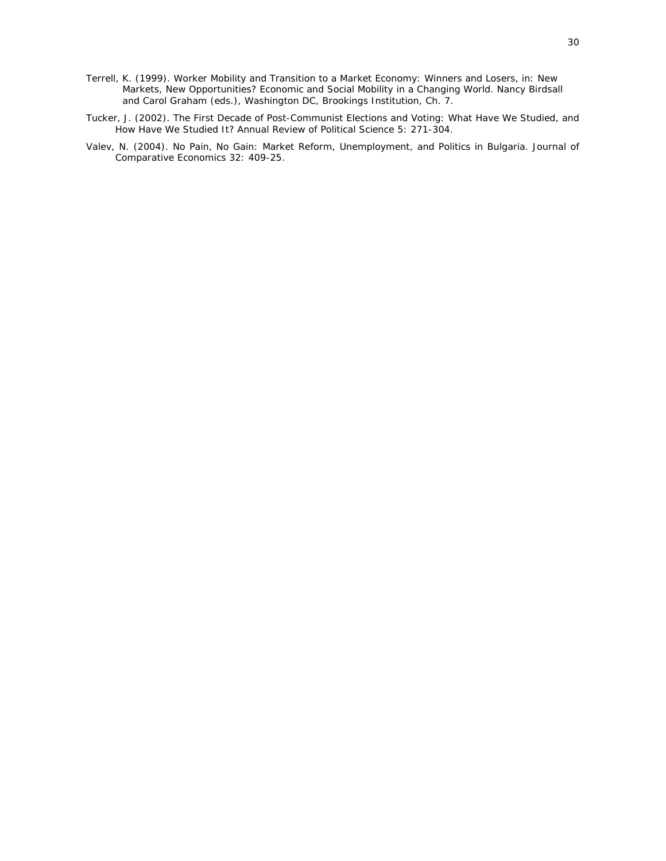- Terrell, K. (1999). Worker Mobility and Transition to a Market Economy: Winners and Losers, in: New Markets, New Opportunities? Economic and Social Mobility in a Changing World. Nancy Birdsall and Carol Graham (eds.), Washington DC, Brookings Institution, Ch. 7.
- Tucker, J. (2002). The First Decade of Post-Communist Elections and Voting: What Have We Studied, and How Have We Studied It? Annual Review of Political Science 5: 271-304.
- Valev, N. (2004). No Pain, No Gain: Market Reform, Unemployment, and Politics in Bulgaria. Journal of Comparative Economics 32: 409-25.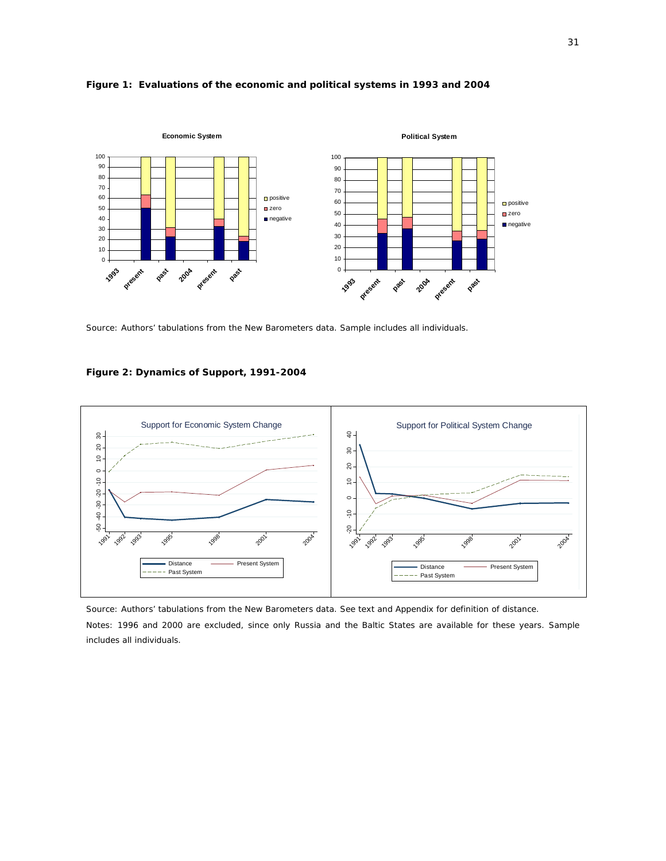

#### **Figure 1: Evaluations of the economic and political systems in 1993 and 2004**

*Source*: Authors' tabulations from the New Barometers data. Sample includes all individuals.

#### **Figure 2: Dynamics of Support, 1991-2004**



*Source*: Authors' tabulations from the New Barometers data. See text and Appendix for definition of distance. *Notes*: 1996 and 2000 are excluded, since only Russia and the Baltic States are available for these years. Sample includes all individuals.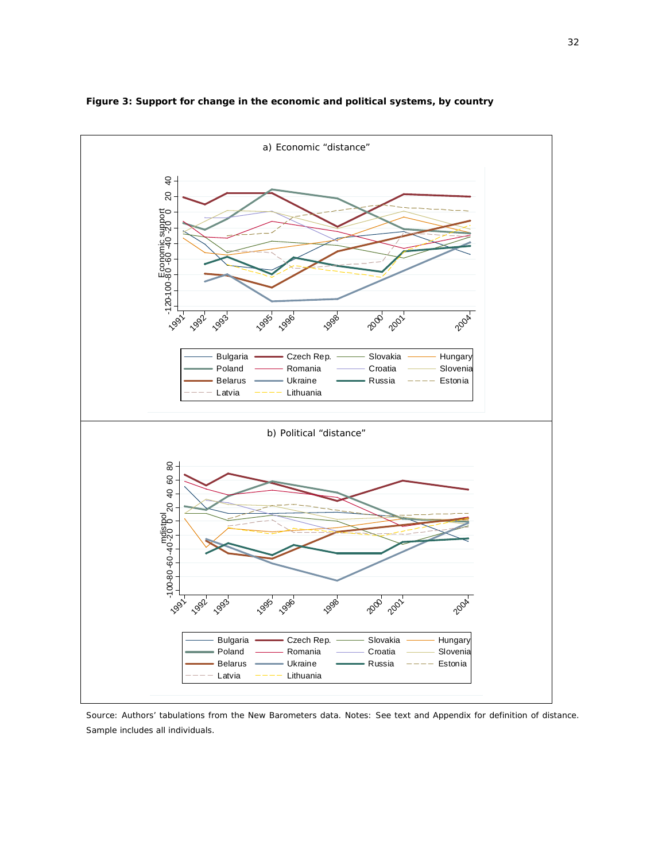

**Figure 3: Support for change in the economic and political systems, by country** 

*Source*: Authors' tabulations from the New Barometers data. Notes: See text and Appendix for definition of distance.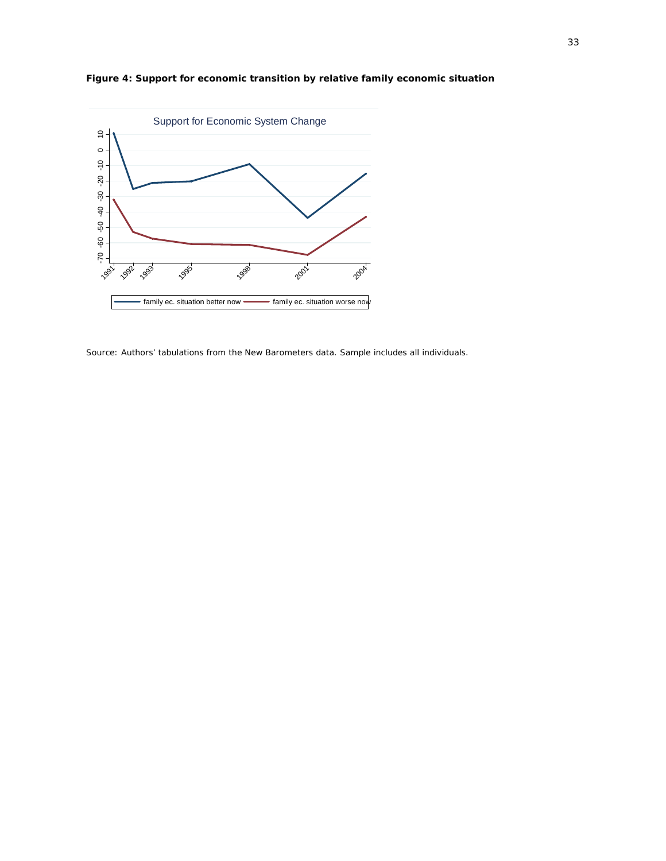



*Source*: Authors' tabulations from the New Barometers data. Sample includes all individuals.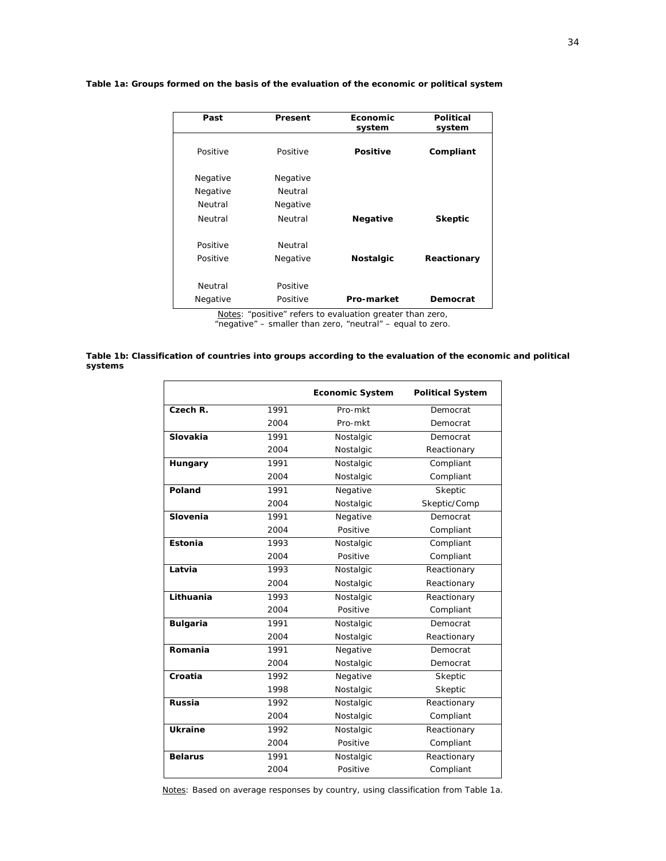| Past     | Present  | Economic         | Political      |
|----------|----------|------------------|----------------|
|          |          | system           | system         |
| Positive | Positive | <b>Positive</b>  | Compliant      |
|          |          |                  |                |
| Negative | Negative |                  |                |
| Negative | Neutral  |                  |                |
| Neutral  | Negative |                  |                |
| Neutral  | Neutral  | <b>Negative</b>  | <b>Skeptic</b> |
|          |          |                  |                |
| Positive | Neutral  |                  |                |
| Positive | Negative | <b>Nostalgic</b> | Reactionary    |
|          |          |                  |                |
| Neutral  | Positive |                  |                |
| Negative | Positive | Pro-market       | Democrat       |

#### **Table 1a: Groups formed on the basis of the evaluation of the economic or political system**

*Notes*: "positive" refers to evaluation greater than zero, "negative" – smaller than zero, "neutral" – equal to zero.

#### **Table 1b: Classification of countries into groups according to the evaluation of the economic and political systems**

|                 |      | <b>Economic System</b> | <b>Political System</b> |
|-----------------|------|------------------------|-------------------------|
| Czech R.        | 1991 | Pro-mkt                | Democrat                |
|                 | 2004 | Pro-mkt                | Democrat                |
| Slovakia        | 1991 | Nostalgic              | Democrat                |
|                 | 2004 | Nostalgic              | Reactionary             |
| Hungary         | 1991 | Nostalgic              | Compliant               |
|                 | 2004 | Nostalgic              | Compliant               |
| Poland          | 1991 | Negative               | Skeptic                 |
|                 | 2004 | Nostalgic              | Skeptic/Comp            |
| Slovenia        | 1991 | Negative               | Democrat                |
|                 | 2004 | Positive               | Compliant               |
| Estonia         | 1993 | Nostalgic              | Compliant               |
|                 | 2004 | Positive               | Compliant               |
| Latvia          | 1993 | Nostalgic              | Reactionary             |
|                 | 2004 | Nostalgic              | Reactionary             |
| Lithuania       | 1993 | Nostalgic              | Reactionary             |
|                 | 2004 | Positive               | Compliant               |
| <b>Bulgaria</b> | 1991 | Nostalgic              | Democrat                |
|                 | 2004 | Nostalgic              | Reactionary             |
| Romania         | 1991 | Negative               | Democrat                |
|                 | 2004 | Nostalgic              | Democrat                |
| Croatia         | 1992 | Negative               | Skeptic                 |
|                 | 1998 | Nostalgic              | Skeptic                 |
| <b>Russia</b>   | 1992 | Nostalgic              | Reactionary             |
|                 | 2004 | Nostalgic              | Compliant               |
| <b>Ukraine</b>  | 1992 | Nostalgic              | Reactionary             |
|                 | 2004 | Positive               | Compliant               |
| <b>Belarus</b>  | 1991 | Nostalgic              | Reactionary             |
|                 | 2004 | Positive               | Compliant               |

*Notes*: Based on average responses by country, using classification from Table 1a.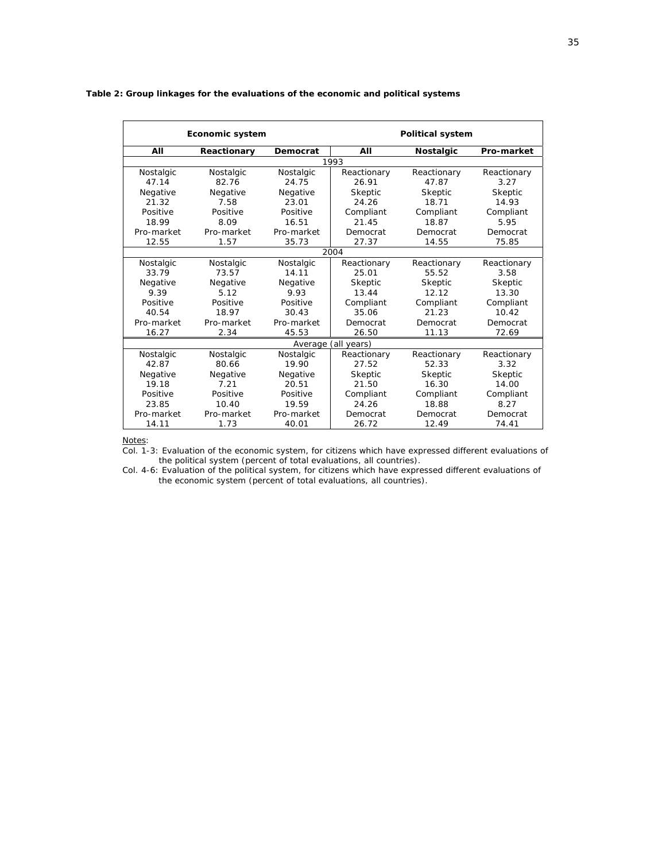|            | Economic system |            |                     | <b>Political system</b> |                   |  |  |
|------------|-----------------|------------|---------------------|-------------------------|-------------------|--|--|
| All        | Reactionary     | Democrat   | AII                 | <b>Nostalgic</b>        | <b>Pro-market</b> |  |  |
|            |                 |            | 1993                |                         |                   |  |  |
| Nostalgic  | Nostalgic       | Nostalgic  | Reactionary         | Reactionary             | Reactionary       |  |  |
| 47.14      | 82.76           | 24.75      | 26.91               | 47.87                   | 3.27              |  |  |
| Negative   | Negative        | Negative   | Skeptic             | Skeptic                 | Skeptic           |  |  |
| 21.32      | 7.58            | 23.01      | 24.26               | 18.71                   | 14.93             |  |  |
| Positive   | Positive        | Positive   | Compliant           | Compliant               | Compliant         |  |  |
| 18.99      | 8.09            | 16.51      | 21.45               | 18.87                   | 5.95              |  |  |
| Pro-market | Pro-market      | Pro-market | Democrat            | Democrat                | Democrat          |  |  |
| 12.55      | 1.57            | 35.73      | 27.37               | 14.55                   | 75.85             |  |  |
|            | 2004            |            |                     |                         |                   |  |  |
| Nostalgic  | Nostalgic       | Nostalgic  | Reactionary         | Reactionary             | Reactionary       |  |  |
| 33.79      | 73.57           | 14.11      | 25.01               | 55.52                   | 3.58              |  |  |
| Negative   | Negative        | Negative   | Skeptic             | Skeptic                 | Skeptic           |  |  |
| 9.39       | 5.12            | 9.93       | 13.44               | 12.12                   | 13.30             |  |  |
| Positive   | Positive        | Positive   | Compliant           | Compliant               | Compliant         |  |  |
| 40.54      | 18.97           | 30.43      | 35.06               | 21.23                   | 10.42             |  |  |
| Pro-market | Pro-market      | Pro-market | Democrat            | Democrat                | Democrat          |  |  |
| 16.27      | 2.34            | 45.53      | 26.50               | 11.13                   | 72.69             |  |  |
|            |                 |            | Average (all years) |                         |                   |  |  |
| Nostalgic  | Nostalgic       | Nostalgic  | Reactionary         | Reactionary             | Reactionary       |  |  |
| 42.87      | 80.66           | 19.90      | 27.52               | 52.33                   | 3.32              |  |  |
| Negative   | Negative        | Negative   | Skeptic             | Skeptic                 | Skeptic           |  |  |
| 19.18      | 7.21            | 20.51      | 21.50               | 16.30                   | 14.00             |  |  |
| Positive   | Positive        | Positive   | Compliant           | Compliant               | Compliant         |  |  |
| 23.85      | 10.40           | 19.59      | 24.26               | 18.88                   | 8.27              |  |  |
| Pro-market | Pro-market      | Pro-market | Democrat            | Democrat                | Democrat          |  |  |
| 14.11      | 1.73            | 40.01      | 26.72               | 12.49                   | 74.41             |  |  |

#### **Table 2: Group linkages for the evaluations of the economic and political systems**

*Notes*:

Col. 1-3: Evaluation of the economic system, for citizens which have expressed different evaluations of the political system (percent of total evaluations, all countries).

Col. 4-6: Evaluation of the political system, for citizens which have expressed different evaluations of the economic system (percent of total evaluations, all countries).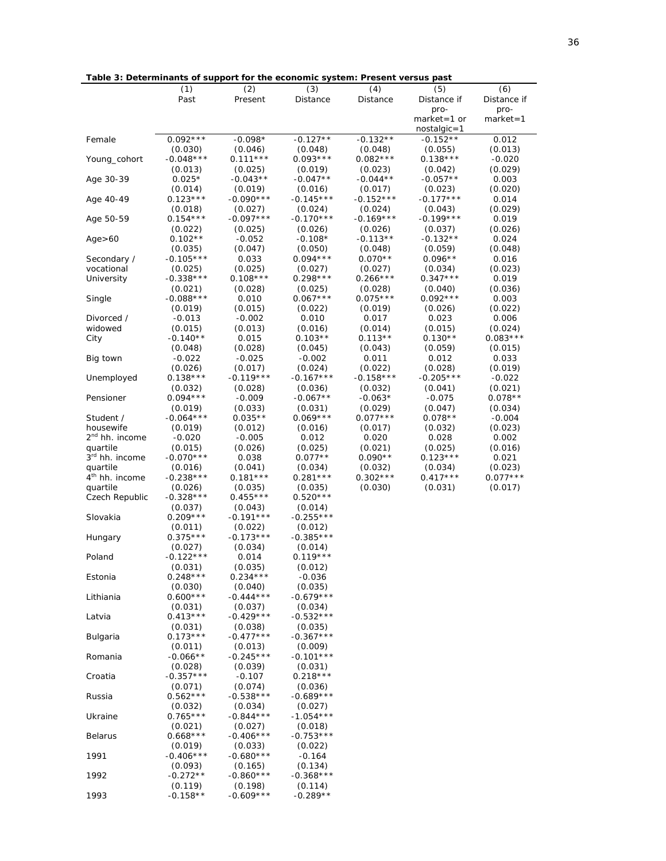| <u>rable 3: Determinants of support for the economic system: Present versus past</u> |             |             |             |             |             |              |
|--------------------------------------------------------------------------------------|-------------|-------------|-------------|-------------|-------------|--------------|
|                                                                                      | (1)         | (2)         | (3)         | (4)         | (5)         | (6)          |
|                                                                                      | Past        | Present     | Distance    | Distance    | Distance if | Distance if  |
|                                                                                      |             |             |             |             | pro-        | pro-         |
|                                                                                      |             |             |             |             | market=1 or | $market = 1$ |
|                                                                                      |             |             |             |             | nostalgic=1 |              |
|                                                                                      |             |             |             |             | $-0.152**$  |              |
| Female                                                                               | $0.092***$  | $-0.098*$   | $-0.127**$  | $-0.132**$  |             | 0.012        |
|                                                                                      | (0.030)     | (0.046)     | (0.048)     | (0.048)     | (0.055)     | (0.013)      |
| Young_cohort                                                                         | $-0.048***$ | $0.111***$  | $0.093***$  | $0.082***$  | $0.138***$  | $-0.020$     |
|                                                                                      | (0.013)     | (0.025)     | (0.019)     | (0.023)     | (0.042)     | (0.029)      |
| Age 30-39                                                                            | $0.025*$    | $-0.043**$  | $-0.047**$  | $-0.044**$  | $-0.057**$  | 0.003        |
|                                                                                      | (0.014)     | (0.019)     | (0.016)     | (0.017)     | (0.023)     | (0.020)      |
| Age 40-49                                                                            | $0.123***$  | $-0.090***$ | $-0.145***$ | $-0.152***$ | $-0.177***$ | 0.014        |
|                                                                                      |             |             |             |             |             |              |
|                                                                                      | (0.018)     | (0.027)     | (0.024)     | (0.024)     | (0.043)     | (0.029)      |
| Age 50-59                                                                            | $0.154***$  | $-0.097***$ | $-0.170***$ | $-0.169***$ | $-0.199***$ | 0.019        |
|                                                                                      | (0.022)     | (0.025)     | (0.026)     | (0.026)     | (0.037)     | (0.026)      |
| Age > 60                                                                             | $0.102**$   | $-0.052$    | $-0.108*$   | $-0.113**$  | $-0.132**$  | 0.024        |
|                                                                                      | (0.035)     | (0.047)     | (0.050)     | (0.048)     | (0.059)     | (0.048)      |
| Secondary /                                                                          | $-0.105***$ | 0.033       | $0.094***$  | $0.070**$   | $0.096**$   | 0.016        |
| vocational                                                                           | (0.025)     | (0.025)     | (0.027)     | (0.027)     | (0.034)     | (0.023)      |
| University                                                                           | $-0.338***$ | $0.108***$  | $0.298***$  | $0.266***$  | $0.347***$  | 0.019        |
|                                                                                      |             | (0.028)     | (0.025)     |             |             | (0.036)      |
|                                                                                      | (0.021)     |             |             | (0.028)     | (0.040)     |              |
| Single                                                                               | $-0.088***$ | 0.010       | $0.067***$  | $0.075***$  | $0.092***$  | 0.003        |
|                                                                                      | (0.019)     | (0.015)     | (0.022)     | (0.019)     | (0.026)     | (0.022)      |
| Divorced /                                                                           | $-0.013$    | $-0.002$    | 0.010       | 0.017       | 0.023       | 0.006        |
| widowed                                                                              | (0.015)     | (0.013)     | (0.016)     | (0.014)     | (0.015)     | (0.024)      |
| City                                                                                 | -0.140**    | 0.015       | $0.103**$   | $0.113**$   | $0.130**$   | $0.083***$   |
|                                                                                      | (0.048)     | (0.028)     | (0.045)     | (0.043)     | (0.059)     | (0.015)      |
| Big town                                                                             | $-0.022$    | $-0.025$    | $-0.002$    | 0.011       | 0.012       | 0.033        |
|                                                                                      | (0.026)     | (0.017)     | (0.024)     | (0.022)     | (0.028)     | (0.019)      |
|                                                                                      | $0.138***$  | $-0.119***$ | $-0.167***$ | $-0.158***$ | $-0.205***$ | $-0.022$     |
| Unemployed                                                                           |             |             |             |             |             |              |
|                                                                                      | (0.032)     | (0.028)     | (0.036)     | (0.032)     | (0.041)     | (0.021)      |
| Pensioner                                                                            | $0.094***$  | $-0.009$    | $-0.067**$  | $-0.063*$   | $-0.075$    | $0.078**$    |
|                                                                                      | (0.019)     | (0.033)     | (0.031)     | (0.029)     | (0.047)     | (0.034)      |
| Student /                                                                            | $-0.064***$ | $0.035**$   | $0.069***$  | $0.077***$  | $0.078**$   | $-0.004$     |
| housewife                                                                            | (0.019)     | (0.012)     | (0.016)     | (0.017)     | (0.032)     | (0.023)      |
| 2 <sup>nd</sup> hh. income                                                           | $-0.020$    | $-0.005$    | 0.012       | 0.020       | 0.028       | 0.002        |
| quartile                                                                             | (0.015)     | (0.026)     | (0.025)     | (0.021)     | (0.025)     | (0.016)      |
| 3 <sup>rd</sup> hh. income                                                           | $-0.070***$ | 0.038       | $0.077**$   | $0.090**$   | $0.123***$  | 0.021        |
| quartile                                                                             |             |             |             |             |             |              |
|                                                                                      | (0.016)     | (0.041)     | (0.034)     | (0.032)     | (0.034)     | (0.023)      |
| 4 <sup>th</sup> hh. income                                                           | $-0.238***$ | $0.181***$  | $0.281***$  | $0.302***$  | $0.417***$  | $0.077***$   |
| quartile                                                                             | (0.026)     | (0.035)     | (0.035)     | (0.030)     | (0.031)     | (0.017)      |
| Czech Republic                                                                       | $-0.328***$ | $0.455***$  | $0.520***$  |             |             |              |
|                                                                                      | (0.037)     | (0.043)     | (0.014)     |             |             |              |
| Slovakia                                                                             | $0.209***$  | $-0.191***$ | $-0.255***$ |             |             |              |
|                                                                                      | (0.011)     | (0.022)     | (0.012)     |             |             |              |
| Hungary                                                                              | $0.375***$  | $-0.173***$ | $-0.385***$ |             |             |              |
|                                                                                      | (0.027)     | (0.034)     | (0.014)     |             |             |              |
| Poland                                                                               | $-0.122***$ | 0.014       | $0.119***$  |             |             |              |
|                                                                                      |             |             |             |             |             |              |
|                                                                                      | (0.031)     | (0.035)     | (0.012)     |             |             |              |
| Estonia                                                                              | $0.248***$  | $0.234***$  | $-0.036$    |             |             |              |
|                                                                                      | (0.030)     | (0.040)     | (0.035)     |             |             |              |
| Lithiania                                                                            | $0.600***$  | $-0.444***$ | $-0.679***$ |             |             |              |
|                                                                                      | (0.031)     | (0.037)     | (0.034)     |             |             |              |
| Latvia                                                                               | $0.413***$  | $-0.429***$ | $-0.532***$ |             |             |              |
|                                                                                      | (0.031)     | (0.038)     | (0.035)     |             |             |              |
| Bulgaria                                                                             | $0.173***$  | $-0.477***$ | $-0.367***$ |             |             |              |
|                                                                                      | (0.011)     | (0.013)     | (0.009)     |             |             |              |
| Romania                                                                              | $-0.066**$  | $-0.245***$ | $-0.101***$ |             |             |              |
|                                                                                      |             |             |             |             |             |              |
|                                                                                      | (0.028)     | (0.039)     | (0.031)     |             |             |              |
| Croatia                                                                              | $-0.357***$ | $-0.107$    | $0.218***$  |             |             |              |
|                                                                                      | (0.071)     | (0.074)     | (0.036)     |             |             |              |
| Russia                                                                               | $0.562***$  | $-0.538***$ | $-0.689***$ |             |             |              |
|                                                                                      | (0.032)     | (0.034)     | (0.027)     |             |             |              |
| Ukraine                                                                              | $0.765***$  | $-0.844***$ | $-1.054***$ |             |             |              |
|                                                                                      | (0.021)     | (0.027)     | (0.018)     |             |             |              |
| <b>Belarus</b>                                                                       | $0.668***$  | $-0.406***$ | $-0.753***$ |             |             |              |
|                                                                                      | (0.019)     | (0.033)     | (0.022)     |             |             |              |
| 1991                                                                                 | $-0.406***$ | $-0.680**$  | $-0.164$    |             |             |              |
|                                                                                      |             |             |             |             |             |              |
|                                                                                      | (0.093)     | (0.165)     | (0.134)     |             |             |              |
| 1992                                                                                 | $-0.272**$  | $-0.860***$ | $-0.368***$ |             |             |              |
|                                                                                      | (0.119)     | (0.198)     | (0.114)     |             |             |              |
| 1993                                                                                 | $-0.158**$  | $-0.609***$ | $-0.289**$  |             |             |              |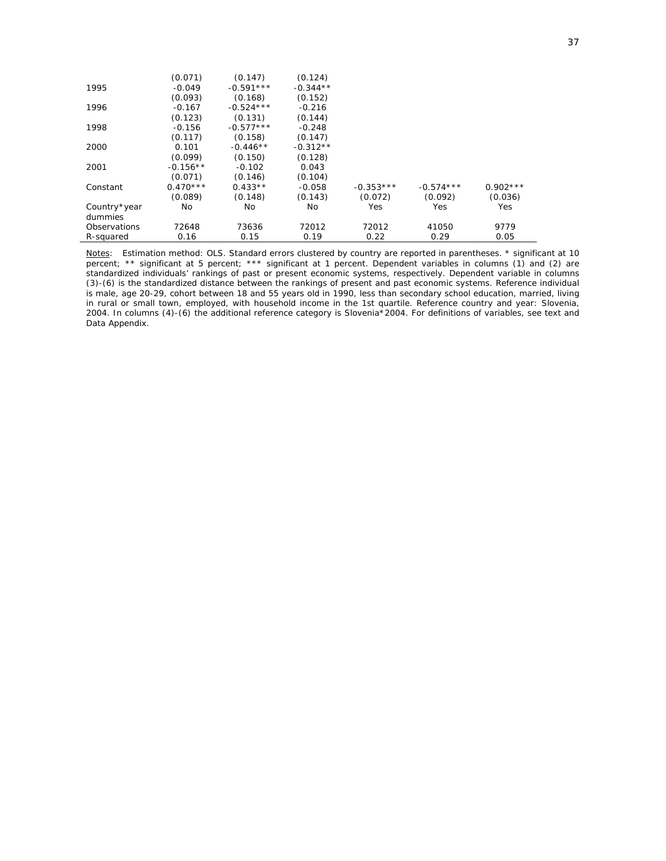|              | (0.071)    | (0.147)     | (0.124)    |             |             |            |  |
|--------------|------------|-------------|------------|-------------|-------------|------------|--|
| 1995         | $-0.049$   | $-0.591***$ | $-0.344**$ |             |             |            |  |
|              | (0.093)    | (0.168)     | (0.152)    |             |             |            |  |
| 1996         | $-0.167$   | $-0.524***$ | $-0.216$   |             |             |            |  |
|              | (0.123)    | (0.131)     | (0.144)    |             |             |            |  |
| 1998         | $-0.156$   | $-0.577***$ | $-0.248$   |             |             |            |  |
|              | (0.117)    | (0.158)     | (0.147)    |             |             |            |  |
| 2000         | 0.101      | $-0.446**$  | $-0.312**$ |             |             |            |  |
|              | (0.099)    | (0.150)     | (0.128)    |             |             |            |  |
| 2001         | $-0.156**$ | $-0.102$    | 0.043      |             |             |            |  |
|              | (0.071)    | (0.146)     | (0.104)    |             |             |            |  |
| Constant     | $0.470***$ | $0.433**$   | $-0.058$   | $-0.353***$ | $-0.574***$ | $0.902***$ |  |
|              | (0.089)    | (0.148)     | (0.143)    | (0.072)     | (0.092)     | (0.036)    |  |
| Country*year | No.        | No          | No         | Yes         | Yes         | Yes        |  |
| dummies      |            |             |            |             |             |            |  |
| Observations | 72648      | 73636       | 72012      | 72012       | 41050       | 9779       |  |
| R-squared    | 0.16       | 0.15        | 0.19       | 0.22        | 0.29        | 0.05       |  |

*Notes*: Estimation method: OLS. Standard errors clustered by country are reported in parentheses. \* significant at 10 percent; \*\* significant at 5 percent; \*\*\* significant at 1 percent. Dependent variables in columns (1) and (2) are standardized individuals' rankings of past or present economic systems, respectively. Dependent variable in columns (3)-(6) is the standardized distance between the rankings of present and past economic systems. Reference individual is male, age 20-29, cohort between 18 and 55 years old in 1990, less than secondary school education, married, living in rural or small town, employed, with household income in the 1st quartile. Reference country and year: Slovenia, 2004. In columns (4)-(6) the additional reference category is Slovenia\*2004. For definitions of variables, see text and Data Appendix.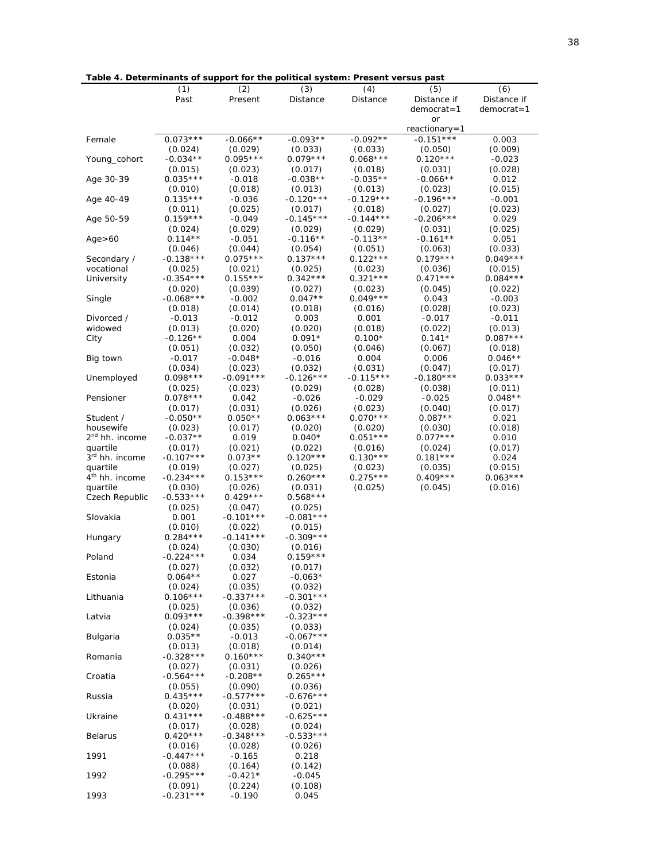**Table 4. Determinants of support for the political system: Present versus past**

|                            | (1)                    | (2)                    | (3)                    | (4)                    | (5)                    | (6)                   |
|----------------------------|------------------------|------------------------|------------------------|------------------------|------------------------|-----------------------|
|                            | Past                   | Present                | Distance               | Distance               | Distance if            | Distance if           |
|                            |                        |                        |                        |                        | democrat=1             | $d$ emocrat=1         |
|                            |                        |                        |                        |                        | or<br>reactionary=1    |                       |
| Female                     | $0.073***$             | $-0.066**$             | $-0.093**$             | $-0.092**$             | $-0.151***$            | 0.003                 |
|                            | (0.024)                | (0.029)                | (0.033)                | (0.033)                | (0.050)                | (0.009)               |
| Young_cohort               | $-0.034**$             | $0.095***$             | $0.079***$             | $0.068***$             | $0.120***$             | $-0.023$              |
|                            | (0.015)                | (0.023)                | (0.017)                | (0.018)                | (0.031)                | (0.028)               |
| Age 30-39                  | $0.035***$             | $-0.018$               | $-0.038**$             | $-0.035**$             | -0.066**               | 0.012                 |
|                            | (0.010)                | (0.018)                | (0.013)                | (0.013)                | (0.023)                | (0.015)               |
| Age 40-49                  | $0.135***$             | $-0.036$               | $-0.120***$            | $-0.129***$            | $-0.196***$            | $-0.001$              |
|                            | (0.011)                | (0.025)                | (0.017)                | (0.018)                | (0.027)                | (0.023)               |
| Age 50-59                  | $0.159***$             | $-0.049$               | $-0.145***$            | $-0.144***$            | $-0.206***$            | 0.029                 |
|                            | (0.024)                | (0.029)                | (0.029)                | (0.029)                | (0.031)                | (0.025)               |
| Age > 60                   | $0.114**$              | $-0.051$               | $-0.116**$             | $-0.113**$             | -0.161**               | 0.051                 |
|                            | (0.046)<br>$-0.138***$ | (0.044)<br>$0.075***$  | (0.054)<br>$0.137***$  | (0.051)<br>$0.122***$  | (0.063)<br>$0.179***$  | (0.033)<br>$0.049***$ |
| Secondary /<br>vocational  | (0.025)                | (0.021)                | (0.025)                | (0.023)                | (0.036)                | (0.015)               |
| University                 | $-0.354***$            | $0.155***$             | $0.342***$             | $0.321***$             | $0.471***$             | $0.084***$            |
|                            | (0.020)                | (0.039)                | (0.027)                | (0.023)                | (0.045)                | (0.022)               |
| Single                     | $-0.068***$            | $-0.002$               | $0.047**$              | $0.049***$             | 0.043                  | $-0.003$              |
|                            | (0.018)                | (0.014)                | (0.018)                | (0.016)                | (0.028)                | (0.023)               |
| Divorced /                 | $-0.013$               | $-0.012$               | 0.003                  | 0.001                  | $-0.017$               | $-0.011$              |
| widowed                    | (0.013)                | (0.020)                | (0.020)                | (0.018)                | (0.022)                | (0.013)               |
| City                       | $-0.126**$             | 0.004                  | $0.091*$               | $0.100*$               | $0.141*$               | $0.087***$            |
|                            | (0.051)                | (0.032)                | (0.050)                | (0.046)                | (0.067)                | (0.018)               |
| Big town                   | $-0.017$               | $-0.048*$              | $-0.016$               | 0.004                  | 0.006                  | $0.046**$             |
|                            | (0.034)                | (0.023)                | (0.032)                | (0.031)                | (0.047)                | (0.017)               |
| Unemployed                 | $0.098***$<br>(0.025)  | $-0.091***$<br>(0.023) | $-0.126***$<br>(0.029) | $-0.115***$<br>(0.028) | $-0.180***$<br>(0.038) | $0.033***$<br>(0.011) |
| Pensioner                  | $0.078***$             | 0.042                  | $-0.026$               | $-0.029$               | $-0.025$               | $0.048**$             |
|                            | (0.017)                | (0.031)                | (0.026)                | (0.023)                | (0.040)                | (0.017)               |
| Student /                  | $-0.050**$             | $0.050**$              | $0.063***$             | $0.070***$             | $0.087**$              | 0.021                 |
| housewife                  | (0.023)                | (0.017)                | (0.020)                | (0.020)                | (0.030)                | (0.018)               |
| 2 <sup>nd</sup> hh. income | $-0.037**$             | 0.019                  | $0.040*$               | $0.051***$             | $0.077***$             | 0.010                 |
| quartile                   | (0.017)                | (0.021)                | (0.022)                | (0.016)                | (0.024)                | (0.017)               |
| 3rd hh. income             | $-0.107***$            | $0.073**$              | $0.120***$             | $0.130***$             | $0.181***$             | 0.024                 |
| quartile                   | (0.019)                | (0.027)                | (0.025)                | (0.023)                | (0.035)                | (0.015)               |
| 4 <sup>th</sup> hh. income | $-0.234***$            | $0.153***$             | $0.260***$             | $0.275***$             | $0.409***$             | $0.063***$            |
| quartile                   | (0.030)                | (0.026)                | (0.031)                | (0.025)                | (0.045)                | (0.016)               |
| Czech Republic             | $-0.533***$            | $0.429***$             | $0.568***$             |                        |                        |                       |
| Slovakia                   | (0.025)<br>0.001       | (0.047)<br>$-0.101***$ | (0.025)<br>$-0.081***$ |                        |                        |                       |
|                            | (0.010)                | (0.022)                | (0.015)                |                        |                        |                       |
| Hungary                    | $0.284***$             | $-0.141***$            | $-0.309***$            |                        |                        |                       |
|                            | (0.024)                | (0.030)                | (0.016)                |                        |                        |                       |
| Poland                     | $-0.224***$            | 0.034                  | $0.159***$             |                        |                        |                       |
|                            | (0.027)                | (0.032)                | (0.017)                |                        |                        |                       |
| Estonia                    | $0.064**$              | 0.027                  | $-0.063*$              |                        |                        |                       |
|                            | (0.024)                | (0.035)                | (0.032)                |                        |                        |                       |
| Lithuania                  | $0.106***$             | $-0.337***$            | $-0.301***$            |                        |                        |                       |
|                            | (0.025)                | (0.036)                | (0.032)                |                        |                        |                       |
| Latvia                     | $0.093***$             | $-0.398***$            | $-0.323***$            |                        |                        |                       |
| Bulgaria                   | (0.024)<br>$0.035**$   | (0.035)<br>$-0.013$    | (0.033)<br>$-0.067***$ |                        |                        |                       |
|                            | (0.013)                | (0.018)                | (0.014)                |                        |                        |                       |
| Romania                    | $-0.328***$            | $0.160***$             | $0.340***$             |                        |                        |                       |
|                            | (0.027)                | (0.031)                | (0.026)                |                        |                        |                       |
| Croatia                    | $-0.564***$            | $-0.208**$             | $0.265***$             |                        |                        |                       |
|                            | (0.055)                | (0.090)                | (0.036)                |                        |                        |                       |
| Russia                     | $0.435***$             | $-0.577***$            | $-0.676***$            |                        |                        |                       |
|                            | (0.020)                | (0.031)                | (0.021)                |                        |                        |                       |
| Ukraine                    | $0.431***$             | $-0.488***$            | $-0.625***$            |                        |                        |                       |
|                            | (0.017)                | (0.028)                | (0.024)                |                        |                        |                       |
| Belarus                    | $0.420***$             | $-0.348***$            | $-0.533***$            |                        |                        |                       |
| 1991                       | (0.016)<br>$-0.447***$ | (0.028)<br>$-0.165$    | (0.026)<br>0.218       |                        |                        |                       |
|                            | (0.088)                | (0.164)                | (0.142)                |                        |                        |                       |
| 1992                       | $-0.295***$            | $-0.421*$              | $-0.045$               |                        |                        |                       |
|                            | (0.091)                | (0.224)                | (0.108)                |                        |                        |                       |
| 1993                       | $-0.231***$            | $-0.190$               | 0.045                  |                        |                        |                       |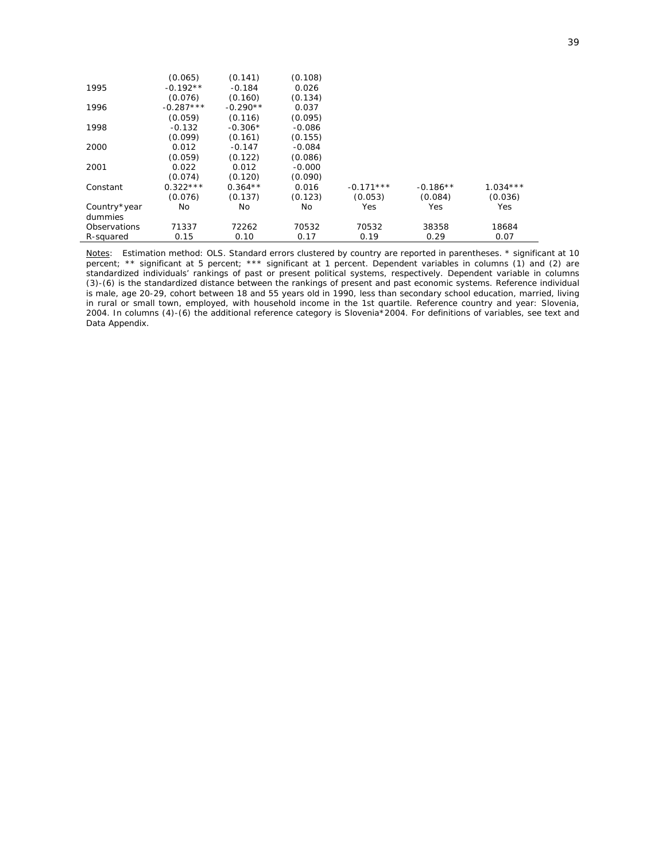|              | (0.065)     | (0.141)    | (0.108)  |             |            |            |
|--------------|-------------|------------|----------|-------------|------------|------------|
| 1995         | $-0.192**$  | $-0.184$   | 0.026    |             |            |            |
|              | (0.076)     | (0.160)    | (0.134)  |             |            |            |
| 1996         | $-0.287***$ | $-0.290**$ | 0.037    |             |            |            |
|              | (0.059)     | (0.116)    | (0.095)  |             |            |            |
| 1998         | $-0.132$    | $-0.306*$  | $-0.086$ |             |            |            |
|              | (0.099)     | (0.161)    | (0.155)  |             |            |            |
| 2000         | 0.012       | $-0.147$   | $-0.084$ |             |            |            |
|              | (0.059)     | (0.122)    | (0.086)  |             |            |            |
| 2001         | 0.022       | 0.012      | $-0.000$ |             |            |            |
|              | (0.074)     | (0.120)    | (0.090)  |             |            |            |
| Constant     | $0.322***$  | $0.364**$  | 0.016    | $-0.171***$ | $-0.186**$ | $1.034***$ |
|              | (0.076)     | (0.137)    | (0.123)  | (0.053)     | (0.084)    | (0.036)    |
| Country*year | No          | No         | No       | Yes         | Yes        | Yes        |
| dummies      |             |            |          |             |            |            |
| Observations | 71337       | 72262      | 70532    | 70532       | 38358      | 18684      |
| R-squared    | 0.15        | 0.10       | 0.17     | 0.19        | 0.29       | 0.07       |

*Notes*: Estimation method: OLS. Standard errors clustered by country are reported in parentheses. \* significant at 10 percent; \*\* significant at 5 percent; \*\*\* significant at 1 percent. Dependent variables in columns (1) and (2) are standardized individuals' rankings of past or present political systems, respectively. Dependent variable in columns (3)-(6) is the standardized distance between the rankings of present and past economic systems. Reference individual is male, age 20-29, cohort between 18 and 55 years old in 1990, less than secondary school education, married, living in rural or small town, employed, with household income in the 1st quartile. Reference country and year: Slovenia, 2004. In columns (4)-(6) the additional reference category is Slovenia\*2004. For definitions of variables, see text and Data Appendix.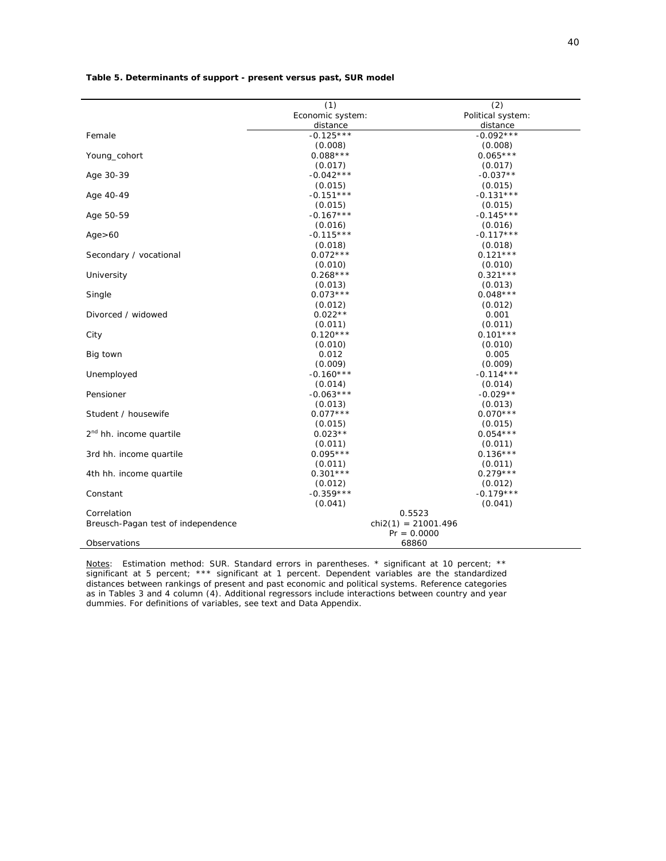|                                     | (1)                   | (2)               |  |  |  |
|-------------------------------------|-----------------------|-------------------|--|--|--|
|                                     | Economic system:      | Political system: |  |  |  |
|                                     | distance              | distance          |  |  |  |
| Female                              | $-0.125***$           | $-0.092***$       |  |  |  |
|                                     | (0.008)               | (0.008)           |  |  |  |
| Young_cohort                        | $0.088***$            | $0.065***$        |  |  |  |
|                                     | (0.017)               | (0.017)           |  |  |  |
| Age 30-39                           | $-0.042***$           | $-0.037**$        |  |  |  |
|                                     | (0.015)               | (0.015)           |  |  |  |
| Age 40-49                           | $-0.151***$           | $-0.131***$       |  |  |  |
|                                     | (0.015)               | (0.015)           |  |  |  |
| Age 50-59                           | $-0.167***$           | $-0.145***$       |  |  |  |
|                                     | (0.016)               | (0.016)           |  |  |  |
| Age > 60                            | $-0.115***$           | $-0.117***$       |  |  |  |
|                                     | (0.018)               | (0.018)           |  |  |  |
| Secondary / vocational              | $0.072***$            | $0.121***$        |  |  |  |
|                                     | (0.010)               | (0.010)           |  |  |  |
| University                          | $0.268***$            | $0.321***$        |  |  |  |
|                                     | (0.013)               | (0.013)           |  |  |  |
| Single                              | $0.073***$            | $0.048***$        |  |  |  |
|                                     | (0.012)               | (0.012)           |  |  |  |
| Divorced / widowed                  | $0.022**$             | 0.001             |  |  |  |
|                                     | (0.011)               | (0.011)           |  |  |  |
| City                                | $0.120***$            | $0.101***$        |  |  |  |
|                                     | (0.010)               | (0.010)           |  |  |  |
| Big town                            | 0.012                 | 0.005             |  |  |  |
|                                     | (0.009)               | (0.009)           |  |  |  |
| Unemployed                          | $-0.160***$           | $-0.114***$       |  |  |  |
|                                     | (0.014)               | (0.014)           |  |  |  |
| Pensioner                           | $-0.063***$           | $-0.029**$        |  |  |  |
|                                     | (0.013)               | (0.013)           |  |  |  |
| Student / housewife                 | $0.077***$            | $0.070***$        |  |  |  |
|                                     | (0.015)               | (0.015)           |  |  |  |
| 2 <sup>nd</sup> hh. income quartile | $0.023**$             | $0.054***$        |  |  |  |
|                                     | (0.011)               | (0.011)           |  |  |  |
| 3rd hh. income quartile             | $0.095***$            | $0.136***$        |  |  |  |
|                                     | (0.011)               | (0.011)           |  |  |  |
| 4th hh. income quartile             | $0.301***$            | $0.279***$        |  |  |  |
|                                     | (0.012)               | (0.012)           |  |  |  |
| Constant                            | $-0.359***$           | $-0.179***$       |  |  |  |
|                                     | (0.041)               | (0.041)           |  |  |  |
| Correlation                         |                       | 0.5523            |  |  |  |
| Breusch-Pagan test of independence  | $chi2(1) = 21001.496$ |                   |  |  |  |
|                                     | $Pr = 0.0000$         |                   |  |  |  |
| Observations                        |                       | 68860             |  |  |  |

**Table 5. Determinants of support - present versus past, SUR model** 

*Notes*: Estimation method: SUR. Standard errors in parentheses. \* significant at 10 percent; \*\* significant at 5 percent; \*\*\* significant at 1 percent. Dependent variables are the standardized distances between rankings of present and past economic and political systems. Reference categories as in Tables 3 and 4 column (4). Additional regressors include interactions between country and year dummies. For definitions of variables, see text and Data Appendix.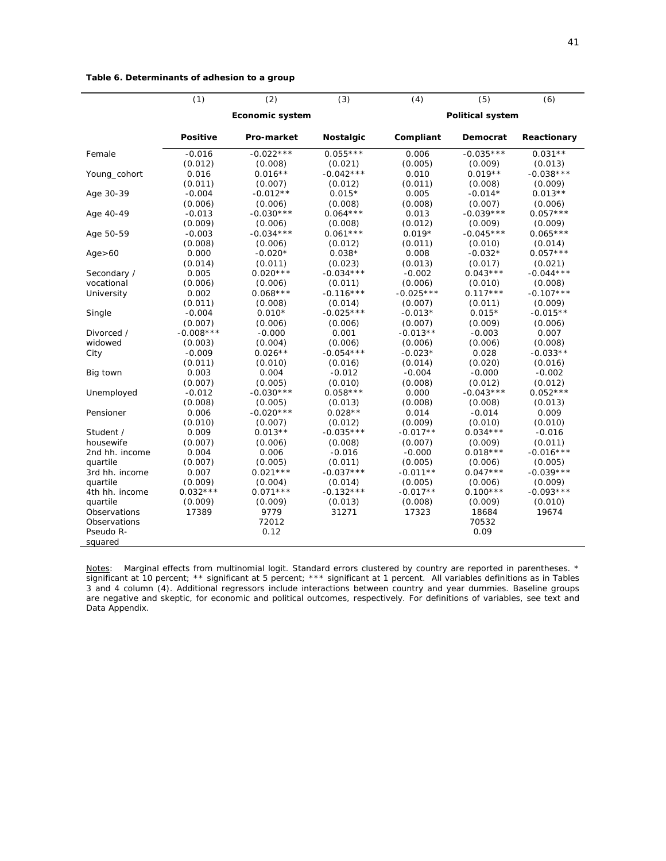#### **Table 6. Determinants of adhesion to a group**

| <b>Political system</b><br>Economic system                                                  |             |  |  |  |
|---------------------------------------------------------------------------------------------|-------------|--|--|--|
| <b>Positive</b><br><b>Pro-market</b><br><b>Nostalgic</b><br>Compliant<br>Democrat           | Reactionary |  |  |  |
| $-0.022***$<br>$0.055***$<br>$-0.035***$<br>$0.031**$<br>$-0.016$<br>0.006<br>Female        |             |  |  |  |
| (0.012)<br>(0.005)<br>(0.008)<br>(0.021)<br>(0.009)                                         | (0.013)     |  |  |  |
| 0.016<br>$0.016**$<br>$-0.042***$<br>0.010<br>$0.019**$<br>Young_cohort                     | $-0.038***$ |  |  |  |
| (0.011)<br>(0.011)<br>(0.007)<br>(0.012)<br>(0.008)                                         | (0.009)     |  |  |  |
| $-0.004$<br>$0.015*$<br>0.005<br>$-0.014*$<br>$0.013**$<br>Age 30-39<br>$-0.012**$          |             |  |  |  |
| (0.006)<br>(0.006)<br>(0.008)<br>(0.008)<br>(0.007)                                         | (0.006)     |  |  |  |
| $-0.030***$<br>$0.064***$<br>$-0.039***$<br>$0.057***$<br>$-0.013$<br>0.013<br>Age 40-49    |             |  |  |  |
| (0.009)<br>(0.012)<br>(0.009)<br>(0.006)<br>(0.008)                                         | (0.009)     |  |  |  |
| $-0.034***$<br>$0.061***$<br>$0.019*$<br>$-0.045***$<br>$0.065***$<br>$-0.003$<br>Age 50-59 |             |  |  |  |
| (0.008)<br>(0.006)<br>(0.011)<br>(0.010)<br>(0.012)                                         | (0.014)     |  |  |  |
| $0.057***$<br>0.000<br>$-0.020*$<br>$0.038*$<br>0.008<br>$-0.032*$<br>Age > 60              |             |  |  |  |
| (0.014)<br>(0.013)<br>(0.017)<br>(0.011)<br>(0.023)                                         | (0.021)     |  |  |  |
| 0.005<br>$0.020***$<br>$-0.034***$<br>$0.043***$<br>$-0.044***$<br>$-0.002$<br>Secondary /  |             |  |  |  |
| (0.006)<br>(0.011)<br>(0.006)<br>(0.010)<br>vocational<br>(0.006)                           | (0.008)     |  |  |  |
| $0.068***$<br>$-0.116***$<br>$-0.025***$<br>$0.117***$<br>University<br>0.002               | $-0.107***$ |  |  |  |
| (0.011)<br>(0.007)<br>(0.011)<br>(0.008)<br>(0.014)                                         | (0.009)     |  |  |  |
| $-0.004$<br>$0.010*$<br>$-0.025***$<br>$-0.013*$<br>$0.015*$<br>$-0.015**$<br>Single        |             |  |  |  |
| (0.007)<br>(0.006)<br>(0.009)<br>(0.006)<br>(0.007)                                         | (0.006)     |  |  |  |
| $-0.008***$<br>$-0.013**$<br>$-0.000$<br>0.001<br>$-0.003$<br>Divorced /                    | 0.007       |  |  |  |
| (0.006)<br>(0.006)<br>widowed<br>(0.003)<br>(0.004)<br>(0.006)                              | (0.008)     |  |  |  |
| $0.026**$<br>$-0.054***$<br>$-0.009$<br>$-0.023*$<br>0.028<br>City                          | $-0.033**$  |  |  |  |
| (0.010)<br>(0.014)<br>(0.020)<br>(0.011)<br>(0.016)                                         | (0.016)     |  |  |  |
| 0.003<br>0.004<br>$-0.012$<br>$-0.004$<br>$-0.000$<br>Big town                              | $-0.002$    |  |  |  |
| (0.007)<br>(0.005)<br>(0.010)<br>(0.008)<br>(0.012)                                         | (0.012)     |  |  |  |
| $-0.030***$<br>$0.058***$<br>$-0.043***$<br>$0.052***$<br>$-0.012$<br>0.000<br>Unemployed   |             |  |  |  |
| (0.008)<br>(0.005)<br>(0.013)<br>(0.008)<br>(0.008)<br>(0.013)                              |             |  |  |  |
| $-0.020***$<br>0.006<br>$0.028**$<br>0.014<br>$-0.014$<br>Pensioner                         | 0.009       |  |  |  |
| (0.010)<br>(0.012)<br>(0.009)<br>(0.010)<br>(0.010)<br>(0.007)                              |             |  |  |  |
| $0.034***$<br>0.009<br>$0.013**$<br>$-0.035***$<br>$-0.017**$<br>Student /                  | $-0.016$    |  |  |  |
| housewife<br>(0.007)<br>(0.006)<br>(0.008)<br>(0.007)<br>(0.009)                            | (0.011)     |  |  |  |
| $0.018***$<br>0.004<br>0.006<br>$-0.000$<br>2nd hh. income<br>$-0.016$                      | $-0.016***$ |  |  |  |
| (0.007)<br>(0.005)<br>(0.011)<br>(0.005)<br>quartile<br>(0.006)                             | (0.005)     |  |  |  |
| $0.021***$<br>$-0.037***$<br>$-0.011**$<br>$0.047***$<br>0.007<br>3rd hh. income            | $-0.039***$ |  |  |  |
| (0.009)<br>(0.004)<br>(0.005)<br>(0.006)<br>quartile<br>(0.014)                             | (0.009)     |  |  |  |
| $0.032***$<br>$0.071***$<br>$-0.132***$<br>$0.100***$<br>$-0.017**$<br>4th hh. income       | $-0.093***$ |  |  |  |
| quartile<br>(0.009)<br>(0.009)<br>(0.013)<br>(0.008)<br>(0.009)                             | (0.010)     |  |  |  |
| Observations<br>17389<br>9779<br>31271<br>17323<br>18684                                    | 19674       |  |  |  |
| 72012<br>70532<br>Observations                                                              |             |  |  |  |
| Pseudo R-<br>0.12<br>0.09                                                                   |             |  |  |  |
| squared                                                                                     |             |  |  |  |

*Notes*: Marginal effects from multinomial logit. Standard errors clustered by country are reported in parentheses. \* significant at 10 percent; \*\* significant at 5 percent; \*\*\* significant at 1 percent. All variables definitions as in Tables 3 and 4 column (4). Additional regressors include interactions between country and year dummies. Baseline groups are negative and skeptic, for economic and political outcomes, respectively. For definitions of variables, see text and Data Appendix.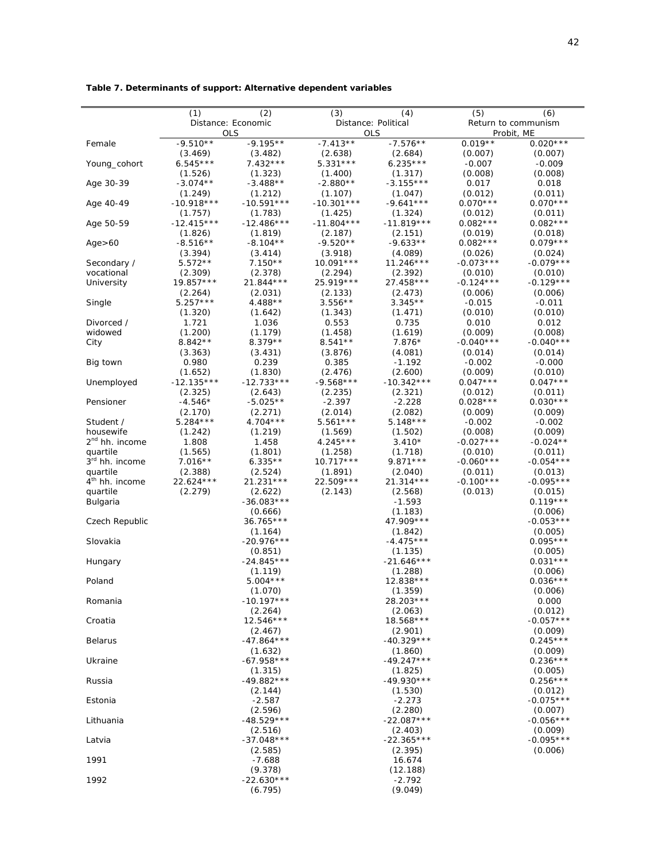|                            | (1)          | (2)                | (3)          | (4)                 | (5)         | (6)                 |
|----------------------------|--------------|--------------------|--------------|---------------------|-------------|---------------------|
|                            |              | Distance: Economic |              | Distance: Political |             | Return to communism |
|                            |              | <b>OLS</b>         |              | <b>OLS</b>          |             | Probit, ME          |
| Female                     | $-9.510**$   | $-9.195**$         | $-7.413**$   | $-7.576**$          | $0.019**$   | $0.020***$          |
|                            | (3.469)      | (3.482)            | (2.638)      | (2.684)             | (0.007)     | (0.007)             |
| Young_cohort               | $6.545***$   | $7.432***$         | $5.331***$   | $6.235***$          | $-0.007$    | $-0.009$            |
|                            | (1.526)      | (1.323)            | (1.400)      | (1.317)             | (0.008)     | (0.008)             |
|                            |              |                    |              |                     |             |                     |
| Age 30-39                  | $-3.074**$   | $-3.488**$         | $-2.880**$   | $-3.155***$         | 0.017       | 0.018               |
|                            | (1.249)      | (1.212)            | (1.107)      | (1.047)             | (0.012)     | (0.011)             |
| Age 40-49                  | $-10.918***$ | $-10.591***$       | $-10.301***$ | $-9.641***$         | $0.070***$  | $0.070***$          |
|                            | (1.757)      | (1.783)            | (1.425)      | (1.324)             | (0.012)     | (0.011)             |
| Age 50-59                  | $-12.415***$ | $-12.486***$       | $-11.804***$ | $-11.819***$        | $0.082***$  | $0.082***$          |
|                            | (1.826)      | (1.819)            | (2.187)      | (2.151)             | (0.019)     | (0.018)             |
| Age > 60                   | $-8.516**$   | $-8.104**$         | $-9.520**$   | $-9.633**$          | $0.082***$  | $0.079***$          |
|                            | (3.394)      | (3.414)            | (3.918)      | (4.089)             | (0.026)     | (0.024)             |
| Secondary /                | $5.572**$    | $7.150**$          | $10.091***$  | $11.246***$         | $-0.073***$ | $-0.079***$         |
| vocational                 | (2.309)      | (2.378)            | (2.294)      | (2.392)             | (0.010)     | (0.010)             |
| University                 | 19.857***    | 21.844 ***         | 25.919 ***   | 27.458***           | $-0.124***$ | $-0.129***$         |
|                            | (2.264)      | (2.031)            | (2.133)      | (2.473)             | (0.006)     | (0.006)             |
|                            | $5.257***$   | 4.488**            | $3.556**$    | $3.345**$           | $-0.015$    | $-0.011$            |
| Single                     |              |                    |              |                     |             |                     |
|                            | (1.320)      | (1.642)            | (1.343)      | (1.471)             | (0.010)     | (0.010)             |
| Divorced /                 | 1.721        | 1.036              | 0.553        | 0.735               | 0.010       | 0.012               |
| widowed                    | (1.200)      | (1.179)            | (1.458)      | (1.619)             | (0.009)     | (0.008)             |
| City                       | $8.842**$    | $8.379**$          | $8.541**$    | $7.876*$            | $-0.040***$ | $-0.040***$         |
|                            | (3.363)      | (3.431)            | (3.876)      | (4.081)             | (0.014)     | (0.014)             |
| Big town                   | 0.980        | 0.239              | 0.385        | $-1.192$            | $-0.002$    | $-0.000$            |
|                            | (1.652)      | (1.830)            | (2.476)      | (2.600)             | (0.009)     | (0.010)             |
| Unemployed                 | $-12.135***$ | $-12.733***$       | $-9.568***$  | $-10.342***$        | $0.047***$  | $0.047***$          |
|                            | (2.325)      | (2.643)            | (2.235)      | (2.321)             | (0.012)     | (0.011)             |
| Pensioner                  | $-4.546*$    | $-5.025**$         | $-2.397$     | $-2.228$            | $0.028***$  | $0.030***$          |
|                            | (2.170)      | (2.271)            | (2.014)      | (2.082)             | (0.009)     | (0.009)             |
| Student /                  | $5.284***$   | $4.704***$         | $5.561***$   | $5.148***$          | $-0.002$    | $-0.002$            |
|                            |              |                    |              |                     |             |                     |
| housewife                  | (1.242)      | (1.219)            | (1.569)      | (1.502)             | (0.008)     | (0.009)             |
| 2 <sup>nd</sup> hh. income | 1.808        | 1.458              | $4.245***$   | $3.410*$            | $-0.027***$ | $-0.024**$          |
| quartile                   | (1.565)      | (1.801)            | (1.258)      | (1.718)             | (0.010)     | (0.011)             |
| 3rd hh. income             | $7.016**$    | $6.335**$          | $10.717***$  | $9.871***$          | $-0.060***$ | $-0.054***$         |
| quartile                   | (2.388)      | (2.524)            | (1.891)      | (2.040)             | (0.011)     | (0.013)             |
| 4 <sup>th</sup> hh. income | 22.624 ***   | 21.231 ***         | 22.509 ***   | $21.314***$         | $-0.100***$ | $-0.095***$         |
| quartile                   | (2.279)      | (2.622)            | (2.143)      | (2.568)             | (0.013)     | (0.015)             |
| Bulgaria                   |              | $-36.083***$       |              | $-1.593$            |             | $0.119***$          |
|                            |              | (0.666)            |              | (1.183)             |             | (0.006)             |
| Czech Republic             |              | 36.765***          |              | 47.909 ***          |             | $-0.053***$         |
|                            |              | (1.164)            |              | (1.842)             |             | (0.005)             |
| Slovakia                   |              | $-20.976***$       |              | $-4.475***$         |             | $0.095***$          |
|                            |              | (0.851)            |              |                     |             | (0.005)             |
|                            |              |                    |              | (1.135)             |             |                     |
| Hungary                    |              | $-24.845***$       |              | $-21.646***$        |             | $0.031***$          |
|                            |              | (1.119)            |              | (1.288)             |             | (0.006)             |
| Poland                     |              | $5.004***$         |              | 12.838 ***          |             | $0.036***$          |
|                            |              | (1.070)            |              | (1.359)             |             | (0.006)             |
| Romania                    |              | $-10.197***$       |              | 28.203 ***          |             | 0.000               |
|                            |              | (2.264)            |              | (2.063)             |             | (0.012)             |
| Croatia                    |              | $12.546***$        |              | 18.568 ***          |             | $-0.057***$         |
|                            |              | (2.467)            |              | (2.901)             |             | (0.009)             |
| <b>Belarus</b>             |              | $-47.864***$       |              | $-40.329***$        |             | $0.245***$          |
|                            |              | (1.632)            |              | (1.860)             |             | (0.009)             |
| Ukraine                    |              | $-67.958***$       |              | $-49.247***$        |             | $0.236***$          |
|                            |              | (1.315)            |              | (1.825)             |             | (0.005)             |
| Russia                     |              | $-49.882***$       |              | $-49.930***$        |             | $0.256***$          |
|                            |              |                    |              |                     |             |                     |
|                            |              | (2.144)            |              | (1.530)             |             | (0.012)             |
| Estonia                    |              | $-2.587$           |              | $-2.273$            |             | $-0.075***$         |
|                            |              | (2.596)            |              | (2.280)             |             | (0.007)             |
| Lithuania                  |              | $-48.529***$       |              | $-22.087***$        |             | $-0.056***$         |
|                            |              | (2.516)            |              | (2.403)             |             | (0.009)             |
| Latvia                     |              | $-37.048***$       |              | $-22.365***$        |             | $-0.095***$         |
|                            |              | (2.585)            |              | (2.395)             |             | (0.006)             |
| 1991                       |              | $-7.688$           |              | 16.674              |             |                     |
|                            |              | (9.378)            |              | (12.188)            |             |                     |
| 1992                       |              | $-22.630***$       |              | $-2.792$            |             |                     |
|                            |              | (6.795)            |              | (9.049)             |             |                     |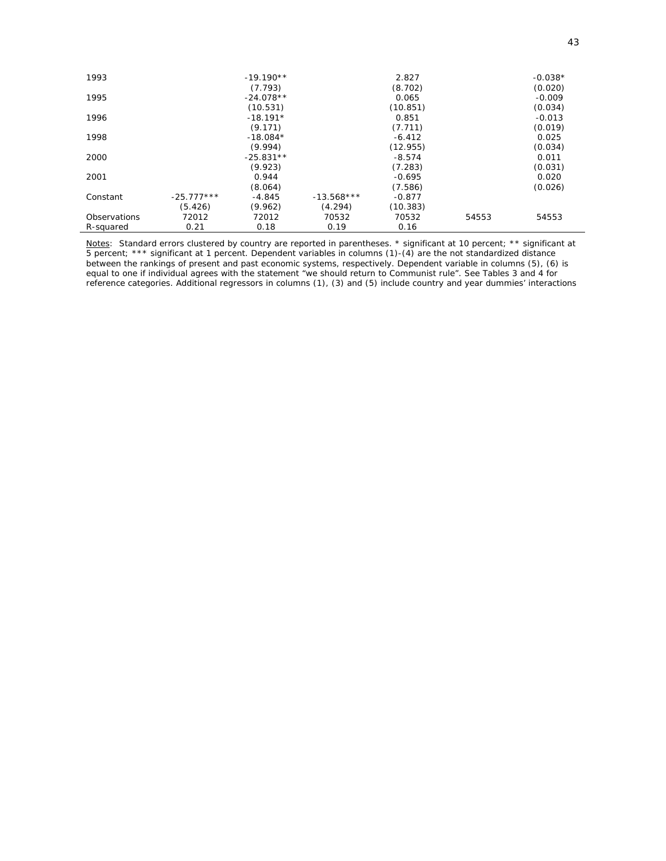| 1993         |              | $-19.190**$ |              | 2.827    |       | $-0.038*$ |
|--------------|--------------|-------------|--------------|----------|-------|-----------|
|              |              | (7.793)     |              | (8.702)  |       | (0.020)   |
| 1995         |              | $-24.078**$ |              | 0.065    |       | $-0.009$  |
|              |              | (10.531)    |              | (10.851) |       | (0.034)   |
| 1996         |              | $-18.191*$  |              | 0.851    |       | $-0.013$  |
|              |              | (9.171)     |              | (7.711)  |       | (0.019)   |
| 1998         |              | $-18.084*$  |              | $-6.412$ |       | 0.025     |
|              |              | (9.994)     |              | (12.955) |       | (0.034)   |
| 2000         |              | $-25.831**$ |              | $-8.574$ |       | 0.011     |
|              |              | (9.923)     |              | (7.283)  |       | (0.031)   |
| 2001         |              | 0.944       |              | $-0.695$ |       | 0.020     |
|              |              | (8.064)     |              | (7.586)  |       | (0.026)   |
| Constant     | $-25.777***$ | -4.845      | $-13.568***$ | $-0.877$ |       |           |
|              | (5.426)      | (9.962)     | (4.294)      | (10.383) |       |           |
| Observations | 72012        | 72012       | 70532        | 70532    | 54553 | 54553     |
| R-squared    | 0.21         | 0.18        | 0.19         | 0.16     |       |           |

*Notes*: Standard errors clustered by country are reported in parentheses. \* significant at 10 percent; \*\* significant at 5 percent; \*\*\* significant at 1 percent. Dependent variables in columns (1)-(4) are the not standardized distance between the rankings of present and past economic systems, respectively. Dependent variable in columns (5), (6) is equal to one if individual agrees with the statement "we should return to Communist rule". See Tables 3 and 4 for reference categories. Additional regressors in columns (1), (3) and (5) include country and year dummies' interactions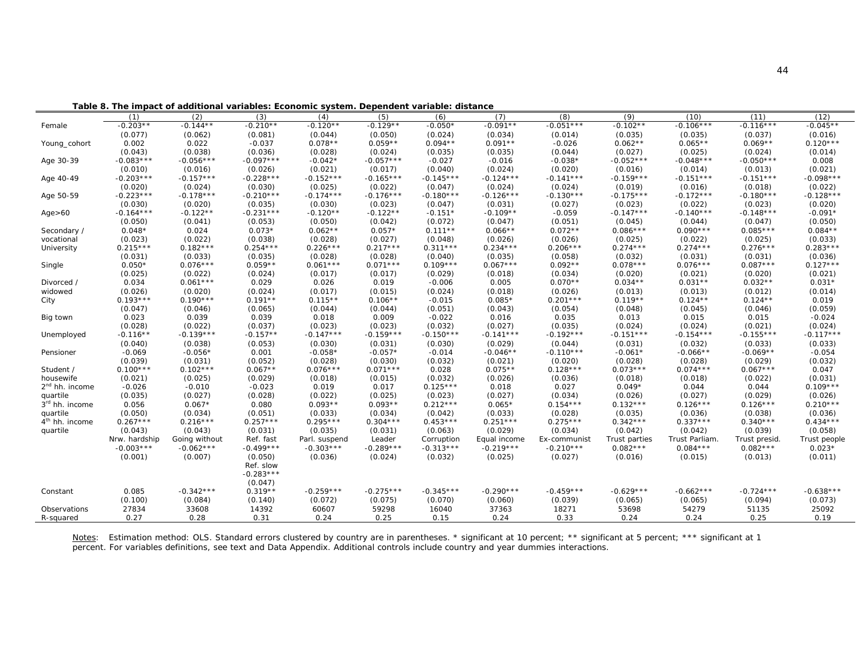**Table 8. The impact of additional variables: Economic system. Dependent variable: distance**

|                            | (1)           | (2)           | (3)         | (4)           | (5)         | (6)         | (7)          | (8)          | (9)           | (10)           | (11)          | (12)         |
|----------------------------|---------------|---------------|-------------|---------------|-------------|-------------|--------------|--------------|---------------|----------------|---------------|--------------|
| Female                     | $-0.203**$    | $-0.144**$    | $-0.210**$  | $-0.120**$    | $-0.129**$  | $-0.050*$   | $-0.091**$   | $-0.051***$  | $-0.102**$    | $-0.106***$    | $-0.116***$   | $-0.045**$   |
|                            | (0.077)       | (0.062)       | (0.081)     | (0.044)       | (0.050)     | (0.024)     | (0.034)      | (0.014)      | (0.035)       | (0.035)        | (0.037)       | (0.016)      |
| Young_cohort               | 0.002         | 0.022         | $-0.037$    | $0.078**$     | $0.059**$   | $0.094**$   | $0.091**$    | $-0.026$     | $0.062**$     | $0.065**$      | $0.069**$     | $0.120***$   |
|                            | (0.043)       | (0.038)       | (0.036)     | (0.028)       | (0.024)     | (0.035)     | (0.035)      | (0.044)      | (0.027)       | (0.025)        | (0.024)       | (0.014)      |
| Age 30-39                  | $-0.083***$   | $-0.056***$   | $-0.097***$ | $-0.042*$     | $-0.057***$ | $-0.027$    | $-0.016$     | $-0.038*$    | $-0.052***$   | $-0.048***$    | $-0.050***$   | 0.008        |
|                            | (0.010)       | (0.016)       | (0.026)     | (0.021)       | (0.017)     | (0.040)     | (0.024)      | (0.020)      | (0.016)       | (0.014)        | (0.013)       | (0.021)      |
| Age 40-49                  | $-0.203***$   | $-0.157***$   | $-0.228***$ | $-0.152***$   | $-0.165***$ | $-0.145***$ | $-0.124***$  | $-0.141***$  | $-0.159***$   | $-0.151***$    | $-0.151***$   | $-0.098***$  |
|                            | (0.020)       | (0.024)       | (0.030)     | (0.025)       | (0.022)     | (0.047)     | (0.024)      | (0.024)      | (0.019)       | (0.016)        | (0.018)       | (0.022)      |
| Age 50-59                  | $-0.223***$   | $-0.178***$   | $-0.210***$ | $-0.174***$   | $-0.176***$ | $-0.180***$ | $-0.126***$  | $-0.130***$  | $-0.175***$   | $-0.172***$    | $-0.180***$   | $-0.128***$  |
|                            | (0.030)       | (0.020)       | (0.035)     | (0.030)       | (0.023)     | (0.047)     | (0.031)      | (0.027)      | (0.023)       | (0.022)        | (0.023)       | (0.020)      |
| Age > 60                   | $-0.164***$   | $-0.122**$    | $-0.231***$ | $-0.120**$    | $-0.122**$  | $-0.151*$   | $-0.109**$   | $-0.059$     | $-0.147***$   | $-0.140***$    | $-0.148***$   | $-0.091*$    |
|                            | (0.050)       | (0.041)       | (0.053)     | (0.050)       | (0.042)     | (0.072)     | (0.047)      | (0.051)      | (0.045)       | (0.044)        | (0.047)       | (0.050)      |
| Secondary /                | $0.048*$      | 0.024         | $0.073*$    | $0.062**$     | $0.057*$    | $0.111**$   | $0.066**$    | $0.072**$    | $0.086***$    | $0.090***$     | $0.085***$    | $0.084**$    |
| vocational                 | (0.023)       | (0.022)       | (0.038)     | (0.028)       | (0.027)     | (0.048)     | (0.026)      | (0.026)      | (0.025)       | (0.022)        | (0.025)       | (0.033)      |
| University                 | $0.215***$    | $0.182***$    | $0.254***$  | $0.226***$    | $0.217***$  | $0.311***$  | $0.234***$   | $0.206***$   | $0.274***$    | $0.274***$     | $0.276***$    | $0.283***$   |
|                            | (0.031)       | (0.033)       | (0.035)     | (0.028)       | (0.028)     | (0.040)     | (0.035)      | (0.058)      | (0.032)       | (0.031)        | (0.031)       | (0.036)      |
| Single                     | $0.050*$      | $0.076***$    | $0.059**$   | $0.061***$    | $0.071***$  | $0.109***$  | $0.067***$   | $0.092**$    | $0.078***$    | $0.076***$     | $0.087***$    | $0.127***$   |
|                            | (0.025)       | (0.022)       | (0.024)     | (0.017)       | (0.017)     | (0.029)     | (0.018)      | (0.034)      | (0.020)       | (0.021)        | (0.020)       | (0.021)      |
| Divorced /                 | 0.034         | $0.061***$    | 0.029       | 0.026         | 0.019       | $-0.006$    | 0.005        | $0.070**$    | $0.034**$     | $0.031**$      | $0.032**$     | $0.031*$     |
| widowed                    | (0.026)       | (0.020)       | (0.024)     | (0.017)       | (0.015)     | (0.024)     | (0.018)      | (0.026)      | (0.013)       | (0.013)        | (0.012)       | (0.014)      |
| City                       | $0.193***$    | $0.190***$    | $0.191**$   | $0.115**$     | $0.106**$   | $-0.015$    | $0.085*$     | $0.201***$   | $0.119**$     | $0.124**$      | $0.124**$     | 0.019        |
|                            | (0.047)       | (0.046)       | (0.065)     | (0.044)       | (0.044)     | (0.051)     | (0.043)      | (0.054)      | (0.048)       | (0.045)        | (0.046)       | (0.059)      |
| Big town                   | 0.023         | 0.039         | 0.039       | 0.018         | 0.009       | $-0.022$    | 0.016        | 0.035        | 0.013         | 0.015          | 0.015         | $-0.024$     |
|                            | (0.028)       | (0.022)       | (0.037)     | (0.023)       | (0.023)     | (0.032)     | (0.027)      | (0.035)      | (0.024)       | (0.024)        | (0.021)       | (0.024)      |
| Unemployed                 | $-0.116**$    | $-0.139***$   | $-0.157**$  | $-0.147***$   | $-0.159***$ | $-0.150***$ | $-0.141***$  | $-0.192***$  | $-0.151***$   | $-0.154***$    | $-0.155***$   | $-0.117***$  |
|                            | (0.040)       | (0.038)       | (0.053)     | (0.030)       | (0.031)     | (0.030)     | (0.029)      | (0.044)      | (0.031)       | (0.032)        | (0.033)       | (0.033)      |
| Pensioner                  | $-0.069$      | $-0.056*$     | 0.001       | $-0.058*$     | $-0.057*$   | $-0.014$    | $-0.046**$   | $-0.110***$  | $-0.061*$     | $-0.066**$     | $-0.069**$    | $-0.054$     |
|                            | (0.039)       | (0.031)       | (0.052)     | (0.028)       | (0.030)     | (0.032)     | (0.021)      | (0.020)      | (0.028)       | (0.028)        | (0.029)       | (0.032)      |
| Student /                  | $0.100***$    | $0.102***$    | $0.067**$   | $0.076***$    | $0.071***$  | 0.028       | $0.075**$    | $0.128***$   | $0.073***$    | $0.074***$     | $0.067***$    | 0.047        |
| housewife                  | (0.021)       | (0.025)       | (0.029)     | (0.018)       | (0.015)     | (0.032)     | (0.026)      | (0.036)      | (0.018)       | (0.018)        | (0.022)       | (0.031)      |
| 2 <sup>nd</sup> hh. income | $-0.026$      | $-0.010$      | $-0.023$    | 0.019         | 0.017       | $0.125***$  | 0.018        | 0.027        | $0.049*$      | 0.044          | 0.044         | $0.109***$   |
| quartile                   | (0.035)       | (0.027)       | (0.028)     | (0.022)       | (0.025)     | (0.023)     | (0.027)      | (0.034)      | (0.026)       | (0.027)        | (0.029)       | (0.026)      |
| 3 <sup>rd</sup> hh. income | 0.056         | $0.067*$      | 0.080       | $0.093**$     | $0.093**$   | $0.212***$  | $0.065*$     | $0.154***$   | $0.132***$    | $0.126***$     | $0.126***$    | $0.210***$   |
| quartile                   | (0.050)       | (0.034)       | (0.051)     | (0.033)       | (0.034)     | (0.042)     | (0.033)      | (0.028)      | (0.035)       | (0.036)        | (0.038)       | (0.036)      |
| 4 <sup>th</sup> hh. income | $0.267***$    | $0.216***$    | $0.257***$  | $0.295***$    | $0.304***$  | $0.453***$  | $0.251***$   | $0.275***$   | $0.342***$    | $0.337***$     | $0.340***$    | $0.434***$   |
| quartile                   | (0.043)       | (0.043)       | (0.031)     | (0.035)       | (0.031)     | (0.063)     | (0.029)      | (0.034)      | (0.042)       | (0.042)        | (0.039)       | (0.058)      |
|                            | Nrw. hardship | Going without | Ref. fast   | Parl. suspend | Leader      | Corruption  | Equal income | Ex-communist | Trust parties | Trust Parliam. | Trust presid. | Trust people |
|                            | $-0.003***$   | $-0.062***$   | $-0.499***$ | $-0.303***$   | $-0.289***$ | $-0.313***$ | $-0.219***$  | $-0.210***$  | $0.082***$    | $0.084***$     | $0.082***$    | $0.023*$     |
|                            | (0.001)       | (0.007)       | (0.050)     | (0.036)       | (0.024)     | (0.032)     | (0.025)      | (0.027)      | (0.016)       | (0.015)        | (0.013)       | (0.011)      |
|                            |               |               | Ref. slow   |               |             |             |              |              |               |                |               |              |
|                            |               |               | $-0.283***$ |               |             |             |              |              |               |                |               |              |
|                            |               |               | (0.047)     |               |             |             |              |              |               |                |               |              |
| Constant                   | 0.085         | $-0.342***$   | $0.319**$   | $-0.259***$   | $-0.275***$ | $-0.345***$ | $-0.290***$  | $-0.459***$  | $-0.629***$   | $-0.662***$    | $-0.724***$   | $-0.638***$  |
|                            | (0.100)       | (0.084)       | (0.140)     | (0.072)       | (0.075)     | (0.070)     | (0.060)      | (0.039)      | (0.065)       | (0.065)        | (0.094)       | (0.073)      |
| Observations               | 27834         | 33608         | 14392       | 60607         | 59298       | 16040       | 37363        | 18271        | 53698         | 54279          | 51135         | 25092        |
| R-squared                  | 0.27          | 0.28          | 0.31        | 0.24          | 0.25        | 0.15        | 0.24         | 0.33         | 0.24          | 0.24           | 0.25          | 0.19         |

Notes: Estimation method: OLS. Standard errors clustered by country are in parentheses. \* significant at 10 percent; \*\* significant at 5 percent; \*\*\* significant at 1 percent. For variables definitions, see text and Data Appendix. Additional controls include country and year dummies interactions.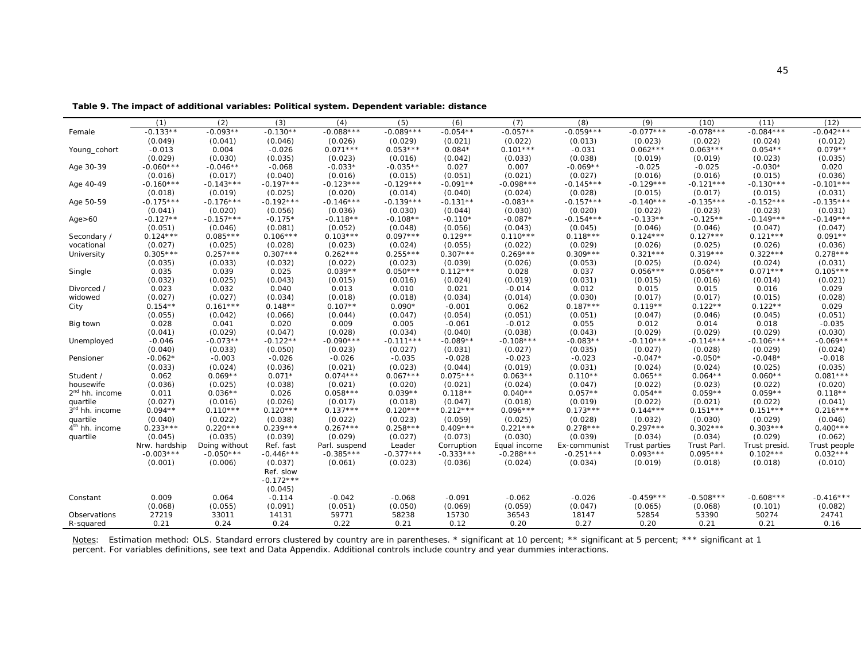**Table 9. The impact of additional variables: Political system. Dependent variable: distance** 

|                            | (1)           | (2)           | (3)                                            | (4)           | (5)         | (6)         | (7)          | (8)          | (9)           | (10)        | (11)          | (12)         |
|----------------------------|---------------|---------------|------------------------------------------------|---------------|-------------|-------------|--------------|--------------|---------------|-------------|---------------|--------------|
| Female                     | $-0.133**$    | $-0.093**$    | $-0.130**$                                     | $-0.088***$   | $-0.089***$ | $-0.054**$  | $-0.057**$   | $-0.059***$  | $-0.077***$   | $-0.078***$ | $-0.084***$   | $-0.042***$  |
|                            | (0.049)       | (0.041)       | (0.046)                                        | (0.026)       | (0.029)     | (0.021)     | (0.022)      | (0.013)      | (0.023)       | (0.022)     | (0.024)       | (0.012)      |
| Young_cohort               | $-0.013$      | 0.004         | $-0.026$                                       | $0.071***$    | $0.053***$  | $0.084*$    | $0.101***$   | $-0.031$     | $0.062***$    | $0.063***$  | $0.054**$     | $0.079**$    |
|                            | (0.029)       | (0.030)       | (0.035)                                        | (0.023)       | (0.016)     | (0.042)     | (0.033)      | (0.038)      | (0.019)       | (0.019)     | (0.023)       | (0.035)      |
| Age 30-39                  | $-0.060***$   | $-0.046**$    | $-0.068$                                       | $-0.033*$     | $-0.035**$  | 0.027       | 0.007        | $-0.069**$   | $-0.025$      | $-0.025$    | $-0.030*$     | 0.020        |
|                            | (0.016)       | (0.017)       | (0.040)                                        | (0.016)       | (0.015)     | (0.051)     | (0.021)      | (0.027)      | (0.016)       | (0.016)     | (0.015)       | (0.036)      |
| Age 40-49                  | $-0.160***$   | $-0.143***$   | $-0.197***$                                    | $-0.123***$   | $-0.129***$ | $-0.091**$  | $-0.098***$  | $-0.145***$  | $-0.129***$   | $-0.121***$ | $-0.130***$   | $-0.101***$  |
|                            | (0.018)       | (0.019)       | (0.025)                                        | (0.020)       | (0.014)     | (0.040)     | (0.024)      | (0.028)      | (0.015)       | (0.017)     | (0.015)       | (0.031)      |
| Age 50-59                  | $-0.175***$   | $-0.176***$   | $-0.192***$                                    | $-0.146***$   | $-0.139***$ | $-0.131**$  | $-0.083**$   | $-0.157***$  | $-0.140***$   | $-0.135***$ | $-0.152***$   | $-0.135***$  |
|                            | (0.041)       | (0.020)       | (0.056)                                        | (0.036)       | (0.030)     | (0.044)     | (0.030)      | (0.020)      | (0.022)       | (0.023)     | (0.023)       | (0.031)      |
| Age > 60                   | $-0.127**$    | $-0.157***$   | $-0.175*$                                      | $-0.118**$    | $-0.108**$  | $-0.110*$   | $-0.087*$    | $-0.154***$  | $-0.133**$    | $-0.125**$  | $-0.149***$   | $-0.149***$  |
|                            | (0.051)       | (0.046)       | (0.081)                                        | (0.052)       | (0.048)     | (0.056)     | (0.043)      | (0.045)      | (0.046)       | (0.046)     | (0.047)       | (0.047)      |
| Secondary /                | $0.124***$    | $0.085***$    | $0.106***$                                     | $0.103***$    | $0.097***$  | $0.129**$   | $0.110***$   | $0.118***$   | $0.124***$    | $0.127***$  | $0.121***$    | $0.091**$    |
| vocational                 | (0.027)       | (0.025)       | (0.028)                                        | (0.023)       | (0.024)     | (0.055)     | (0.022)      | (0.029)      | (0.026)       | (0.025)     | (0.026)       | (0.036)      |
| University                 | $0.305***$    | $0.257***$    | $0.307***$                                     | $0.262***$    | $0.255***$  | $0.307***$  | $0.269***$   | $0.309***$   | $0.321***$    | $0.319***$  | $0.322***$    | $0.278***$   |
|                            | (0.035)       | (0.033)       | (0.032)                                        | (0.022)       | (0.023)     | (0.039)     | (0.026)      | (0.053)      | (0.025)       | (0.024)     | (0.024)       | (0.031)      |
| Single                     | 0.035         | 0.039         | 0.025                                          | $0.039**$     | $0.050***$  | $0.112***$  | 0.028        | 0.037        | $0.056***$    | $0.056***$  | $0.071***$    | $0.105***$   |
|                            | (0.032)       | (0.025)       | (0.043)                                        | (0.015)       | (0.016)     | (0.024)     | (0.019)      | (0.031)      | (0.015)       | (0.016)     | (0.014)       | (0.021)      |
| Divorced /                 | 0.023         | 0.032         | 0.040                                          | 0.013         | 0.010       | 0.021       | $-0.014$     | 0.012        | 0.015         | 0.015       | 0.016         | 0.029        |
| widowed                    | (0.027)       | (0.027)       | (0.034)                                        | (0.018)       | (0.018)     | (0.034)     | (0.014)      | (0.030)      | (0.017)       | (0.017)     | (0.015)       | (0.028)      |
| City                       | $0.154**$     | $0.161***$    | $0.148**$                                      | $0.107**$     | $0.090*$    | $-0.001$    | 0.062        | $0.187***$   | $0.119**$     | $0.122**$   | $0.122**$     | 0.029        |
|                            | (0.055)       | (0.042)       | (0.066)                                        | (0.044)       | (0.047)     | (0.054)     | (0.051)      | (0.051)      | (0.047)       | (0.046)     | (0.045)       | (0.051)      |
| Big town                   | 0.028         | 0.041         | 0.020                                          | 0.009         | 0.005       | $-0.061$    | $-0.012$     | 0.055        | 0.012         | 0.014       | 0.018         | $-0.035$     |
|                            | (0.041)       | (0.029)       | (0.047)                                        | (0.028)       | (0.034)     | (0.040)     | (0.038)      | (0.043)      | (0.029)       | (0.029)     | (0.029)       | (0.030)      |
| Unemployed                 | $-0.046$      | $-0.073**$    | $-0.122**$                                     | $-0.090***$   | $-0.111***$ | $-0.089**$  | $-0.108***$  | $-0.083**$   | $-0.110***$   | $-0.114***$ | $-0.106***$   | $-0.069**$   |
|                            | (0.040)       | (0.033)       | (0.050)                                        | (0.023)       | (0.027)     | (0.031)     | (0.027)      | (0.035)      | (0.027)       | (0.028)     | (0.029)       | (0.024)      |
| Pensioner                  | $-0.062*$     | $-0.003$      | $-0.026$                                       | $-0.026$      | $-0.035$    | $-0.028$    | $-0.023$     | $-0.023$     | $-0.047*$     | $-0.050*$   | $-0.048*$     | $-0.018$     |
|                            | (0.033)       | (0.024)       | (0.036)                                        | (0.021)       | (0.023)     | (0.044)     | (0.019)      | (0.031)      | (0.024)       | (0.024)     | (0.025)       | (0.035)      |
| Student /                  | 0.062         | $0.069**$     | $0.071*$                                       | $0.074***$    | $0.067***$  | $0.075***$  | $0.063**$    | $0.110**$    | $0.065**$     | $0.064**$   | $0.060**$     | $0.081***$   |
| housewife                  | (0.036)       | (0.025)       | (0.038)                                        | (0.021)       | (0.020)     | (0.021)     | (0.024)      | (0.047)      | (0.022)       | (0.023)     | (0.022)       | (0.020)      |
| 2 <sup>nd</sup> hh. income | 0.011         | $0.036**$     | 0.026                                          | $0.058***$    | $0.039**$   | $0.118**$   | $0.040**$    | $0.057**$    | $0.054**$     | $0.059**$   | $0.059**$     | $0.118**$    |
| quartile                   | (0.027)       | (0.016)       | (0.026)                                        | (0.017)       | (0.018)     | (0.047)     | (0.018)      | (0.019)      | (0.022)       | (0.021)     | (0.022)       | (0.041)      |
| 3 <sup>rd</sup> hh. income | $0.094**$     | $0.110***$    | $0.120***$                                     | $0.137***$    | $0.120***$  | $0.212***$  | $0.096***$   | $0.173***$   | $0.144***$    | $0.151***$  | $0.151***$    | $0.216***$   |
| quartile                   | (0.040)       | (0.022)       | (0.038)                                        | (0.022)       | (0.023)     | (0.059)     | (0.025)      | (0.028)      | (0.032)       | (0.030)     | (0.029)       | (0.046)      |
| 4 <sup>th</sup> hh. income | $0.233***$    | $0.220***$    | $0.239***$                                     | $0.267***$    | $0.258***$  | $0.409***$  | $0.221***$   | $0.278***$   | $0.297***$    | $0.302***$  | $0.303***$    | $0.400***$   |
| quartile                   | (0.045)       | (0.035)       | (0.039)                                        | (0.029)       | (0.027)     | (0.073)     | (0.030)      | (0.039)      | (0.034)       | (0.034)     | (0.029)       | (0.062)      |
|                            | Nrw. hardship | Doing without | Ref. fast                                      | Parl. suspend | Leader      | Corruption  | Equal income | Ex-communist | Trust parties | Trust Parl. | Trust presid. | Trust people |
|                            | $-0.003***$   | $-0.050***$   | $-0.446***$                                    | $-0.385***$   | $-0.377***$ | $-0.333***$ | $-0.288***$  | $-0.251***$  | $0.093***$    | $0.095***$  | $0.102***$    | $0.032***$   |
|                            | (0.001)       | (0.006)       | (0.037)<br>Ref. slow<br>$-0.172***$<br>(0.045) | (0.061)       | (0.023)     | (0.036)     | (0.024)      | (0.034)      | (0.019)       | (0.018)     | (0.018)       | (0.010)      |
| Constant                   | 0.009         | 0.064         | $-0.114$                                       | $-0.042$      | $-0.068$    | $-0.091$    | $-0.062$     | $-0.026$     | $-0.459***$   | $-0.508***$ | $-0.608***$   | $-0.416***$  |
|                            | (0.068)       | (0.055)       | (0.091)                                        | (0.051)       | (0.050)     | (0.069)     | (0.059)      | (0.047)      | (0.065)       | (0.068)     | (0.101)       | (0.082)      |
| Observations               | 27219         | 33011         | 14131                                          | 59771         | 58238       | 15730       | 36543        | 18147        | 52854         | 53390       | 50274         | 24741        |
| R-squared                  | 0.21          | 0.24          | 0.24                                           | 0.22          | 0.21        | 0.12        | 0.20         | 0.27         | 0.20          | 0.21        | 0.21          | 0.16         |
|                            |               |               |                                                |               |             |             |              |              |               |             |               |              |

*Notes*: Estimation method: OLS. Standard errors clustered by country are in parentheses. \* significant at 10 percent; \*\* significant at 5 percent; \*\*\* significant at 1 percent. For variables definitions, see text and Data Appendix. Additional controls include country and year dummies interactions.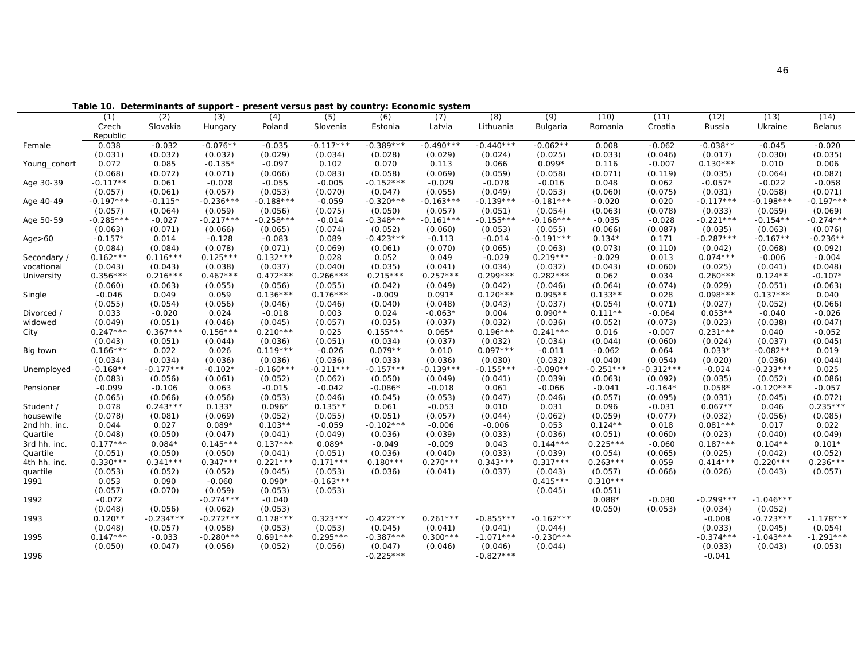|              | ι αυιτ      |             |             | Determinants of support - present versus past by country. Economic system |                  |             |             |             |             |             |             |             |             |             |
|--------------|-------------|-------------|-------------|---------------------------------------------------------------------------|------------------|-------------|-------------|-------------|-------------|-------------|-------------|-------------|-------------|-------------|
|              | (1)         | (2)         | (3)         | (4)                                                                       | $\overline{(5)}$ | (6)         | (7)         | (8)         | (9)         | (10)        | (11)        | (12)        | (13)        | (14)        |
|              | Czech       | Slovakia    | Hungary     | Poland                                                                    | Slovenia         | Estonia     | Latvia      | Lithuania   | Bulgaria    | Romania     | Croatia     | Russia      | Ukraine     | Belarus     |
|              | Republic    |             |             |                                                                           |                  |             |             |             |             |             |             |             |             |             |
| Female       | 0.038       | $-0.032$    | $-0.076**$  | $-0.035$                                                                  | $-0.117***$      | $-0.389***$ | $-0.490***$ | $-0.440***$ | $-0.062**$  | 0.008       | $-0.062$    | $-0.038**$  | $-0.045$    | $-0.020$    |
|              | (0.031)     | (0.032)     | (0.032)     | (0.029)                                                                   | (0.034)          | (0.028)     | (0.029)     | (0.024)     | (0.025)     | (0.033)     | (0.046)     | (0.017)     | (0.030)     | (0.035)     |
| Young_cohort | 0.072       | 0.085       | $-0.135*$   | $-0.097$                                                                  | 0.102            | 0.070       | 0.113       | 0.066       | $0.099*$    | 0.116       | $-0.007$    | $0.130***$  | 0.010       | 0.006       |
|              | (0.068)     | (0.072)     | (0.071)     | (0.066)                                                                   | (0.083)          | (0.058)     | (0.069)     | (0.059)     | (0.058)     | (0.071)     | (0.119)     | (0.035)     | (0.064)     | (0.082)     |
| Age 30-39    | $-0.117**$  | 0.061       | $-0.078$    | $-0.055$                                                                  | $-0.005$         | $-0.152***$ | $-0.029$    | $-0.078$    | $-0.016$    | 0.048       | 0.062       | $-0.057*$   | $-0.022$    | $-0.058$    |
|              | (0.057)     | (0.061)     | (0.057)     | (0.053)                                                                   | (0.070)          | (0.047)     | (0.055)     | (0.049)     | (0.053)     | (0.060)     | (0.075)     | (0.031)     | (0.058)     | (0.071)     |
| Age 40-49    | $-0.197***$ | $-0.115*$   | $-0.236***$ | $-0.188***$                                                               | $-0.059$         | $-0.320***$ | $-0.163***$ | $-0.139***$ | $-0.181***$ | $-0.020$    | 0.020       | $-0.117***$ | $-0.198***$ | $-0.197***$ |
|              | (0.057)     | (0.064)     | (0.059)     | (0.056)                                                                   | (0.075)          | (0.050)     | (0.057)     | (0.051)     | (0.054)     | (0.063)     | (0.078)     | (0.033)     | (0.059)     | (0.069)     |
| Age 50-59    | $-0.285***$ | $-0.027$    | $-0.217***$ | $-0.258***$                                                               | $-0.014$         | $-0.348***$ | $-0.161***$ | $-0.155***$ | $-0.166***$ | $-0.035$    | $-0.028$    | $-0.221***$ | $-0.154**$  | $-0.274***$ |
|              | (0.063)     | (0.071)     | (0.066)     | (0.065)                                                                   | (0.074)          | (0.052)     | (0.060)     | (0.053)     | (0.055)     | (0.066)     | (0.087)     | (0.035)     | (0.063)     | (0.076)     |
| Age > 60     | $-0.157*$   | 0.014       | $-0.128$    | $-0.083$                                                                  | 0.089            | $-0.423***$ | $-0.113$    | $-0.014$    | $-0.191***$ | $0.134*$    | 0.171       | $-0.287***$ | $-0.167**$  | $-0.236**$  |
|              | (0.084)     | (0.084)     | (0.078)     | (0.071)                                                                   | (0.069)          | (0.061)     | (0.070)     | (0.065)     | (0.063)     | (0.073)     | (0.110)     | (0.042)     | (0.068)     | (0.092)     |
| Secondary /  | $0.162***$  | $0.116***$  | $0.125***$  | $0.132***$                                                                | 0.028            | 0.052       | 0.049       | $-0.029$    | $0.219***$  | $-0.029$    | 0.013       | $0.074***$  | $-0.006$    | $-0.004$    |
| vocational   | (0.043)     | (0.043)     | (0.038)     | (0.037)                                                                   | (0.040)          | (0.035)     | (0.041)     | (0.034)     | (0.032)     | (0.043)     | (0.060)     | (0.025)     | (0.041)     | (0.048)     |
| University   | $0.356***$  | $0.216***$  | $0.467***$  | $0.472***$                                                                | $0.266***$       | $0.215***$  | $0.257***$  | $0.299***$  | $0.282***$  | 0.062       | 0.034       | $0.260***$  | $0.124**$   | $-0.107*$   |
|              | (0.060)     | (0.063)     | (0.055)     | (0.056)                                                                   | (0.055)          | (0.042)     | (0.049)     | (0.042)     | (0.046)     | (0.064)     | (0.074)     | (0.029)     | (0.051)     | (0.063)     |
| Single       | $-0.046$    | 0.049       | 0.059       | $0.136***$                                                                | $0.176***$       | $-0.009$    | $0.091*$    | $0.120***$  | $0.095**$   | $0.133**$   | 0.028       | $0.098***$  | $0.137***$  | 0.040       |
|              | (0.055)     | (0.054)     | (0.056)     | (0.046)                                                                   | (0.046)          | (0.040)     | (0.048)     | (0.043)     | (0.037)     | (0.054)     | (0.071)     | (0.027)     | (0.052)     | (0.066)     |
| Divorced /   | 0.033       | $-0.020$    | 0.024       | $-0.018$                                                                  | 0.003            | 0.024       | $-0.063*$   | 0.004       | $0.090**$   | $0.111**$   | $-0.064$    | $0.053**$   | $-0.040$    | $-0.026$    |
| widowed      | (0.049)     | (0.051)     | (0.046)     | (0.045)                                                                   | (0.057)          | (0.035)     | (0.037)     | (0.032)     | (0.036)     | (0.052)     | (0.073)     | (0.023)     | (0.038)     | (0.047)     |
| City         | $0.247***$  | $0.367***$  | $0.156***$  | $0.210***$                                                                | 0.025            | $0.155***$  | $0.065*$    | $0.196***$  | $0.241***$  | 0.016       | $-0.007$    | $0.231***$  | 0.040       | $-0.052$    |
|              | (0.043)     | (0.051)     | (0.044)     | (0.036)                                                                   | (0.051)          | (0.034)     | (0.037)     | (0.032)     | (0.034)     | (0.044)     | (0.060)     | (0.024)     | (0.037)     | (0.045)     |
| Big town     | $0.166***$  | 0.022       | 0.026       | $0.119***$                                                                | $-0.026$         | $0.079**$   | 0.010       | $0.097***$  | $-0.011$    | $-0.062$    | 0.064       | $0.033*$    | $-0.082**$  | 0.019       |
|              | (0.034)     | (0.034)     | (0.036)     | (0.036)                                                                   | (0.036)          | (0.033)     | (0.036)     | (0.030)     | (0.032)     | (0.040)     | (0.054)     | (0.020)     | (0.036)     | (0.044)     |
| Unemployed   | $-0.168**$  | $-0.177***$ | $-0.102*$   | $-0.160***$                                                               | $-0.211***$      | $-0.157***$ | $-0.139***$ | $-0.155***$ | $-0.090**$  | $-0.251***$ | $-0.312***$ | $-0.024$    | $-0.233***$ | 0.025       |
|              | (0.083)     | (0.056)     | (0.061)     | (0.052)                                                                   | (0.062)          | (0.050)     | (0.049)     | (0.041)     | (0.039)     | (0.063)     | (0.092)     | (0.035)     | (0.052)     | (0.086)     |
| Pensioner    | $-0.099$    | $-0.106$    | 0.063       | $-0.015$                                                                  | $-0.042$         | $-0.086*$   | $-0.018$    | 0.061       | $-0.066$    | $-0.041$    | $-0.164*$   | $0.058*$    | $-0.120***$ | $-0.057$    |
|              | (0.065)     | (0.066)     | (0.056)     | (0.053)                                                                   | (0.046)          | (0.045)     | (0.053)     | (0.047)     | (0.046)     | (0.057)     | (0.095)     | (0.031)     | (0.045)     | (0.072)     |
| Student /    | 0.078       | $0.243***$  | $0.133*$    | $0.096*$                                                                  | $0.135**$        | 0.061       | $-0.053$    | 0.010       | 0.031       | 0.096       | $-0.031$    | $0.067**$   | 0.046       | $0.235***$  |
| housewife    | (0.078)     | (0.081)     | (0.069)     | (0.052)                                                                   | (0.055)          | (0.051)     | (0.057)     | (0.044)     | (0.062)     | (0.059)     | (0.077)     | (0.032)     | (0.056)     | (0.085)     |
| 2nd hh. inc. | 0.044       | 0.027       | $0.089*$    | $0.103**$                                                                 | $-0.059$         | $-0.102***$ | $-0.006$    | $-0.006$    | 0.053       | $0.124**$   | 0.018       | $0.081***$  | 0.017       | 0.022       |
| Quartile     | (0.048)     | (0.050)     | (0.047)     | (0.041)                                                                   | (0.049)          | (0.036)     | (0.039)     | (0.033)     | (0.036)     | (0.051)     | (0.060)     | (0.023)     | (0.040)     | (0.049)     |
| 3rd hh. inc. | $0.177***$  | $0.084*$    | $0.145***$  | $0.137***$                                                                | $0.089*$         | $-0.049$    | $-0.009$    | 0.043       | $0.144***$  | $0.225***$  | $-0.060$    | $0.187***$  | $0.104**$   | $0.101*$    |
| Quartile     | (0.051)     | (0.050)     | (0.050)     | (0.041)                                                                   | (0.051)          | (0.036)     | (0.040)     | (0.033)     | (0.039)     | (0.054)     | (0.065)     | (0.025)     | (0.042)     | (0.052)     |
| 4th hh. inc. | $0.330***$  | $0.341***$  | $0.347***$  | $0.221***$                                                                | $0.171***$       | $0.180***$  | $0.270***$  | $0.343***$  | $0.317***$  | $0.263***$  | 0.059       | $0.414***$  | $0.220***$  | $0.236***$  |
| quartile     | (0.053)     | (0.052)     | (0.052)     | (0.045)                                                                   | (0.053)          | (0.036)     | (0.041)     | (0.037)     | (0.043)     | (0.057)     | (0.066)     | (0.026)     | (0.043)     | (0.057)     |
| 1991         | 0.053       | 0.090       | $-0.060$    | $0.090*$                                                                  | $-0.163***$      |             |             |             | $0.415***$  | $0.310***$  |             |             |             |             |
|              | (0.057)     | (0.070)     | (0.059)     | (0.053)                                                                   | (0.053)          |             |             |             | (0.045)     | (0.051)     |             |             |             |             |
| 1992         | $-0.072$    |             | $-0.274***$ | $-0.040$                                                                  |                  |             |             |             |             | $0.088*$    | $-0.030$    | $-0.299***$ | $-1.046***$ |             |
|              | (0.048)     | (0.056)     | (0.062)     | (0.053)                                                                   |                  |             |             |             |             | (0.050)     | (0.053)     | (0.034)     | (0.052)     |             |
| 1993         | $0.120**$   | $-0.234***$ | $-0.272***$ | $0.178***$                                                                | $0.323***$       | $-0.422***$ | $0.261***$  | $-0.855***$ | $-0.162***$ |             |             | $-0.008$    | $-0.723***$ | $-1.178***$ |
|              | (0.048)     | (0.057)     | (0.058)     | (0.053)                                                                   | (0.053)          | (0.045)     | (0.041)     | (0.041)     | (0.044)     |             |             | (0.033)     | (0.045)     | (0.054)     |
| 1995         | $0.147***$  | $-0.033$    | $-0.280***$ | $0.691***$                                                                | $0.295***$       | $-0.387***$ | $0.300***$  | $-1.071***$ | $-0.230***$ |             |             | $-0.374***$ | $-1.043***$ | $-1.291***$ |
|              | (0.050)     | (0.047)     | (0.056)     | (0.052)                                                                   | (0.056)          | (0.047)     | (0.046)     | (0.046)     | (0.044)     |             |             | (0.033)     | (0.043)     | (0.053)     |
| 1996         |             |             |             |                                                                           |                  | $-0.225***$ |             | $-0.827***$ |             |             |             | $-0.041$    |             |             |
|              |             |             |             |                                                                           |                  |             |             |             |             |             |             |             |             |             |

**Table 10. Determinants of support - present versus past by country: Economic system**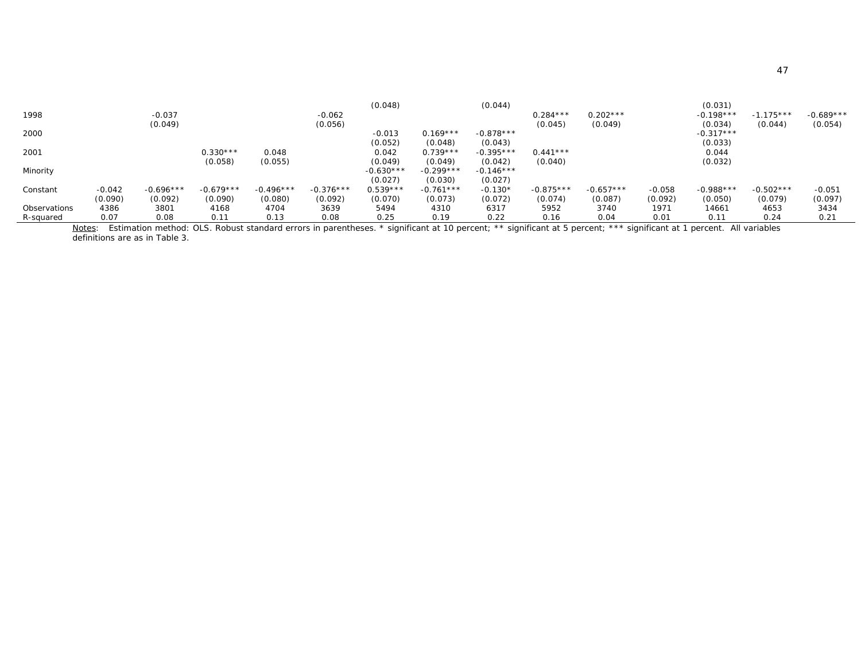| R-squared           | 0.07     | 0.08        | 0.11        | 0.13        | 0.08        | 0.25                   | 0.19                   | 0.22                   | 0.16        | 0.04        | 0.01     | 0.11        | 0.24        | 0.21        |
|---------------------|----------|-------------|-------------|-------------|-------------|------------------------|------------------------|------------------------|-------------|-------------|----------|-------------|-------------|-------------|
| <b>Observations</b> | 4386     | 3801        | 4168        | 4704        | 3639        | 5494                   | 4310                   | 6317                   | 5952        | 3740        | 1971     | 14661       | 4653        | 3434        |
|                     | (0.090)  | (0.092)     | (0.090)     | (0.080)     | (0.092)     | (0.070)                | (0.073)                | (0.072)                | (0.074)     | (0.087)     | (0.092)  | (0.050)     | (0.079)     | (0.097)     |
| Constant            | $-0.042$ | $-0.696***$ | $-0.679***$ | $-0.496***$ | $-0.376***$ | $0.539***$             | $-0.761***$            | $-0.130*$              | $-0.875***$ | $-0.657***$ | $-0.058$ | $-0.988***$ | $-0.502***$ | $-0.051$    |
|                     |          |             |             |             |             | (0.027)                | (0.030)                | (0.027)                |             |             |          |             |             |             |
| Minority            |          |             | (0.058)     | (0.055)     |             | (0.049)<br>$-0.630***$ | (0.049)<br>$-0.299***$ | (0.042)<br>$-0.146***$ | (0.040)     |             |          | (0.032)     |             |             |
| 2001                |          |             | $0.330***$  | 0.048       |             | 0.042                  | $0.739***$             | $-0.395***$            | $0.441***$  |             |          | 0.044       |             |             |
|                     |          |             |             |             |             | (0.052)                | (0.048)                | (0.043)                |             |             |          | (0.033)     |             |             |
| 2000                |          |             |             |             |             | $-0.013$               | $0.169***$             | $-0.878***$            |             |             |          | $-0.317***$ |             |             |
|                     |          | (0.049)     |             |             | (0.056)     |                        |                        |                        | (0.045)     | (0.049)     |          | (0.034)     | (0.044)     | (0.054)     |
| 1998                |          | $-0.037$    |             |             | $-0.062$    |                        |                        |                        | $0.284***$  | $0.202***$  |          | $-0.198***$ | $-1.175***$ | $-0.689***$ |
|                     |          |             |             |             |             | (0.048)                |                        | (0.044)                |             |             |          | (0.031)     |             |             |

*Notes*: Estimation method: OLS. Robust standard errors in parentheses. \* significant at 10 percent; \*\* significant at 1 percent. All variables are as in Table 3.<br>definitions are as in Table 3.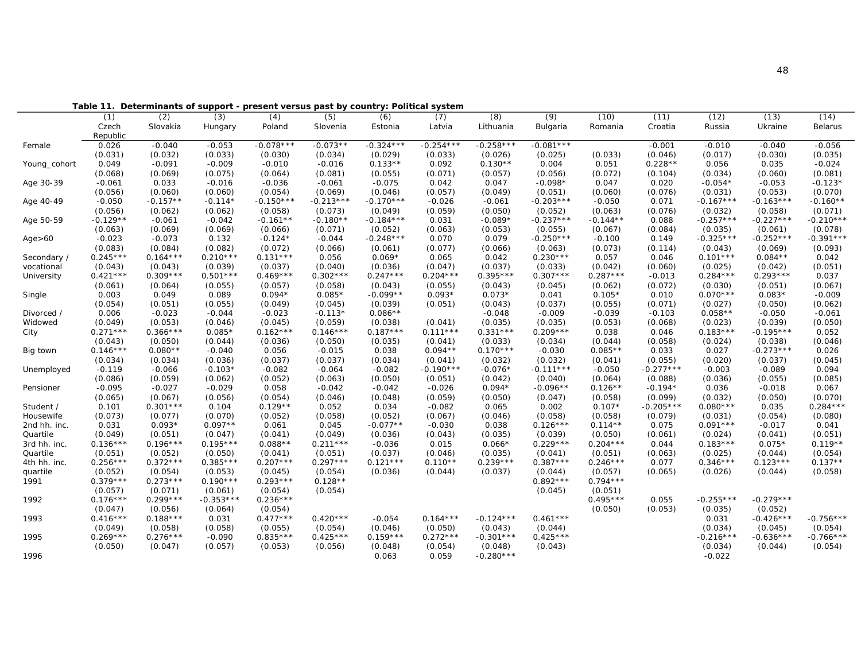|                          | ι αυιτ                |            |                       |                       |                       |                       | Determinants or support - present versus past by country. Fontical system |                       |             |                       |                  |                       |                       |                      |
|--------------------------|-----------------------|------------|-----------------------|-----------------------|-----------------------|-----------------------|---------------------------------------------------------------------------|-----------------------|-------------|-----------------------|------------------|-----------------------|-----------------------|----------------------|
|                          | (1)                   | (2)        | (3)                   | (4)                   | (5)                   | (6)                   | (7)                                                                       | (8)                   | (9)         | (10)                  | (11)             | (12)                  | (13)                  | (14)                 |
|                          | Czech                 | Slovakia   | Hungary               | Poland                | Slovenia              | Estonia               | Latvia                                                                    | Lithuania             | Bulgaria    | Romania               | Croatia          | Russia                | Ukraine               | Belarus              |
|                          | Republic              |            |                       |                       |                       |                       |                                                                           |                       |             |                       |                  |                       |                       |                      |
| Female                   | 0.026                 | $-0.040$   | $-0.053$              | $-0.078***$           | $-0.073**$            | $-0.324***$           | $-0.254***$                                                               | $-0.258***$           | $-0.081***$ |                       | $-0.001$         | $-0.010$              | $-0.040$              | $-0.056$             |
|                          | (0.031)               | (0.032)    | (0.033)               | (0.030)               | (0.034)               | (0.029)               | (0.033)                                                                   | (0.026)               | (0.025)     | (0.033)               | (0.046)          | (0.017)               | (0.030)               | (0.035)              |
| Young_cohort             | 0.049                 | $-0.091$   | $-0.009$              | $-0.010$              | $-0.016$              | $0.133**$             | 0.092                                                                     | $0.130**$             | 0.004       | 0.051                 | $0.228**$        | 0.056                 | 0.035                 | $-0.024$             |
|                          | (0.068)               | (0.069)    | (0.075)               | (0.064)               | (0.081)               | (0.055)               | (0.071)                                                                   | (0.057)               | (0.056)     | (0.072)               | (0.104)          | (0.034)               | (0.060)               | (0.081)              |
| Age 30-39                | $-0.061$              | 0.033      | $-0.016$              | $-0.036$              | $-0.061$              | $-0.075$              | 0.042                                                                     | 0.047                 | $-0.098*$   | 0.047                 | 0.020            | $-0.054*$             | $-0.053$              | $-0.123*$            |
|                          | (0.056)               | (0.060)    | (0.060)               | (0.054)               | (0.069)               | (0.046)               | (0.057)                                                                   | (0.049)               | (0.051)     | (0.060)               | (0.076)          | (0.031)               | (0.053)               | (0.070)              |
| Age 40-49                | $-0.050$              | $-0.157**$ | $-0.114*$             | $-0.150***$           | $-0.213***$           | $-0.170***$           | $-0.026$                                                                  | $-0.061$              | $-0.203***$ | $-0.050$              | 0.071            | $-0.167***$           | $-0.163***$           | $-0.160**$           |
|                          | (0.056)               | (0.062)    | (0.062)               | (0.058)               | (0.073)               | (0.049)               | (0.059)                                                                   | (0.050)               | (0.052)     | (0.063)               | (0.076)          | (0.032)               | (0.058)               | (0.071)              |
| Age 50-59                | $-0.129**$            | $-0.061$   | $-0.042$              | $-0.161**$            | $-0.180**$            | $-0.184***$           | 0.031                                                                     | $-0.089*$             | $-0.237***$ | $-0.144**$            | 0.088            | $-0.257***$           | $-0.227***$           | $-0.210***$          |
|                          | (0.063)               | (0.069)    | (0.069)               | (0.066)               | (0.071)               | (0.052)               | (0.063)                                                                   | (0.053)               | (0.055)     | (0.067)               | (0.084)          | (0.035)               | (0.061)               | (0.078)              |
| Age > 60                 | $-0.023$              | $-0.073$   | 0.132                 | $-0.124*$             | $-0.044$              | $-0.248***$           | 0.070                                                                     | 0.079                 | $-0.250***$ | $-0.100$              | 0.149            | $-0.325***$           | $-0.252***$           | $-0.391***$          |
|                          | (0.083)               | (0.084)    | (0.082)               | (0.072)               | (0.066)               | (0.061)               | (0.077)                                                                   | (0.066)               | (0.063)     | (0.073)               | (0.114)          | (0.043)               | (0.069)               | (0.093)              |
| Secondary /              | $0.245***$            | $0.164***$ | $0.210***$            | $0.131***$            | 0.056                 | $0.069*$              | 0.065                                                                     | 0.042                 | $0.230***$  | 0.057                 | 0.046            | $0.101***$            | $0.084**$             | 0.042                |
| vocational               | (0.043)               | (0.043)    | (0.039)               | (0.037)               | (0.040)               | (0.036)               | (0.047)                                                                   | (0.037)               | (0.033)     | (0.042)               | (0.060)          | (0.025)               | (0.042)               | (0.051)              |
| University               | $0.421***$            | $0.309***$ | $0.501***$            | $0.469***$            | $0.302***$            | $0.247***$            | $0.204***$                                                                | $0.395***$            | $0.307***$  | $0.287***$            | $-0.013$         | $0.284***$            | $0.293***$            | 0.037                |
|                          | (0.061)               | (0.064)    | (0.055)               | (0.057)               | (0.058)               | (0.043)               | (0.055)                                                                   | (0.043)               | (0.045)     | (0.062)               | (0.072)          | (0.030)               | (0.051)               | (0.067)              |
| Single                   | 0.003                 | 0.049      | 0.089                 | $0.094*$              | $0.085*$              | $-0.099**$            | $0.093*$                                                                  | $0.073*$              | 0.041       | $0.105*$              | 0.010            | $0.070***$            | $0.083*$              | $-0.009$             |
|                          | (0.054)               | (0.051)    | (0.055)               | (0.049)               | (0.045)               | (0.039)               | (0.051)                                                                   | (0.043)               | (0.037)     | (0.055)               | (0.071)          | (0.027)               | (0.050)               | (0.062)              |
| Divorced /               | 0.006                 | $-0.023$   | $-0.044$              | $-0.023$              | $-0.113*$             | $0.086**$             |                                                                           | $-0.048$              | $-0.009$    | $-0.039$              | $-0.103$         | $0.058**$             | $-0.050$              | $-0.061$             |
| Widowed                  | (0.049)               | (0.053)    | (0.046)               | (0.045)               | (0.059)               | (0.038)               | (0.041)                                                                   | (0.035)               | (0.035)     | (0.053)               | (0.068)          | (0.023)               | (0.039)               | (0.050)              |
| City                     | $0.271***$            | $0.366***$ | $0.085*$              | $0.162***$            | $0.146***$            | $0.187***$            | $0.111***$                                                                | $0.331***$            | $0.209***$  | 0.038                 | 0.046            | $0.183***$            | $-0.195***$           | 0.052                |
|                          | (0.043)               | (0.050)    | (0.044)               | (0.036)               | (0.050)               | (0.035)               | (0.041)                                                                   | (0.033)               | (0.034)     | (0.044)               | (0.058)          | (0.024)               | (0.038)               | (0.046)              |
| Big town                 | $0.146***$            | $0.080**$  | $-0.040$              | 0.056                 | $-0.015$              | 0.038                 | $0.094**$                                                                 | $0.170***$            | $-0.030$    | $0.085**$             | 0.033            | 0.027                 | $-0.273***$           | 0.026                |
|                          | (0.034)               | (0.034)    | (0.036)               | (0.037)               | (0.037)               | (0.034)               | (0.041)                                                                   | (0.032)               | (0.032)     | (0.041)               | (0.055)          | (0.020)               | (0.037)               | (0.045)              |
| Unemployed               | $-0.119$              | $-0.066$   | $-0.103*$             | $-0.082$              | $-0.064$              | $-0.082$              | $-0.190***$                                                               | $-0.076*$             | $-0.111***$ | $-0.050$              | $-0.277***$      | $-0.003$              | $-0.089$              | 0.094                |
|                          | (0.086)               | (0.059)    | (0.062)               | (0.052)               | (0.063)               | (0.050)               | (0.051)                                                                   | (0.042)               | (0.040)     | (0.064)               | (0.088)          | (0.036)               | (0.055)               | (0.085)              |
| Pensioner                | $-0.095$              | $-0.027$   | $-0.029$              | 0.058                 | $-0.042$              | $-0.042$              | $-0.026$                                                                  | $0.094*$              | $-0.096**$  | $0.126**$             | $-0.194*$        | 0.036                 | $-0.018$              | 0.067                |
|                          | (0.065)               | (0.067)    | (0.056)               | (0.054)               | (0.046)               | (0.048)               | (0.059)                                                                   | (0.050)               | (0.047)     | (0.058)               | (0.099)          | (0.032)               | (0.050)               | (0.070)              |
| Student /                | 0.101                 | $0.301***$ | 0.104                 | $0.129**$             | 0.052                 | 0.034                 | $-0.082$                                                                  | 0.065                 | 0.002       | $0.107*$              | $-0.205***$      | $0.080***$            | 0.035                 | $0.284***$           |
| Housewife                | (0.073)               | (0.077)    | (0.070)               | (0.052)               | (0.058)               | (0.052)               | (0.067)                                                                   | (0.046)               | (0.058)     | (0.058)               | (0.079)          | (0.031)               | (0.054)               | (0.080)              |
| 2nd hh. inc.             | 0.031                 | $0.093*$   | $0.097**$             | 0.061                 | 0.045                 | $-0.077**$            | $-0.030$                                                                  | 0.038                 | $0.126***$  | $0.114**$             | 0.075            | $0.091***$            | $-0.017$              | 0.041                |
| Quartile                 | (0.049)               | (0.051)    | (0.047)               | (0.041)               | (0.049)               | (0.036)               | (0.043)                                                                   | (0.035)               | (0.039)     | (0.050)               | (0.061)          | (0.024)               | (0.041)               | (0.051)              |
| 3rd hh. inc.             | $0.136***$            | $0.196***$ | $0.195***$            | $0.088**$             | $0.211***$            | $-0.036$              | 0.015                                                                     | $0.066*$              | $0.229***$  | $0.204***$            | 0.044            | $0.183***$            | $0.075*$              | $0.119**$            |
|                          |                       | (0.052)    |                       |                       |                       |                       |                                                                           |                       | (0.041)     |                       |                  |                       |                       |                      |
| Quartile<br>4th hh. inc. | (0.051)<br>$0.256***$ | $0.372***$ | (0.050)<br>$0.385***$ | (0.041)<br>$0.207***$ | (0.051)<br>$0.297***$ | (0.037)<br>$0.121***$ | (0.046)<br>$0.110**$                                                      | (0.035)<br>$0.239***$ | $0.387***$  | (0.051)<br>$0.246***$ | (0.063)<br>0.077 | (0.025)<br>$0.346***$ | (0.044)<br>$0.123***$ | (0.054)<br>$0.137**$ |
|                          | (0.052)               | (0.054)    | (0.053)               | (0.045)               | (0.054)               | (0.036)               | (0.044)                                                                   | (0.037)               | (0.044)     | (0.057)               | (0.065)          | (0.026)               | (0.044)               | (0.058)              |
| quartile<br>1991         | $0.379***$            | $0.273***$ | $0.190***$            | $0.293***$            | $0.128**$             |                       |                                                                           |                       | $0.892***$  | $0.794***$            |                  |                       |                       |                      |
|                          |                       |            |                       |                       |                       |                       |                                                                           |                       |             |                       |                  |                       |                       |                      |
|                          | (0.057)               | (0.071)    | (0.061)               | (0.054)               | (0.054)               |                       |                                                                           |                       | (0.045)     | (0.051)               |                  |                       |                       |                      |
| 1992                     | $0.176***$            | $0.299***$ | $-0.353***$           | $0.236***$            |                       |                       |                                                                           |                       |             | $0.495***$            | 0.055            | $-0.255***$           | $-0.279***$           |                      |
|                          | (0.047)               | (0.056)    | (0.064)               | (0.054)               |                       |                       |                                                                           |                       |             | (0.050)               | (0.053)          | (0.035)               | (0.052)               |                      |
| 1993                     | $0.416***$            | $0.188***$ | 0.031                 | $0.477***$            | $0.420***$            | $-0.054$              | $0.164***$                                                                | $-0.124***$           | $0.461***$  |                       |                  | 0.031                 | $-0.426***$           | $-0.756***$          |
|                          | (0.049)               | (0.058)    | (0.058)               | (0.055)               | (0.054)               | (0.046)               | (0.050)                                                                   | (0.043)               | (0.044)     |                       |                  | (0.034)               | (0.045)               | (0.054)              |
| 1995                     | $0.269***$            | $0.276***$ | $-0.090$              | $0.835***$            | $0.425***$            | $0.159***$            | $0.272***$                                                                | $-0.301***$           | $0.425***$  |                       |                  | $-0.216***$           | $-0.636***$           | $-0.766***$          |
|                          | (0.050)               | (0.047)    | (0.057)               | (0.053)               | (0.056)               | (0.048)               | (0.054)                                                                   | (0.048)               | (0.043)     |                       |                  | (0.034)               | (0.044)               | (0.054)              |
| 1996                     |                       |            |                       |                       |                       | 0.063                 | 0.059                                                                     | $-0.280***$           |             |                       |                  | $-0.022$              |                       |                      |

**Table 11. Determinants of support - present versus past by country: Political system**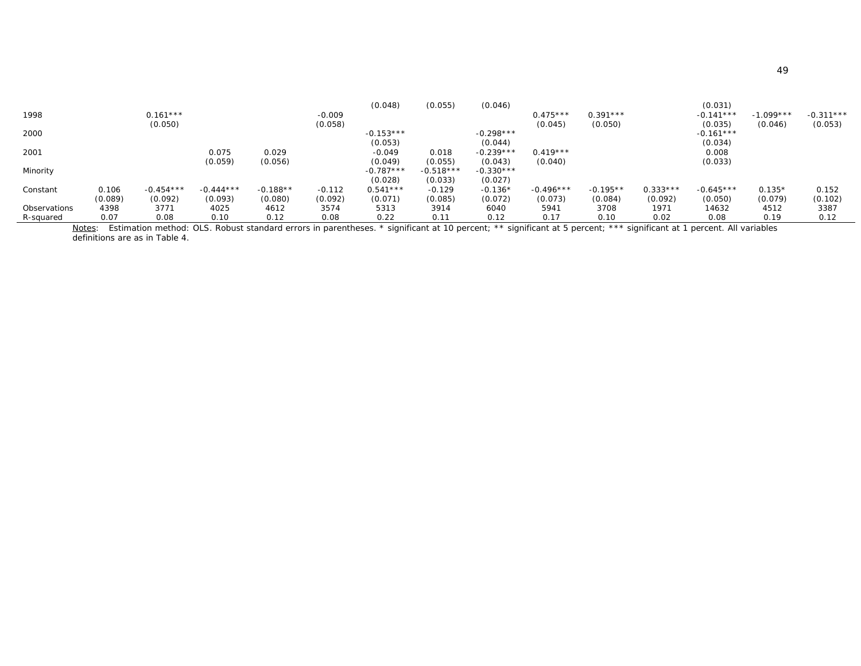| R-squared           | 0.07    | 0.08        | 0.10        | 0.12       | 0.08     | 0.22                   | 0.11                   | 0.12                   | 0.17        | 0.10       | 0.02       | 0.08        | 0.19        | 0.12        |
|---------------------|---------|-------------|-------------|------------|----------|------------------------|------------------------|------------------------|-------------|------------|------------|-------------|-------------|-------------|
| <b>Observations</b> | 4398    | 3771        | 4025        | 4612       | 3574     | 5313                   | 3914                   | 6040                   | 5941        | 3708       | 1971       | 14632       | 4512        | 3387        |
|                     | (0.089) | (0.092)     | (0.093)     | (0.080)    | (0.092)  | (0.071)                | (0.085)                | (0.072)                | (0.073)     | (0.084)    | (0.092)    | (0.050)     | (0.079)     | (0.102)     |
| Constant            | 0.106   | $-0.454***$ | $-0.444***$ | $-0.188**$ | $-0.112$ | $0.541***$             | $-0.129$               | $-0.136*$              | $-0.496***$ | $-0.195**$ | $0.333***$ | $-0.645***$ | $0.135*$    | 0.152       |
|                     |         |             |             |            |          | (0.028)                | (0.033)                | (0.027)                |             |            |            |             |             |             |
| Minority            |         |             | (0.059)     | (0.056)    |          | (0.049)<br>$-0.787***$ | (0.055)<br>$-0.518***$ | (0.043)<br>$-0.330***$ | (0.040)     |            |            | (0.033)     |             |             |
| 2001                |         |             | 0.075       | 0.029      |          | $-0.049$               | 0.018                  | $-0.239***$            | $0.419***$  |            |            | 0.008       |             |             |
|                     |         |             |             |            |          | (0.053)                |                        | (0.044)                |             |            |            | (0.034)     |             |             |
| 2000                |         |             |             |            |          | $-0.153***$            |                        | $-0.298***$            |             |            |            | $-0.161***$ |             |             |
|                     |         | (0.050)     |             |            | (0.058)  |                        |                        |                        | (0.045)     | (0.050)    |            | (0.035)     | (0.046)     | (0.053)     |
| 1998                |         | $0.161***$  |             |            | $-0.009$ |                        |                        |                        | $0.475***$  | $0.391***$ |            | $-0.141***$ | $-1.099***$ | $-0.311***$ |
|                     |         |             |             |            |          | (0.048)                | (0.055)                | (0.046)                |             |            |            | (0.031)     |             |             |

*<u>Notes</u>:* Estimation method: OLS. Robust standard errors in parentheses. \* significant at 10 percent; \*\* significant at 5 percent; \*\*\* significant at 1 percent. All variables<br>definitions are as in Table 4.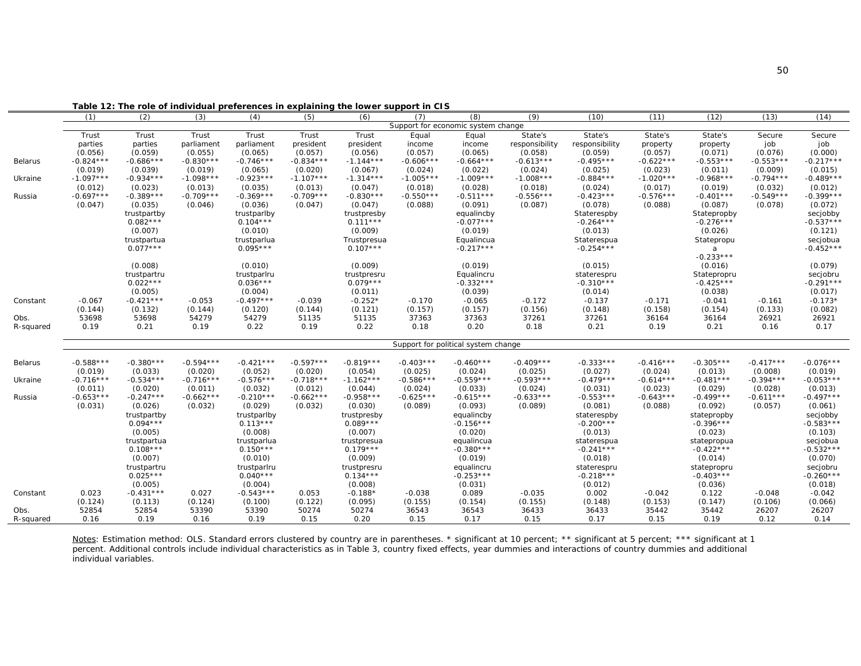|                |             |                           |             | rable 12: The role of individual preferences in explaining the lower support in CTS |             |                           |             |                                           |                |                            |             |                            |             |                         |
|----------------|-------------|---------------------------|-------------|-------------------------------------------------------------------------------------|-------------|---------------------------|-------------|-------------------------------------------|----------------|----------------------------|-------------|----------------------------|-------------|-------------------------|
|                | (1)         | (2)                       | (3)         | (4)                                                                                 | (5)         | (6)                       | (7)         | (8)<br>Support for economic system change | (9)            | (10)                       | (11)        | (12)                       | (13)        | (14)                    |
|                | Trust       | Trust                     | Trust       | Trust                                                                               | Trust       | Trust                     | Equal       | Equal                                     | State's        | State's                    | State's     | State's                    | Secure      | Secure                  |
|                | parties     | parties                   | parliament  | parliament                                                                          | president   | president                 | income      | income                                    | responsibility | responsibility             | property    | property                   | job         | job                     |
|                | (0.056)     | (0.059)                   | (0.055)     | (0.065)                                                                             | (0.057)     | (0.056)                   | (0.057)     | (0.065)                                   | (0.058)        | (0.059)                    | (0.057)     | (0.071)                    | (0.076)     | (0.000)                 |
| <b>Belarus</b> | $-0.824***$ | $-0.686***$               | $-0.830***$ | $-0.746***$                                                                         | $-0.834***$ | $-1.144***$               | $-0.606***$ | $-0.664***$                               | $-0.613***$    | $-0.495***$                | $-0.622***$ | $-0.553***$                | $-0.553***$ | $-0.217***$             |
|                | (0.019)     | (0.039)                   | (0.019)     | (0.065)                                                                             | (0.020)     | (0.067)                   | (0.024)     | (0.022)                                   | (0.024)        | (0.025)                    | (0.023)     | (0.011)                    | (0.009)     | (0.015)                 |
| Ukraine        | $-1.097***$ | $-0.934***$               | $-1.098***$ | $-0.923***$                                                                         | $-1.107***$ | $-1.314***$               | $-1.005***$ | $-1.009***$                               | $-1.008***$    | $-0.884***$                | $-1.020***$ | $-0.968***$                | $-0.794***$ | $-0.489***$             |
|                | (0.012)     | (0.023)                   | (0.013)     | (0.035)                                                                             | (0.013)     | (0.047)                   | (0.018)     | (0.028)                                   | (0.018)        | (0.024)                    | (0.017)     | (0.019)                    | (0.032)     | (0.012)                 |
| Russia         | $-0.697***$ | $-0.389***$               | $-0.709***$ | $-0.369***$                                                                         | $-0.709***$ | $-0.830***$               | $-0.550***$ | $-0.511***$                               | $-0.556***$    | $-0.423***$                | $-0.576***$ | $-0.401***$                | $-0.549***$ | $-0.399***$             |
|                | (0.047)     | (0.035)                   | (0.046)     | (0.036)                                                                             | (0.047)     | (0.047)                   | (0.088)     | (0.091)                                   | (0.087)        | (0.078)                    | (0.088)     | (0.087)                    | (0.078)     | (0.072)                 |
|                |             | trustpartby               |             | trustparlby                                                                         |             | trustpresby               |             | equalincby                                |                | Staterespby                |             | Statepropby                |             | secjobby                |
|                |             | $0.082***$                |             | $0.104***$                                                                          |             | $0.111***$                |             | $-0.077***$                               |                | $-0.264***$                |             | $-0.276***$                |             | $-0.537***$             |
|                |             | (0.007)                   |             | (0.010)                                                                             |             | (0.009)                   |             | (0.019)                                   |                | (0.013)                    |             | (0.026)                    |             | (0.121)                 |
|                |             | trustpartua               |             | trustparlua                                                                         |             | Trustpresua               |             | Equalincua                                |                | Staterespua                |             | Statepropu                 |             | secjobua                |
|                |             | $0.077***$                |             | $0.095***$                                                                          |             | $0.107***$                |             | $-0.217***$                               |                | $-0.254***$                |             | a                          |             | $-0.452***$             |
|                |             |                           |             |                                                                                     |             |                           |             |                                           |                |                            |             | $-0.233***$                |             |                         |
|                |             | (0.008)                   |             | (0.010)                                                                             |             | (0.009)                   |             | (0.019)                                   |                | (0.015)                    |             | (0.016)                    |             | (0.079)                 |
|                |             | trustpartru<br>$0.022***$ |             | trustparlru<br>$0.036***$                                                           |             | trustpresru<br>$0.079***$ |             | Equalincru<br>$-0.332***$                 |                | staterespru<br>$-0.310***$ |             | Statepropru<br>$-0.425***$ |             | secjobru<br>$-0.291***$ |
|                |             | (0.005)                   |             | (0.004)                                                                             |             | (0.011)                   |             | (0.039)                                   |                | (0.014)                    |             | (0.038)                    |             | (0.017)                 |
| Constant       | $-0.067$    | $-0.421***$               | $-0.053$    | $-0.497***$                                                                         | $-0.039$    | $-0.252*$                 | $-0.170$    | $-0.065$                                  | $-0.172$       | $-0.137$                   | $-0.171$    | $-0.041$                   | $-0.161$    | $-0.173*$               |
|                | (0.144)     | (0.132)                   | (0.144)     | (0.120)                                                                             | (0.144)     | (0.121)                   | (0.157)     | (0.157)                                   | (0.156)        | (0.148)                    | (0.158)     | (0.154)                    | (0.133)     | (0.082)                 |
| Obs.           | 53698       | 53698                     | 54279       | 54279                                                                               | 51135       | 51135                     | 37363       | 37363                                     | 37261          | 37261                      | 36164       | 36164                      | 26921       | 26921                   |
| R-squared      | 0.19        | 0.21                      | 0.19        | 0.22                                                                                | 0.19        | 0.22                      | 0.18        | 0.20                                      | 0.18           | 0.21                       | 0.19        | 0.21                       | 0.16        | 0.17                    |
|                |             |                           |             |                                                                                     |             |                           |             |                                           |                |                            |             |                            |             |                         |
|                |             |                           |             |                                                                                     |             |                           |             | Support for political system change       |                |                            |             |                            |             |                         |
| <b>Belarus</b> | $-0.588***$ | $-0.380***$               | $-0.594***$ | $-0.421***$                                                                         | $-0.597***$ | $-0.819***$               | $-0.403***$ | $-0.460***$                               | $-0.409***$    | $-0.333***$                | $-0.416***$ | $-0.305***$                | $-0.417***$ | $-0.076***$             |
|                | (0.019)     | (0.033)                   | (0.020)     | (0.052)                                                                             | (0.020)     | (0.054)                   | (0.025)     | (0.024)                                   | (0.025)        | (0.027)                    | (0.024)     | (0.013)                    | (0.008)     | (0.019)                 |
| Ukraine        | $-0.716***$ | $-0.534***$               | $-0.716***$ | $-0.576***$                                                                         | $-0.718***$ | $-1.162***$               | $-0.586***$ | $-0.559***$                               | $-0.593***$    | $-0.479***$                | $-0.614***$ | $-0.481***$                | $-0.394***$ | $-0.053***$             |
|                | (0.011)     | (0.020)                   | (0.011)     | (0.032)                                                                             | (0.012)     | (0.044)                   | (0.024)     | (0.033)                                   | (0.024)        | (0.031)                    | (0.023)     | (0.029)                    | (0.028)     | (0.013)                 |
| Russia         | $-0.653***$ | $-0.247***$               | $-0.662***$ | $-0.210***$                                                                         | $-0.662***$ | $-0.958***$               | $-0.625***$ | $-0.615***$                               | $-0.633***$    | $-0.553***$                | $-0.643***$ | $-0.499***$                | $-0.611***$ | $-0.497***$             |
|                | (0.031)     | (0.026)                   | (0.032)     | (0.029)                                                                             | (0.032)     | (0.030)                   | (0.089)     | (0.093)                                   | (0.089)        | (0.081)                    | (0.088)     | (0.092)                    | (0.057)     | (0.061)                 |
|                |             | trustpartby<br>$0.094***$ |             | trustparlby<br>$0.113***$                                                           |             | trustpresby<br>$0.089***$ |             | equalincby<br>$-0.156***$                 |                | staterespby<br>$-0.200***$ |             | statepropby<br>$-0.396***$ |             | secjobby<br>$-0.583***$ |
|                |             | (0.005)                   |             | (0.008)                                                                             |             | (0.007)                   |             | (0.020)                                   |                | (0.013)                    |             | (0.023)                    |             | (0.103)                 |
|                |             | trustpartua               |             | trustparlua                                                                         |             | trustpresua               |             | equalincua                                |                | staterespua                |             | statepropua                |             | secjobua                |
|                |             | $0.108***$                |             | $0.150***$                                                                          |             | $0.179***$                |             | $-0.380***$                               |                | $-0.241***$                |             | $-0.422***$                |             | $-0.532***$             |
|                |             | (0.007)                   |             | (0.010)                                                                             |             | (0.009)                   |             | (0.019)                                   |                | (0.018)                    |             | (0.014)                    |             | (0.070)                 |
|                |             | trustpartru               |             | trustparlru                                                                         |             | trustpresru               |             | equalincru                                |                | staterespru                |             | statepropru                |             | secjobru                |
|                |             | $0.025***$                |             | $0.040***$                                                                          |             | $0.134***$                |             | $-0.253***$                               |                | $-0.218***$                |             | $-0.403***$                |             | $-0.260***$             |
|                |             | (0.005)                   |             | (0.004)                                                                             |             | (0.008)                   |             | (0.031)                                   |                | (0.012)                    |             | (0.036)                    |             | (0.018)                 |
| Constant       | 0.023       | $-0.431***$               | 0.027       | $-0.543***$                                                                         | 0.053       | $-0.188*$                 | $-0.038$    | 0.089                                     | $-0.035$       | 0.002                      | $-0.042$    | 0.122                      | $-0.048$    | $-0.042$                |
|                | (0.124)     | (0.113)                   | (0.124)     | (0.100)                                                                             | (0.122)     | (0.095)                   | (0.155)     | (0.154)                                   | (0.155)        | (0.148)                    | (0.153)     | (0.147)                    | (0.106)     | (0.066)                 |
| Obs.           | 52854       | 52854                     | 53390       | 53390                                                                               | 50274       | 50274                     | 36543       | 36543                                     | 36433          | 36433                      | 35442       | 35442                      | 26207       | 26207                   |
| R-squared      | 0.16        | 0.19                      | 0.16        | 0.19                                                                                | 0.15        | 0.20                      | 0.15        | 0.17                                      | 0.15           | 0.17                       | 0.15        | 0.19                       | 0.12        | 0.14                    |

**Table 12: The role of individual preferences in explaining the lower support in CIS**

*Notes*: Estimation method: OLS. Standard errors clustered by country are in parentheses. \* significant at 10 percent; \*\* significant at 5 percent; \*\*\* significant at 1 percent. Additional controls include individual characteristics as in Table 3, country fixed effects, year dummies and interactions of country dummies and additional individual variables.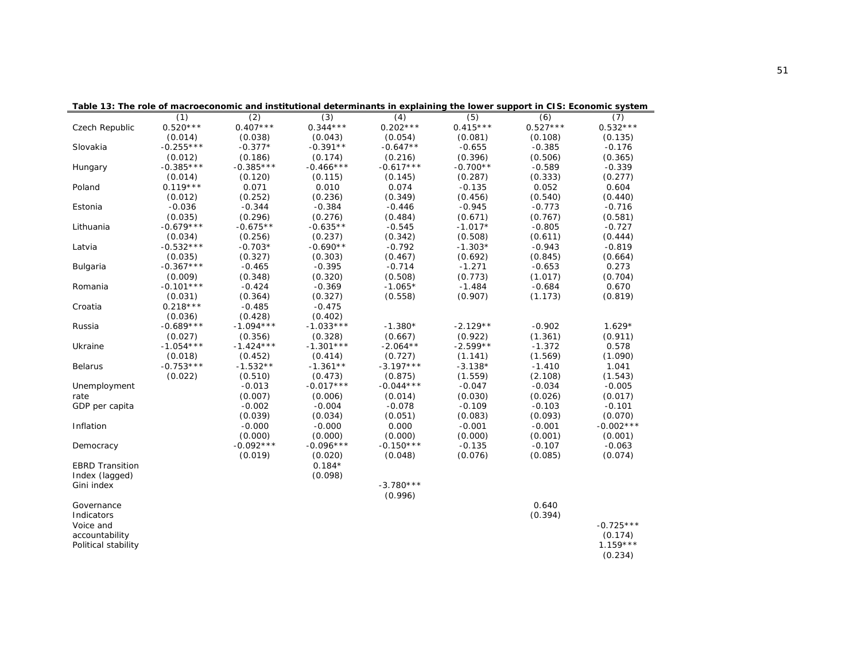|                        |             |             |             |             |            | rable 15. The role of macroeconomic and institutional determinants in explaining the lower support in 015. Economic system |             |
|------------------------|-------------|-------------|-------------|-------------|------------|----------------------------------------------------------------------------------------------------------------------------|-------------|
|                        | (1)         | (2)         | (3)         | (4)         | (5)        | (6)                                                                                                                        | (7)         |
| Czech Republic         | $0.520***$  | $0.407***$  | $0.344***$  | $0.202***$  | $0.415***$ | $0.527***$                                                                                                                 | $0.532***$  |
|                        | (0.014)     | (0.038)     | (0.043)     | (0.054)     | (0.081)    | (0.108)                                                                                                                    | (0.135)     |
| Slovakia               | $-0.255***$ | $-0.377*$   | $-0.391**$  | $-0.647**$  | $-0.655$   | $-0.385$                                                                                                                   | $-0.176$    |
|                        | (0.012)     | (0.186)     | (0.174)     | (0.216)     | (0.396)    | (0.506)                                                                                                                    | (0.365)     |
| Hungary                | $-0.385***$ | $-0.385***$ | $-0.466***$ | $-0.617***$ | $-0.700**$ | $-0.589$                                                                                                                   | $-0.339$    |
|                        | (0.014)     | (0.120)     | (0.115)     | (0.145)     | (0.287)    | (0.333)                                                                                                                    | (0.277)     |
| Poland                 | $0.119***$  | 0.071       | 0.010       | 0.074       | $-0.135$   | 0.052                                                                                                                      | 0.604       |
|                        | (0.012)     | (0.252)     | (0.236)     | (0.349)     | (0.456)    | (0.540)                                                                                                                    | (0.440)     |
| Estonia                | $-0.036$    | $-0.344$    | $-0.384$    | $-0.446$    | $-0.945$   | $-0.773$                                                                                                                   | $-0.716$    |
|                        | (0.035)     | (0.296)     | (0.276)     | (0.484)     | (0.671)    | (0.767)                                                                                                                    | (0.581)     |
| Lithuania              | $-0.679***$ | $-0.675**$  | $-0.635**$  | $-0.545$    | $-1.017*$  | $-0.805$                                                                                                                   | $-0.727$    |
|                        | (0.034)     | (0.256)     | (0.237)     | (0.342)     | (0.508)    | (0.611)                                                                                                                    | (0.444)     |
| Latvia                 | $-0.532***$ | $-0.703*$   | $-0.690**$  | $-0.792$    | $-1.303*$  | $-0.943$                                                                                                                   | $-0.819$    |
|                        | (0.035)     | (0.327)     | (0.303)     | (0.467)     | (0.692)    | (0.845)                                                                                                                    | (0.664)     |
| Bulgaria               | $-0.367***$ | $-0.465$    | $-0.395$    | $-0.714$    | $-1.271$   | $-0.653$                                                                                                                   | 0.273       |
|                        | (0.009)     | (0.348)     | (0.320)     | (0.508)     | (0.773)    | (1.017)                                                                                                                    | (0.704)     |
| Romania                | $-0.101***$ | $-0.424$    | $-0.369$    | $-1.065*$   | $-1.484$   | $-0.684$                                                                                                                   | 0.670       |
|                        | (0.031)     | (0.364)     | (0.327)     | (0.558)     | (0.907)    | (1.173)                                                                                                                    | (0.819)     |
| Croatia                | $0.218***$  | $-0.485$    | $-0.475$    |             |            |                                                                                                                            |             |
|                        | (0.036)     | (0.428)     | (0.402)     |             |            |                                                                                                                            |             |
| Russia                 | $-0.689***$ | $-1.094***$ | $-1.033***$ | $-1.380*$   | $-2.129**$ | $-0.902$                                                                                                                   | $1.629*$    |
|                        | (0.027)     | (0.356)     | (0.328)     | (0.667)     | (0.922)    | (1.361)                                                                                                                    | (0.911)     |
| Ukraine                | $-1.054***$ | $-1.424***$ | $-1.301***$ | $-2.064**$  | $-2.599**$ | $-1.372$                                                                                                                   | 0.578       |
|                        | (0.018)     | (0.452)     | (0.414)     | (0.727)     | (1.141)    | (1.569)                                                                                                                    | (1.090)     |
| <b>Belarus</b>         | $-0.753***$ | $-1.532**$  | $-1.361**$  | $-3.197***$ | $-3.138*$  | $-1.410$                                                                                                                   | 1.041       |
|                        | (0.022)     | (0.510)     | (0.473)     | (0.875)     | (1.559)    | (2.108)                                                                                                                    | (1.543)     |
| Unemployment           |             | $-0.013$    | $-0.017***$ | $-0.044***$ | $-0.047$   | $-0.034$                                                                                                                   | $-0.005$    |
| rate                   |             | (0.007)     | (0.006)     | (0.014)     | (0.030)    | (0.026)                                                                                                                    | (0.017)     |
| GDP per capita         |             | $-0.002$    | $-0.004$    | $-0.078$    | $-0.109$   | $-0.103$                                                                                                                   | $-0.101$    |
|                        |             | (0.039)     | (0.034)     | (0.051)     | (0.083)    | (0.093)                                                                                                                    | (0.070)     |
| Inflation              |             | $-0.000$    | $-0.000$    | 0.000       | $-0.001$   | $-0.001$                                                                                                                   | $-0.002***$ |
|                        |             | (0.000)     | (0.000)     | (0.000)     | (0.000)    | (0.001)                                                                                                                    | (0.001)     |
| Democracy              |             | $-0.092***$ | $-0.096***$ | $-0.150***$ | $-0.135$   | $-0.107$                                                                                                                   | $-0.063$    |
|                        |             | (0.019)     | (0.020)     | (0.048)     | (0.076)    | (0.085)                                                                                                                    | (0.074)     |
| <b>EBRD Transition</b> |             |             | $0.184*$    |             |            |                                                                                                                            |             |
| Index (lagged)         |             |             | (0.098)     |             |            |                                                                                                                            |             |
| Gini index             |             |             |             | $-3.780***$ |            |                                                                                                                            |             |
|                        |             |             |             | (0.996)     |            |                                                                                                                            |             |
| Governance             |             |             |             |             |            | 0.640                                                                                                                      |             |
| Indicators             |             |             |             |             |            | (0.394)                                                                                                                    |             |
| Voice and              |             |             |             |             |            |                                                                                                                            | $-0.725***$ |
| accountability         |             |             |             |             |            |                                                                                                                            | (0.174)     |
| Political stability    |             |             |             |             |            |                                                                                                                            | $1.159***$  |
|                        |             |             |             |             |            |                                                                                                                            | (0.234)     |

**Table 13: The role of macroeconomic and institutional determinants in explaining the lower support in CIS: Economic system**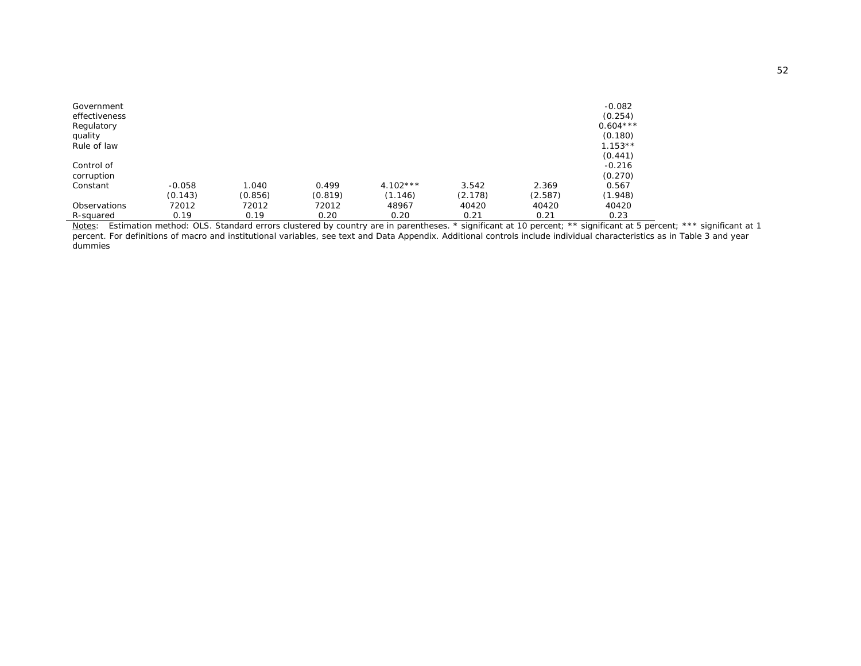| Government<br>effectiveness<br>Regulatory<br>quality<br>Rule of law |          |         |         |            |         |         | $-0.082$<br>(0.254)<br>$0.604***$<br>(0.180)<br>$1.153**$<br>(0.441) |
|---------------------------------------------------------------------|----------|---------|---------|------------|---------|---------|----------------------------------------------------------------------|
| Control of                                                          |          |         |         |            |         |         | $-0.216$<br>(0.270)                                                  |
| corruption                                                          |          |         |         |            |         |         |                                                                      |
| Constant                                                            | $-0.058$ | 1.040   | 0.499   | $4.102***$ | 3.542   | 2.369   | 0.567                                                                |
|                                                                     | (0.143)  | (0.856) | (0.819) | (1.146)    | (2.178) | (2.587) | (1.948)                                                              |
| <b>Observations</b>                                                 | 72012    | 72012   | 72012   | 48967      | 40420   | 40420   | 40420                                                                |
| R-squared                                                           | 0.19     | 0.19    | 0.20    | 0.20       | 0.21    | 0.21    | 0.23                                                                 |

*Notes*: Estimation method: OLS. Standard errors clustered by country are in parentheses. \* significant at 10 percent; \*\* significant at 5 percent; \*\*\* significant at 1 percent. For definitions of macro and institutional variables, see text and Data Appendix. Additional controls include individual characteristics as in Table 3 and year dummies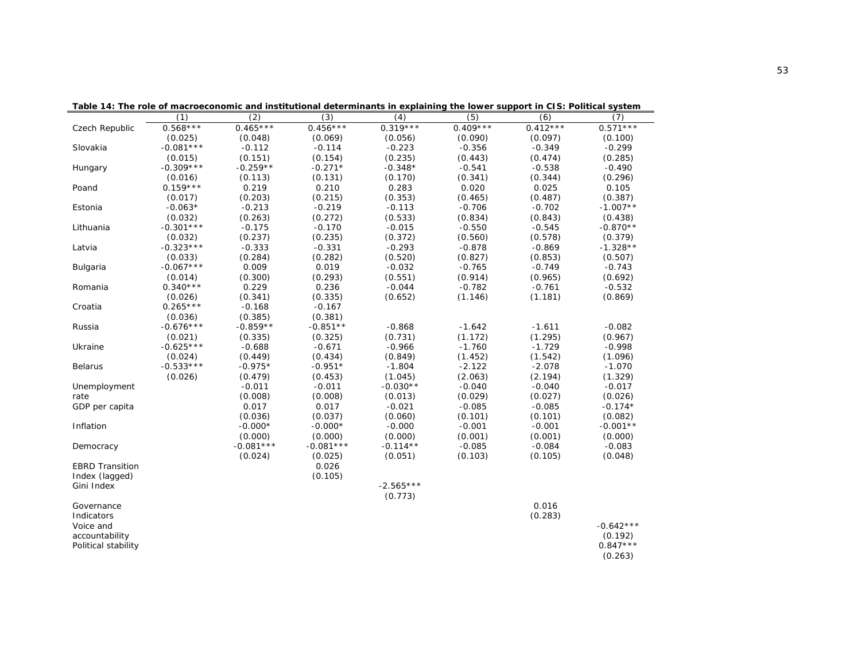| Table 14: The role of macroeconomic and institutional determinants in explaining the lower support in CTS: Political system |             |             |             |             |            |            |             |
|-----------------------------------------------------------------------------------------------------------------------------|-------------|-------------|-------------|-------------|------------|------------|-------------|
|                                                                                                                             | (1)         | (2)         | (3)         | (4)         | (5)        | (6)        | (7)         |
| Czech Republic                                                                                                              | $0.568***$  | $0.465***$  | $0.456***$  | $0.319***$  | $0.409***$ | $0.412***$ | $0.571***$  |
|                                                                                                                             | (0.025)     | (0.048)     | (0.069)     | (0.056)     | (0.090)    | (0.097)    | (0.100)     |
| Slovakia                                                                                                                    | $-0.081***$ | $-0.112$    | $-0.114$    | $-0.223$    | $-0.356$   | $-0.349$   | $-0.299$    |
|                                                                                                                             | (0.015)     | (0.151)     | (0.154)     | (0.235)     | (0.443)    | (0.474)    | (0.285)     |
| Hungary                                                                                                                     | $-0.309***$ | $-0.259**$  | $-0.271*$   | $-0.348*$   | $-0.541$   | $-0.538$   | $-0.490$    |
|                                                                                                                             | (0.016)     | (0.113)     | (0.131)     | (0.170)     | (0.341)    | (0.344)    | (0.296)     |
| Poand                                                                                                                       | $0.159***$  | 0.219       | 0.210       | 0.283       | 0.020      | 0.025      | 0.105       |
|                                                                                                                             | (0.017)     | (0.203)     | (0.215)     | (0.353)     | (0.465)    | (0.487)    | (0.387)     |
| Estonia                                                                                                                     | $-0.063*$   | $-0.213$    | $-0.219$    | $-0.113$    | $-0.706$   | $-0.702$   | $-1.007**$  |
|                                                                                                                             | (0.032)     | (0.263)     | (0.272)     | (0.533)     | (0.834)    | (0.843)    | (0.438)     |
| Lithuania                                                                                                                   | $-0.301***$ | $-0.175$    | $-0.170$    | $-0.015$    | $-0.550$   | $-0.545$   | $-0.870**$  |
|                                                                                                                             | (0.032)     | (0.237)     | (0.235)     | (0.372)     | (0.560)    | (0.578)    | (0.379)     |
| Latvia                                                                                                                      | $-0.323***$ | $-0.333$    | $-0.331$    | $-0.293$    | $-0.878$   | $-0.869$   | $-1.328**$  |
|                                                                                                                             | (0.033)     | (0.284)     | (0.282)     | (0.520)     | (0.827)    | (0.853)    | (0.507)     |
| Bulgaria                                                                                                                    | $-0.067***$ | 0.009       | 0.019       | $-0.032$    | $-0.765$   | $-0.749$   | $-0.743$    |
|                                                                                                                             | (0.014)     | (0.300)     | (0.293)     | (0.551)     | (0.914)    | (0.965)    | (0.692)     |
| Romania                                                                                                                     | $0.340***$  | 0.229       | 0.236       | $-0.044$    | $-0.782$   | $-0.761$   | $-0.532$    |
|                                                                                                                             | (0.026)     | (0.341)     | (0.335)     | (0.652)     | (1.146)    | (1.181)    | (0.869)     |
| Croatia                                                                                                                     | $0.265***$  | $-0.168$    | $-0.167$    |             |            |            |             |
|                                                                                                                             | (0.036)     | (0.385)     | (0.381)     |             |            |            |             |
| Russia                                                                                                                      | $-0.676***$ | $-0.859**$  | $-0.851**$  | $-0.868$    | $-1.642$   | $-1.611$   | $-0.082$    |
|                                                                                                                             | (0.021)     | (0.335)     | (0.325)     | (0.731)     | (1.172)    | (1.295)    | (0.967)     |
| Ukraine                                                                                                                     | $-0.625***$ | $-0.688$    | $-0.671$    | $-0.966$    | $-1.760$   | $-1.729$   | $-0.998$    |
|                                                                                                                             | (0.024)     | (0.449)     | (0.434)     | (0.849)     | (1.452)    | (1.542)    | (1.096)     |
| Belarus                                                                                                                     | $-0.533***$ | $-0.975*$   | $-0.951*$   | $-1.804$    | $-2.122$   | $-2.078$   | $-1.070$    |
|                                                                                                                             | (0.026)     | (0.479)     | (0.453)     | (1.045)     | (2.063)    | (2.194)    | (1.329)     |
| Unemployment                                                                                                                |             | $-0.011$    | $-0.011$    | $-0.030**$  | $-0.040$   | $-0.040$   | $-0.017$    |
| rate                                                                                                                        |             | (0.008)     | (0.008)     | (0.013)     | (0.029)    | (0.027)    | (0.026)     |
| GDP per capita                                                                                                              |             | 0.017       | 0.017       | $-0.021$    | $-0.085$   | $-0.085$   | $-0.174*$   |
|                                                                                                                             |             | (0.036)     | (0.037)     | (0.060)     | (0.101)    | (0.101)    | (0.082)     |
| Inflation                                                                                                                   |             | $-0.000*$   | $-0.000*$   | $-0.000$    | $-0.001$   | $-0.001$   | $-0.001**$  |
|                                                                                                                             |             | (0.000)     | (0.000)     | (0.000)     | (0.001)    | (0.001)    | (0.000)     |
| Democracy                                                                                                                   |             | $-0.081***$ | $-0.081***$ | $-0.114**$  | $-0.085$   | $-0.084$   | $-0.083$    |
|                                                                                                                             |             | (0.024)     | (0.025)     | (0.051)     | (0.103)    | (0.105)    | (0.048)     |
| <b>EBRD Transition</b>                                                                                                      |             |             | 0.026       |             |            |            |             |
| Index (lagged)                                                                                                              |             |             | (0.105)     |             |            |            |             |
| Gini Index                                                                                                                  |             |             |             | $-2.565***$ |            |            |             |
|                                                                                                                             |             |             |             | (0.773)     |            |            |             |
| Governance                                                                                                                  |             |             |             |             |            | 0.016      |             |
| Indicators                                                                                                                  |             |             |             |             |            | (0.283)    |             |
| Voice and                                                                                                                   |             |             |             |             |            |            | $-0.642***$ |
| accountability                                                                                                              |             |             |             |             |            |            | (0.192)     |
| Political stability                                                                                                         |             |             |             |             |            |            | $0.847***$  |
|                                                                                                                             |             |             |             |             |            |            | (0.263)     |

**Table 14: The role of macroeconomic and institutional determinants in explaining the lower support in CIS: Political system**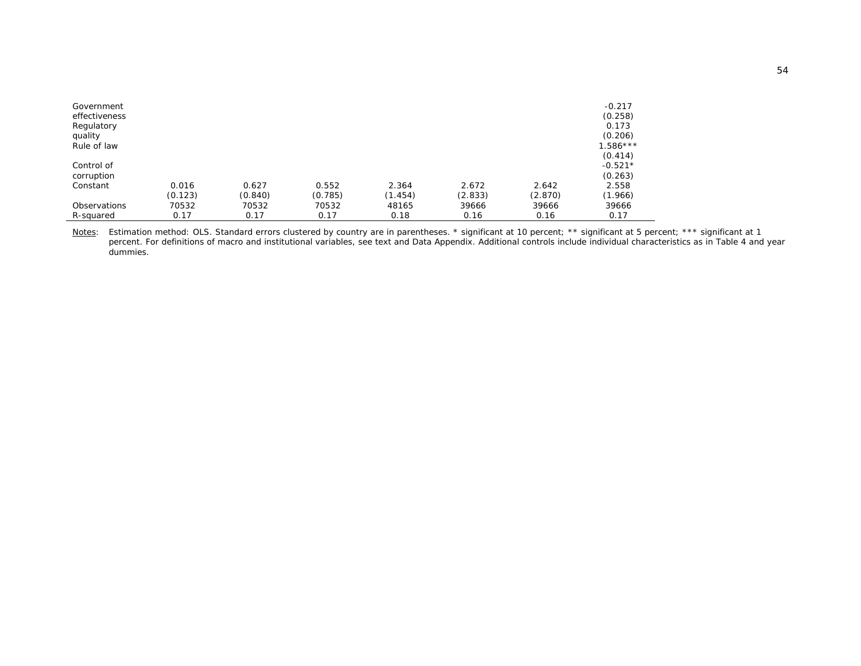| Government<br>effectiveness<br>Regulatory<br>quality<br>Rule of law |         |         |         |         |         |         | $-0.217$<br>(0.258)<br>0.173<br>(0.206)<br>$1.586***$<br>(0.414) |
|---------------------------------------------------------------------|---------|---------|---------|---------|---------|---------|------------------------------------------------------------------|
| Control of                                                          |         |         |         |         |         |         | $-0.521*$                                                        |
| corruption                                                          |         |         |         |         |         |         | (0.263)                                                          |
| Constant                                                            | 0.016   | 0.627   | 0.552   | 2.364   | 2.672   | 2.642   | 2.558                                                            |
|                                                                     | (0.123) | (0.840) | (0.785) | (1.454) | (2.833) | (2.870) | (1.966)                                                          |
| Observations                                                        | 70532   | 70532   | 70532   | 48165   | 39666   | 39666   | 39666                                                            |
| R-squared                                                           | 0.17    | 0.17    | 0.17    | 0.18    | 0.16    | 0.16    | 0.17                                                             |

*Notes*: Estimation method: OLS. Standard errors clustered by country are in parentheses. \* significant at 10 percent; \*\* significant at 5 percent; \*\*\* significant at 1 percent. For definitions of macro and institutional variables, see text and Data Appendix. Additional controls include individual characteristics as in Table 4 and year dummies.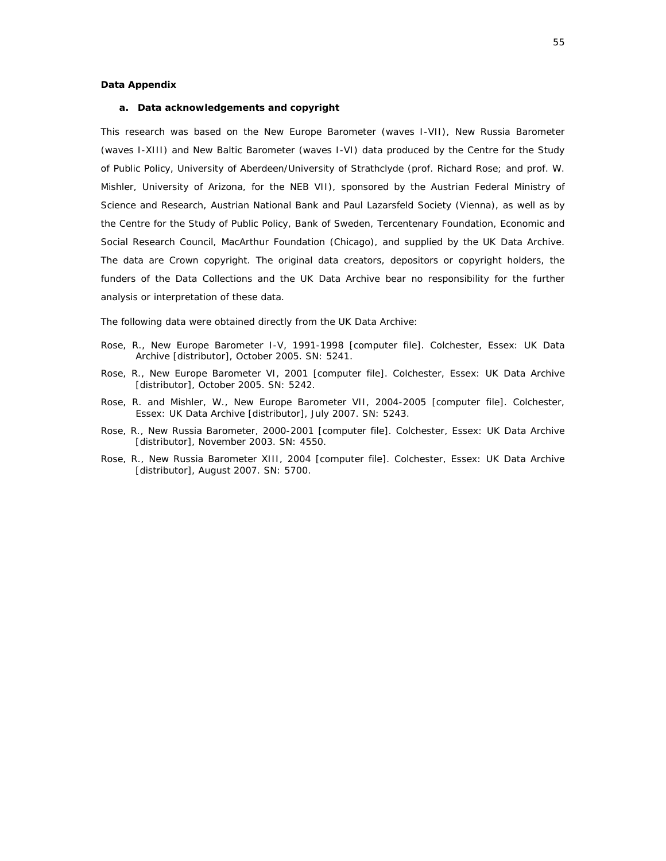#### **Data Appendix**

#### **a. Data acknowledgements and copyright**

This research was based on the New Europe Barometer (waves I-VII), New Russia Barometer (waves I-XIII) and New Baltic Barometer (waves I-VI) data produced by the Centre for the Study of Public Policy, University of Aberdeen/University of Strathclyde (prof. Richard Rose; and prof. W. Mishler, University of Arizona, for the NEB VII), sponsored by the Austrian Federal Ministry of Science and Research, Austrian National Bank and Paul Lazarsfeld Society (Vienna), as well as by the Centre for the Study of Public Policy, Bank of Sweden, Tercentenary Foundation, Economic and Social Research Council, MacArthur Foundation (Chicago), and supplied by the UK Data Archive. The data are Crown copyright. The original data creators, depositors or copyright holders, the funders of the Data Collections and the UK Data Archive bear no responsibility for the further analysis or interpretation of these data.

The following data were obtained directly from the UK Data Archive:

- Rose, R., New Europe Barometer I-V, 1991-1998 [computer file]. Colchester, Essex: UK Data Archive [distributor], October 2005. SN: 5241.
- Rose, R., New Europe Barometer VI, 2001 [computer file]. Colchester, Essex: UK Data Archive [distributor], October 2005. SN: 5242.
- Rose, R. and Mishler, W., New Europe Barometer VII, 2004-2005 [computer file]. Colchester, Essex: UK Data Archive [distributor], July 2007. SN: 5243.
- Rose, R., New Russia Barometer, 2000-2001 [computer file]. Colchester, Essex: UK Data Archive [distributor], November 2003. SN: 4550.
- Rose, R., New Russia Barometer XIII, 2004 [computer file]. Colchester, Essex: UK Data Archive [distributor], August 2007. SN: 5700.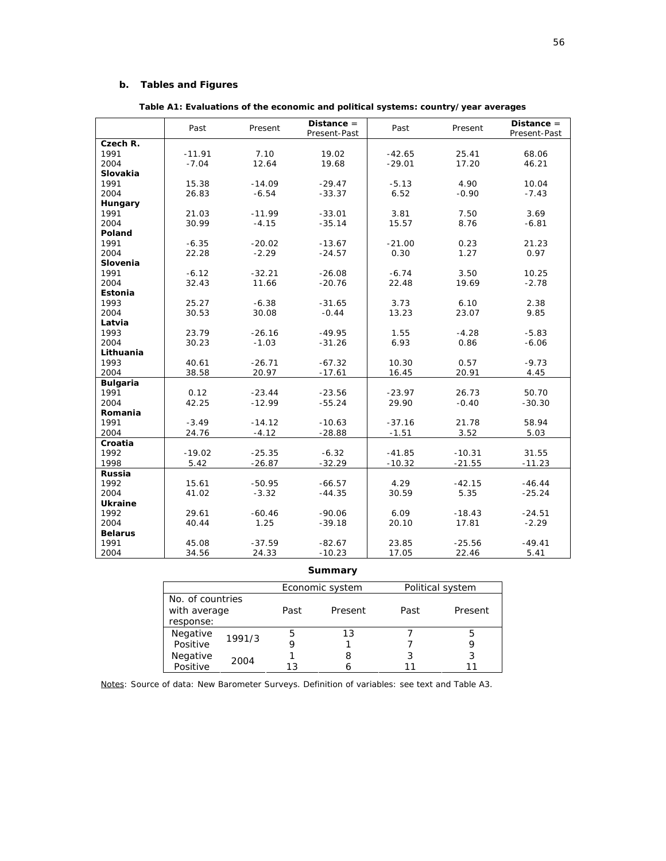#### **b. Tables and Figures**

|                 | Past     | Present  | Distance $=$         | Past     | Present       | $Distance =$ |
|-----------------|----------|----------|----------------------|----------|---------------|--------------|
|                 |          |          | Present-Past         |          |               | Present-Past |
| Czech R.        |          |          |                      |          |               |              |
| 1991            | $-11.91$ | 7.10     | 19.02                | $-42.65$ | 25.41         | 68.06        |
| 2004            | $-7.04$  | 12.64    | 19.68                | $-29.01$ | 17.20         | 46.21        |
| <b>Slovakia</b> |          |          |                      |          |               |              |
| 1991            | 15.38    | $-14.09$ | $-29.47$             | $-5.13$  | 4.90          | 10.04        |
| 2004            | 26.83    | $-6.54$  | $-33.37$             | 6.52     | $-0.90$       | $-7.43$      |
| Hungary         |          |          |                      |          |               |              |
| 1991            | 21.03    | $-11.99$ | $-33.01$             | 3.81     | 7.50          | 3.69         |
| 2004            | 30.99    | $-4.15$  | $-35.14$             | 15.57    | 8.76          | $-6.81$      |
| Poland          |          |          |                      |          |               |              |
| 1991            | $-6.35$  | $-20.02$ | $-13.67$             | $-21.00$ | 0.23          | 21.23        |
| 2004            | 22.28    | $-2.29$  | $-24.57$             | 0.30     | 1.27          | 0.97         |
| Slovenia        |          |          |                      |          |               |              |
| 1991            | $-6.12$  | $-32.21$ | $-26.08$             | $-6.74$  | 3.50          | 10.25        |
| 2004            | 32.43    | 11.66    | $-20.76$             | 22.48    | 19.69         | $-2.78$      |
| Estonia         |          |          |                      |          |               |              |
| 1993            | 25.27    | $-6.38$  | $-31.65$             | 3.73     | 6.10          | 2.38         |
| 2004            | 30.53    | 30.08    | $-0.44$              | 13.23    | 23.07         | 9.85         |
| Latvia          |          |          |                      |          |               |              |
| 1993            | 23.79    | $-26.16$ | $-49.95$             | 1.55     | $-4.28$       | $-5.83$      |
| 2004            | 30.23    | $-1.03$  | $-31.26$             | 6.93     | 0.86          | $-6.06$      |
| Lithuania       |          |          |                      |          |               |              |
| 1993            | 40.61    | $-26.71$ | $-67.32$             | 10.30    | 0.57          | $-9.73$      |
| 2004            | 38.58    | 20.97    | $-17.61$             | 16.45    | 20.91         | 4.45         |
| <b>Bulgaria</b> |          |          |                      |          |               |              |
| 1991            | 0.12     | $-23.44$ | $-23.56$             | $-23.97$ | 26.73         | 50.70        |
| 2004            | 42.25    | $-12.99$ | $-55.24$             | 29.90    | $-0.40$       | $-30.30$     |
| Romania         |          |          |                      |          |               |              |
| 1991<br>2004    | $-3.49$  | $-14.12$ | $-10.63$<br>$-28.88$ | $-37.16$ | 21.78<br>3.52 | 58.94        |
|                 | 24.76    | $-4.12$  |                      | $-1.51$  |               | 5.03         |
| Croatia<br>1992 | $-19.02$ | $-25.35$ | $-6.32$              | $-41.85$ | $-10.31$      | 31.55        |
| 1998            | 5.42     | $-26.87$ | $-32.29$             | $-10.32$ | $-21.55$      | $-11.23$     |
|                 |          |          |                      |          |               |              |
| Russia<br>1992  | 15.61    | $-50.95$ | $-66.57$             | 4.29     | $-42.15$      | $-46.44$     |
| 2004            | 41.02    | $-3.32$  | $-44.35$             | 30.59    | 5.35          | $-25.24$     |
| <b>Ukraine</b>  |          |          |                      |          |               |              |
| 1992            | 29.61    | $-60.46$ | $-90.06$             | 6.09     | $-18.43$      | $-24.51$     |
| 2004            | 40.44    | 1.25     | $-39.18$             | 20.10    | 17.81         | $-2.29$      |
| <b>Belarus</b>  |          |          |                      |          |               |              |
| 1991            | 45.08    | $-37.59$ | $-82.67$             | 23.85    | $-25.56$      | $-49.41$     |
| 2004            | 34.56    | 24.33    | $-10.23$             | 17.05    | 22.46         | 5.41         |

#### **Summary**

|                  |        |      | Economic system | Political system |         |  |
|------------------|--------|------|-----------------|------------------|---------|--|
| No. of countries |        |      |                 |                  |         |  |
| with average     |        | Past | Present         | Past             | Present |  |
| response:        |        |      |                 |                  |         |  |
| Negative         | 1991/3 | 5    | 13              |                  | b       |  |
| Positive         |        |      |                 |                  |         |  |
| Negative         | 2004   |      |                 |                  | 3       |  |
| Positive         |        | 1 ว  |                 |                  |         |  |

*Notes*: Source of data: New Barometer Surveys. Definition of variables: see text and Table A3.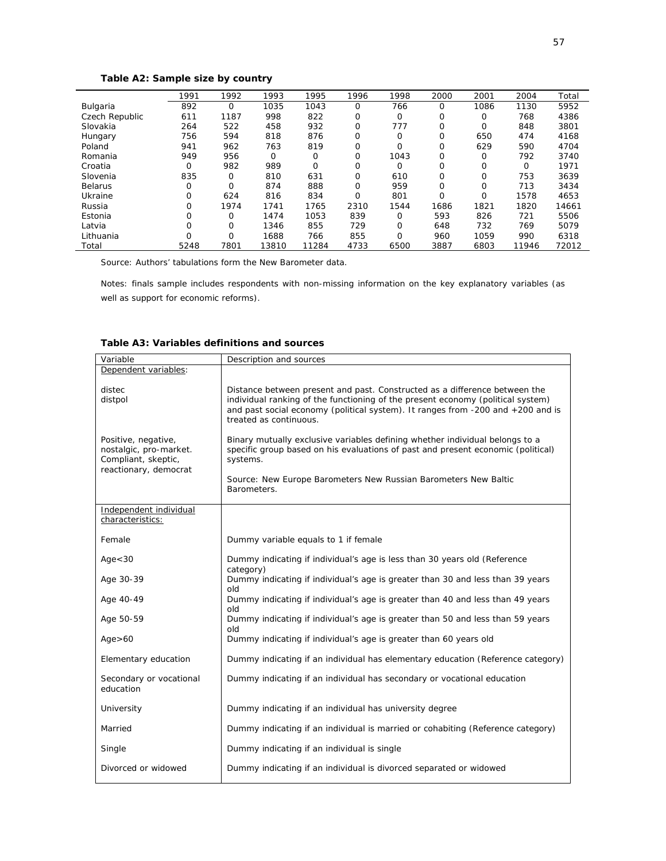#### **Table A2: Sample size by country**

|                | 1991     | 1992 | 1993  | 1995     | 1996        | 1998     | 2000 | 2001     | 2004  | Total |
|----------------|----------|------|-------|----------|-------------|----------|------|----------|-------|-------|
| Bulgaria       | 892      | 0    | 1035  | 1043     | $\Omega$    | 766      | 0    | 1086     | 1130  | 5952  |
| Czech Republic | 611      | 1187 | 998   | 822      | $\Omega$    | $\Omega$ | 0    | $\Omega$ | 768   | 4386  |
| Slovakia       | 264      | 522  | 458   | 932      | $\mathbf 0$ | 777      | 0    | 0        | 848   | 3801  |
| Hungary        | 756      | 594  | 818   | 876      | 0           | $\Omega$ | 0    | 650      | 474   | 4168  |
| Poland         | 941      | 962  | 763   | 819      | $\Omega$    | O        | 0    | 629      | 590   | 4704  |
| Romania        | 949      | 956  | 0     | 0        | $\Omega$    | 1043     | Ο    | $\Omega$ | 792   | 3740  |
| Croatia        | 0        | 982  | 989   | $\Omega$ | $\Omega$    | $\Omega$ | Ο    | 0        | O     | 1971  |
| Slovenia       | 835      | 0    | 810   | 631      | $\Omega$    | 610      | Ο    | $\Omega$ | 753   | 3639  |
| <b>Belarus</b> | 0        | 0    | 874   | 888      | $\Omega$    | 959      | Ο    | $\Omega$ | 713   | 3434  |
| Ukraine        | 0        | 624  | 816   | 834      | $\Omega$    | 801      | Ο    | 0        | 1578  | 4653  |
| Russia         | 0        | 1974 | 1741  | 1765     | 2310        | 1544     | 1686 | 1821     | 1820  | 14661 |
| Estonia        | O        | O    | 1474  | 1053     | 839         | $\Omega$ | 593  | 826      | 721   | 5506  |
| Latvia         | 0        | 0    | 1346  | 855      | 729         | $\Omega$ | 648  | 732      | 769   | 5079  |
| Lithuania      | $\Omega$ | 0    | 1688  | 766      | 855         | O        | 960  | 1059     | 990   | 6318  |
| Total          | 5248     | 7801 | 13810 | 11284    | 4733        | 6500     | 3887 | 6803     | 11946 | 72012 |

Source: Authors' tabulations form the New Barometer data.

Notes: finals sample includes respondents with non-missing information on the key explanatory variables (as well as support for economic reforms).

| Table A3: Variables definitions and sources |  |
|---------------------------------------------|--|
|---------------------------------------------|--|

| Variable                                                                                      | Description and sources                                                                                                                                                                                                                                                        |
|-----------------------------------------------------------------------------------------------|--------------------------------------------------------------------------------------------------------------------------------------------------------------------------------------------------------------------------------------------------------------------------------|
| Dependent variables:                                                                          |                                                                                                                                                                                                                                                                                |
| distec<br>distpol                                                                             | Distance between present and past. Constructed as a difference between the<br>individual ranking of the functioning of the present economy (political system)<br>and past social economy (political system). It ranges from $-200$ and $+200$ and is<br>treated as continuous. |
| Positive, negative,<br>nostalgic, pro-market.<br>Compliant, skeptic,<br>reactionary, democrat | Binary mutually exclusive variables defining whether individual belongs to a<br>specific group based on his evaluations of past and present economic (political)<br>systems.                                                                                                   |
|                                                                                               | Source: New Europe Barometers New Russian Barometers New Baltic<br>Barometers.                                                                                                                                                                                                 |
| Independent individual<br>characteristics:                                                    |                                                                                                                                                                                                                                                                                |
| Female                                                                                        | Dummy variable equals to 1 if female                                                                                                                                                                                                                                           |
| Age < 30                                                                                      | Dummy indicating if individual's age is less than 30 years old (Reference<br>category)                                                                                                                                                                                         |
| Age 30-39                                                                                     | Dummy indicating if individual's age is greater than 30 and less than 39 years<br>old                                                                                                                                                                                          |
| Age 40-49                                                                                     | Dummy indicating if individual's age is greater than 40 and less than 49 years<br>old                                                                                                                                                                                          |
| Age 50-59                                                                                     | Dummy indicating if individual's age is greater than 50 and less than 59 years<br>old                                                                                                                                                                                          |
| Age > 60                                                                                      | Dummy indicating if individual's age is greater than 60 years old                                                                                                                                                                                                              |
| Elementary education                                                                          | Dummy indicating if an individual has elementary education (Reference category)                                                                                                                                                                                                |
| Secondary or vocational<br>education                                                          | Dummy indicating if an individual has secondary or vocational education                                                                                                                                                                                                        |
| University                                                                                    | Dummy indicating if an individual has university degree                                                                                                                                                                                                                        |
| Married                                                                                       | Dummy indicating if an individual is married or cohabiting (Reference category)                                                                                                                                                                                                |
| Single                                                                                        | Dummy indicating if an individual is single                                                                                                                                                                                                                                    |
| Divorced or widowed                                                                           | Dummy indicating if an individual is divorced separated or widowed                                                                                                                                                                                                             |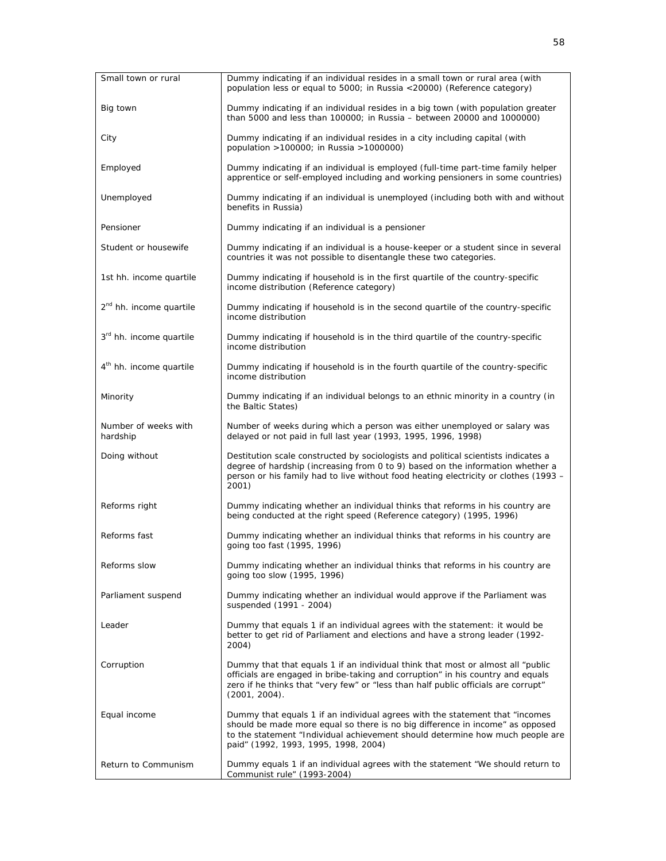| Small town or rural                 | Dummy indicating if an individual resides in a small town or rural area (with<br>population less or equal to 5000; in Russia <20000) (Reference category)                                                                                                                              |
|-------------------------------------|----------------------------------------------------------------------------------------------------------------------------------------------------------------------------------------------------------------------------------------------------------------------------------------|
| Big town                            | Dummy indicating if an individual resides in a big town (with population greater<br>than 5000 and less than $100000$ ; in Russia - between 20000 and $1000000$ )                                                                                                                       |
| City                                | Dummy indicating if an individual resides in a city including capital (with<br>population >100000; in Russia >1000000)                                                                                                                                                                 |
| Employed                            | Dummy indicating if an individual is employed (full-time part-time family helper<br>apprentice or self-employed including and working pensioners in some countries)                                                                                                                    |
| Unemployed                          | Dummy indicating if an individual is unemployed (including both with and without<br>benefits in Russia)                                                                                                                                                                                |
| Pensioner                           | Dummy indicating if an individual is a pensioner                                                                                                                                                                                                                                       |
| Student or housewife                | Dummy indicating if an individual is a house-keeper or a student since in several<br>countries it was not possible to disentangle these two categories.                                                                                                                                |
| 1st hh. income quartile             | Dummy indicating if household is in the first quartile of the country-specific<br>income distribution (Reference category)                                                                                                                                                             |
| 2 <sup>nd</sup> hh. income quartile | Dummy indicating if household is in the second quartile of the country-specific<br>income distribution                                                                                                                                                                                 |
| 3rd hh. income quartile             | Dummy indicating if household is in the third quartile of the country-specific<br>income distribution                                                                                                                                                                                  |
| 4 <sup>th</sup> hh. income quartile | Dummy indicating if household is in the fourth quartile of the country-specific<br>income distribution                                                                                                                                                                                 |
| Minority                            | Dummy indicating if an individual belongs to an ethnic minority in a country (in<br>the Baltic States)                                                                                                                                                                                 |
| Number of weeks with<br>hardship    | Number of weeks during which a person was either unemployed or salary was<br>delayed or not paid in full last year (1993, 1995, 1996, 1998)                                                                                                                                            |
| Doing without                       | Destitution scale constructed by sociologists and political scientists indicates a<br>degree of hardship (increasing from 0 to 9) based on the information whether a<br>person or his family had to live without food heating electricity or clothes (1993 -<br>2001)                  |
| Reforms right                       | Dummy indicating whether an individual thinks that reforms in his country are<br>being conducted at the right speed (Reference category) (1995, 1996)                                                                                                                                  |
| Reforms fast                        | Dummy indicating whether an individual thinks that reforms in his country are<br>going too fast (1995, 1996)                                                                                                                                                                           |
| Reforms slow                        | Dummy indicating whether an individual thinks that reforms in his country are<br>going too slow (1995, 1996)                                                                                                                                                                           |
| Parliament suspend                  | Dummy indicating whether an individual would approve if the Parliament was<br>suspended (1991 - 2004)                                                                                                                                                                                  |
| Leader                              | Dummy that equals 1 if an individual agrees with the statement: it would be<br>better to get rid of Parliament and elections and have a strong leader (1992-<br>2004)                                                                                                                  |
| Corruption                          | Dummy that that equals 1 if an individual think that most or almost all "public<br>officials are engaged in bribe-taking and corruption" in his country and equals<br>zero if he thinks that "very few" or "less than half public officials are corrupt"<br>(2001, 2004).              |
| Equal income                        | Dummy that equals 1 if an individual agrees with the statement that "incomes<br>should be made more equal so there is no big difference in income" as opposed<br>to the statement "Individual achievement should determine how much people are<br>paid" (1992, 1993, 1995, 1998, 2004) |
| Return to Communism                 | Dummy equals 1 if an individual agrees with the statement "We should return to<br>Communist rule" (1993-2004)                                                                                                                                                                          |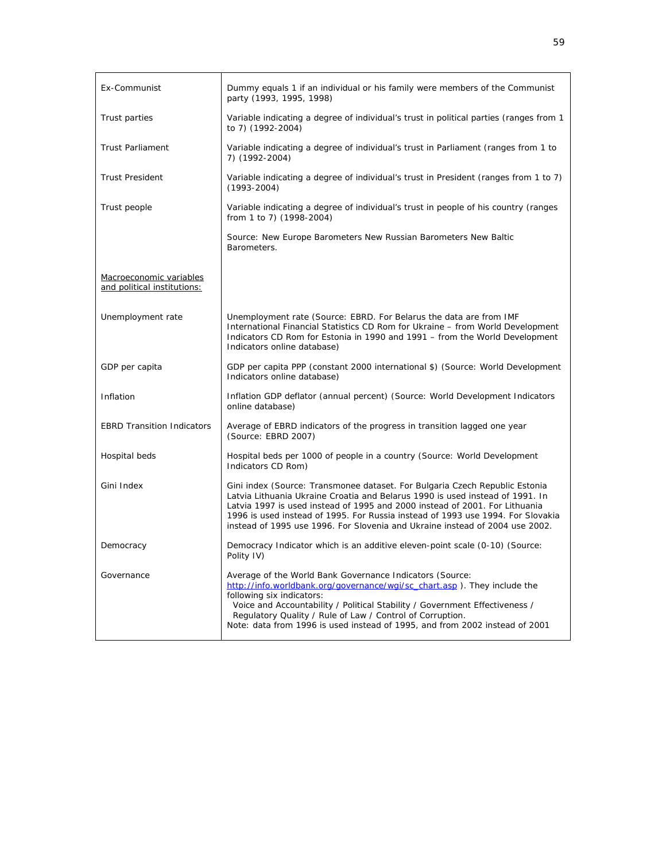| Ex-Communist                                           | Dummy equals 1 if an individual or his family were members of the Communist<br>party (1993, 1995, 1998)                                                                                                                                                                                                                                                                                                        |
|--------------------------------------------------------|----------------------------------------------------------------------------------------------------------------------------------------------------------------------------------------------------------------------------------------------------------------------------------------------------------------------------------------------------------------------------------------------------------------|
| Trust parties                                          | Variable indicating a degree of individual's trust in political parties (ranges from 1<br>to 7) (1992-2004)                                                                                                                                                                                                                                                                                                    |
| <b>Trust Parliament</b>                                | Variable indicating a degree of individual's trust in Parliament (ranges from 1 to<br>7) (1992-2004)                                                                                                                                                                                                                                                                                                           |
| <b>Trust President</b>                                 | Variable indicating a degree of individual's trust in President (ranges from 1 to 7)<br>$(1993 - 2004)$                                                                                                                                                                                                                                                                                                        |
| Trust people                                           | Variable indicating a degree of individual's trust in people of his country (ranges<br>from 1 to 7) (1998-2004)                                                                                                                                                                                                                                                                                                |
|                                                        | Source: New Europe Barometers New Russian Barometers New Baltic<br>Barometers.                                                                                                                                                                                                                                                                                                                                 |
| Macroeconomic variables<br>and political institutions: |                                                                                                                                                                                                                                                                                                                                                                                                                |
| Unemployment rate                                      | Unemployment rate (Source: EBRD. For Belarus the data are from IMF<br>International Financial Statistics CD Rom for Ukraine - from World Development<br>Indicators CD Rom for Estonia in 1990 and 1991 - from the World Development<br>Indicators online database)                                                                                                                                             |
| GDP per capita                                         | GDP per capita PPP (constant 2000 international \$) (Source: World Development<br>Indicators online database)                                                                                                                                                                                                                                                                                                  |
| Inflation                                              | Inflation GDP deflator (annual percent) (Source: World Development Indicators<br>online database)                                                                                                                                                                                                                                                                                                              |
| <b>EBRD Transition Indicators</b>                      | Average of EBRD indicators of the progress in transition lagged one year<br>(Source: EBRD 2007)                                                                                                                                                                                                                                                                                                                |
| Hospital beds                                          | Hospital beds per 1000 of people in a country (Source: World Development<br>Indicators CD Rom)                                                                                                                                                                                                                                                                                                                 |
| Gini Index                                             | Gini index (Source: Transmonee dataset. For Bulgaria Czech Republic Estonia<br>Latvia Lithuania Ukraine Croatia and Belarus 1990 is used instead of 1991. In<br>Latvia 1997 is used instead of 1995 and 2000 instead of 2001. For Lithuania<br>1996 is used instead of 1995. For Russia instead of 1993 use 1994. For Slovakia<br>instead of 1995 use 1996. For Slovenia and Ukraine instead of 2004 use 2002. |
| Democracy                                              | Democracy Indicator which is an additive eleven-point scale (0-10) (Source:<br>Polity IV)                                                                                                                                                                                                                                                                                                                      |
| Governance                                             | Average of the World Bank Governance Indicators (Source:<br>http://info.worldbank.org/governance/wgi/sc_chart.asp). They include the<br>following six indicators:<br>Voice and Accountability / Political Stability / Government Effectiveness /<br>Regulatory Quality / Rule of Law / Control of Corruption.<br>Note: data from 1996 is used instead of 1995, and from 2002 instead of 2001                   |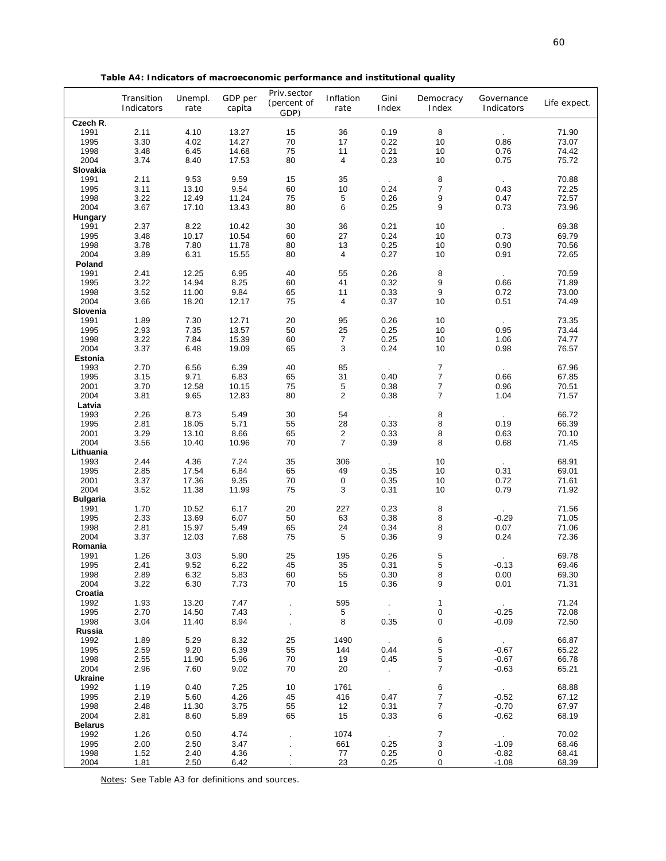| Table A4: Indicators of macroeconomic performance and institutional quality |  |
|-----------------------------------------------------------------------------|--|
|                                                                             |  |

|                 | Transition<br>Indicators | Unempl.<br>rate | GDP per<br>capita | Priv.sector<br>(percent of<br>GDP) | Inflation<br>rate | Gini<br>Index          | Democracy<br>Index | Governance<br>Indicators | Life expect. |
|-----------------|--------------------------|-----------------|-------------------|------------------------------------|-------------------|------------------------|--------------------|--------------------------|--------------|
| Czech R.        |                          |                 |                   |                                    |                   |                        |                    |                          |              |
| 1991            | 2.11                     | 4.10            | 13.27             | 15                                 | 36                | 0.19                   | 8                  |                          | 71.90        |
| 1995            | 3.30                     | 4.02            | 14.27             | $70\,$                             | 17                | 0.22                   | 10                 | 0.86                     | 73.07        |
| 1998            | 3.48                     | 6.45            | 14.68             | 75                                 | 11                | 0.21                   | 10                 | 0.76                     | 74.42        |
| 2004            | 3.74                     | 8.40            | 17.53             | 80                                 | 4                 | 0.23                   | 10                 | 0.75                     | 75.72        |
| Slovakia        |                          |                 |                   |                                    |                   |                        |                    |                          |              |
| 1991            | 2.11                     | 9.53            | 9.59              | 15                                 | 35                |                        | 8                  | $\sim$                   | 70.88        |
| 1995            | 3.11                     | 13.10           | 9.54              | 60                                 | 10                | 0.24                   | $\overline{7}$     | 0.43                     | 72.25        |
| 1998            | 3.22                     | 12.49           | 11.24             | 75                                 | 5                 | 0.26                   | 9                  | 0.47                     | 72.57        |
| 2004            | 3.67                     | 17.10           | 13.43             | 80                                 | 6                 | 0.25                   | 9                  | 0.73                     | 73.96        |
| Hungary         |                          |                 |                   |                                    |                   |                        |                    |                          |              |
| 1991            | 2.37                     | 8.22            | 10.42             | 30                                 | 36                | 0.21                   | 10                 |                          | 69.38        |
| 1995            | 3.48                     | 10.17           | 10.54             | 60                                 | 27                | 0.24                   | 10                 | 0.73                     | 69.79        |
| 1998            | 3.78                     | 7.80            | 11.78             | 80                                 | 13                | 0.25                   | 10                 | 0.90                     | 70.56        |
| 2004            | 3.89                     | 6.31            | 15.55             | 80                                 | 4                 | 0.27                   | 10                 | 0.91                     | 72.65        |
| Poland          |                          |                 |                   |                                    |                   |                        |                    |                          |              |
| 1991            | 2.41                     | 12.25           | 6.95              | 40                                 | 55                | 0.26                   | 8                  | $\sim$                   | 70.59        |
| 1995            | 3.22                     | 14.94           | 8.25              | 60                                 | 41                | 0.32                   | 9                  | 0.66                     | 71.89        |
| 1998            | 3.52                     | 11.00           | 9.84              | 65                                 | 11                | 0.33                   | 9                  | 0.72                     | 73.00        |
| 2004            | 3.66                     | 18.20           | 12.17             | 75                                 | 4                 | 0.37                   | 10                 | 0.51                     | 74.49        |
| Slovenia        |                          |                 |                   |                                    |                   |                        |                    |                          |              |
| 1991            | 1.89                     | 7.30            | 12.71             | 20                                 | 95                | 0.26                   | 10                 |                          | 73.35        |
| 1995            | 2.93                     | 7.35            | 13.57             | 50                                 | 25                | 0.25                   | 10                 | 0.95                     | 73.44        |
| 1998            | 3.22                     | 7.84            | 15.39             | 60                                 | $\boldsymbol{7}$  | 0.25                   | 10                 | 1.06                     | 74.77        |
| 2004            | 3.37                     | 6.48            | 19.09             | 65                                 | 3                 | 0.24                   | 10                 | 0.98                     | 76.57        |
| Estonia         |                          |                 |                   |                                    |                   |                        |                    |                          |              |
| 1993            | 2.70                     | 6.56            | 6.39              | 40                                 | 85                |                        | $\overline{7}$     |                          | 67.96        |
| 1995            | 3.15                     | 9.71            | 6.83              | 65                                 | 31                | 0.40                   | $\boldsymbol{7}$   | 0.66                     | 67.85        |
| 2001            | 3.70                     | 12.58           | 10.15             | 75                                 | $\sqrt{5}$        | 0.38                   | $\overline{7}$     | 0.96                     | 70.51        |
| 2004            | 3.81                     | 9.65            | 12.83             | 80                                 | $\overline{c}$    | 0.38                   | $\overline{7}$     | 1.04                     | 71.57        |
| Latvia          |                          |                 |                   |                                    |                   |                        |                    |                          |              |
| 1993            | 2.26                     | 8.73            | 5.49              | 30                                 | 54                |                        | 8                  |                          | 66.72        |
| 1995            | 2.81                     | 18.05           | 5.71              | 55                                 | 28                | 0.33                   | 8                  | 0.19                     | 66.39        |
| 2001            | 3.29                     | 13.10           | 8.66              | 65                                 | $\overline{2}$    | 0.33                   | 8                  | 0.63                     | 70.10        |
| 2004            | 3.56                     | 10.40           | 10.96             | 70                                 | $\overline{7}$    | 0.39                   | 8                  | 0.68                     | 71.45        |
| Lithuania       |                          |                 |                   |                                    |                   |                        |                    |                          |              |
| 1993            | 2.44                     | 4.36            | 7.24              | 35                                 | 306               |                        | 10                 |                          | 68.91        |
| 1995            | 2.85                     | 17.54           | 6.84              | 65                                 | 49                | 0.35                   | 10                 | 0.31                     | 69.01        |
| 2001            | 3.37                     | 17.36           | 9.35              | $70\,$                             | 0                 | 0.35                   | 10                 | 0.72                     | 71.61        |
| 2004            | 3.52                     | 11.38           | 11.99             | 75                                 | 3                 | 0.31                   | 10                 | 0.79                     | 71.92        |
| <b>Bulgaria</b> |                          |                 |                   |                                    |                   |                        |                    |                          |              |
| 1991            | 1.70                     | 10.52           | 6.17              | 20                                 | 227               | 0.23                   | 8                  |                          | 71.56        |
| 1995            | 2.33                     | 13.69           | 6.07              | 50                                 | 63                | 0.38                   | 8                  | $-0.29$                  | 71.05        |
| 1998            | 2.81                     | 15.97           | 5.49              | 65                                 | 24                | 0.34                   | 8                  | 0.07                     | 71.06        |
| 2004            | 3.37                     | 12.03           | 7.68              | 75                                 | 5                 | 0.36                   | 9                  | 0.24                     | 72.36        |
| Romania         |                          |                 |                   |                                    |                   |                        |                    |                          |              |
| 1991            | 1.26                     | 3.03            | 5.90              | 25                                 | 195               | 0.26                   | 5                  |                          | 69.78        |
| 1995            | 2.41                     | 9.52            | 6.22              | 45                                 | 35                | 0.31                   | 5                  | $-0.13$                  | 69.46        |
| 1998            | 2.89                     | 6.32            | 5.83              | 60                                 | 55                | 0.30                   | 8                  | 0.00                     | 69.30        |
| 2004            | 3.22                     | 6.30            | 7.73              | 70                                 | 15                | 0.36                   | 9                  | 0.01                     | 71.31        |
| Croatia         |                          |                 |                   |                                    |                   |                        |                    |                          |              |
| 1992            | 1.93                     | 13.20           | 7.47              |                                    | 595               | $\sim$                 | $\mathbf{1}$       |                          | 71.24        |
| 1995            | 2.70                     | 14.50           | 7.43              |                                    | 5                 | $\sim$                 | 0                  | $-0.25$                  | 72.08        |
| 1998            | 3.04                     | 11.40           | 8.94              |                                    | 8                 | 0.35                   | 0                  | $-0.09$                  | 72.50        |
| Russia          |                          |                 |                   |                                    |                   |                        |                    |                          |              |
| 1992            | 1.89                     | 5.29            | 8.32              | 25                                 | 1490              |                        | 6                  |                          | 66.87        |
| 1995            | 2.59                     | 9.20            | 6.39              | 55                                 | 144               | 0.44                   | 5                  | $-0.67$                  | 65.22        |
| 1998            | 2.55                     | 11.90           | 5.96              | 70                                 | 19                | 0.45                   | 5                  | $-0.67$                  | 66.78        |
| 2004            | 2.96                     | 7.60            | 9.02              | 70                                 | 20                | $\sim$                 | 7                  | $-0.63$                  | 65.21        |
| <b>Ukraine</b>  |                          |                 |                   |                                    |                   |                        |                    |                          |              |
| 1992            | 1.19                     | 0.40            | 7.25              | 10                                 | 1761              |                        | 6                  |                          | 68.88        |
| 1995            | 2.19                     | 5.60            | 4.26              | 45                                 | 416               | $\sim$<br>0.47         | 7                  | $-0.52$                  | 67.12        |
| 1998            | 2.48                     | 11.30           | 3.75              | 55                                 | 12                | 0.31                   | 7                  | $-0.70$                  | 67.97        |
| 2004            | 2.81                     | 8.60            | 5.89              | 65                                 | 15                | 0.33                   | 6                  | $-0.62$                  | 68.19        |
| <b>Belarus</b>  |                          |                 |                   |                                    |                   |                        |                    |                          |              |
| 1992            | 1.26                     | 0.50            | 4.74              |                                    | 1074              |                        | 7                  |                          | 70.02        |
| 1995            | 2.00                     | 2.50            | 3.47              |                                    | 661               | $\sim 10^{-1}$<br>0.25 | 3                  | $-1.09$                  | 68.46        |
| 1998            | 1.52                     | 2.40            | 4.36              |                                    | 77                | 0.25                   | 0                  | $-0.82$                  | 68.41        |
| 2004            | 1.81                     | 2.50            | 6.42              |                                    | 23                | 0.25                   | $\Omega$           | $-1.08$                  | 68.39        |

*Notes*: See Table A3 for definitions and sources.